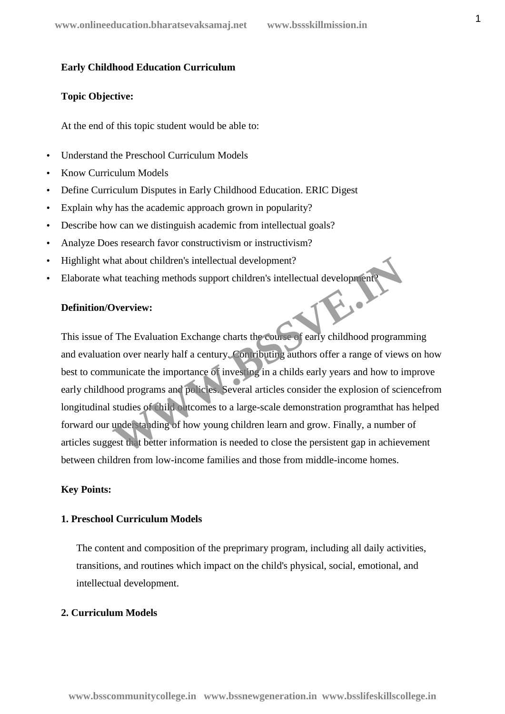#### **Early Childhood Education Curriculum**

#### **Topic Objective:**

At the end of this topic student would be able to:

- Understand the Preschool Curriculum Models
- Know Curriculum Models
- Define Curriculum Disputes in Early Childhood Education. ERIC Digest
- Explain why has the academic approach grown in popularity?
- Describe how can we distinguish academic from intellectual goals?
- Analyze Does research favor constructivism or instructivism?
- Highlight what about children's intellectual development?
- Elaborate what teaching methods support children's intellectual development?

#### **Definition/Overview:**

This issue of The Evaluation Exchange charts the course of early childhood programming and evaluation over nearly half a century. Contributing authors offer a range of views on how best to communicate the importance of investing in a childs early years and how to improve early childhood programs and policies. Several articles consider the explosion of sciencefrom longitudinal studies of child outcomes to a large-scale demonstration programthat has helped forward our understanding of how young children learn and grow. Finally, a number of articles suggest that better information is needed to close the persistent gap in achievement between children from low-income families and those from middle-income homes. That about children's intellectual development?<br>
That teaching methods support children's intellectual development?<br> **Werview:**<br>
The Evaluation Exchange charts the course of early childhood program<br>
on over nearly half a c

## **Key Points:**

#### **1. Preschool Curriculum Models**

The content and composition of the preprimary program, including all daily activities, transitions, and routines which impact on the child's physical, social, emotional, and intellectual development.

## **2. Curriculum Models**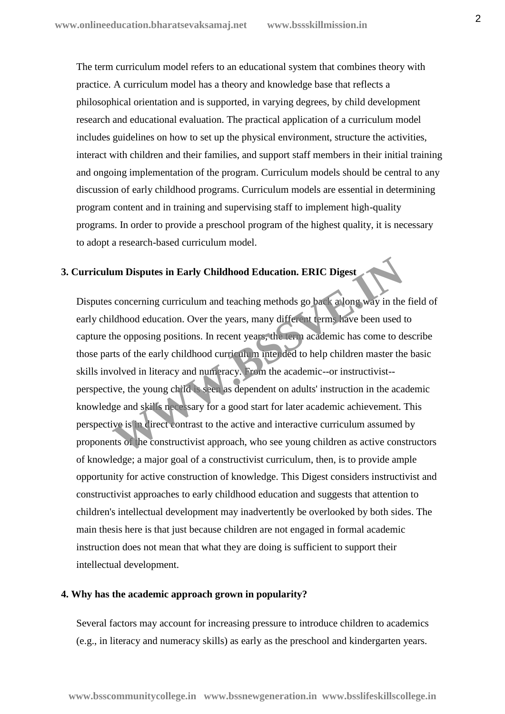The term curriculum model refers to an educational system that combines theory with practice. A curriculum model has a theory and knowledge base that reflects a philosophical orientation and is supported, in varying degrees, by child development research and educational evaluation. The practical application of a curriculum model includes guidelines on how to set up the physical environment, structure the activities, interact with children and their families, and support staff members in their initial training and ongoing implementation of the program. Curriculum models should be central to any discussion of early childhood programs. Curriculum models are essential in determining program content and in training and supervising staff to implement high-quality programs. In order to provide a preschool program of the highest quality, it is necessary to adopt a research-based curriculum model.

# **3. Curriculum Disputes in Early Childhood Education. ERIC Digest**

Disputes concerning curriculum and teaching methods go back a long way in the field of early childhood education. Over the years, many different terms have been used to capture the opposing positions. In recent years, the term academic has come to describe those parts of the early childhood curriculum intended to help children master the basic skills involved in literacy and numeracy. From the academic--or instructivist- perspective, the young child is seen as dependent on adults' instruction in the academic knowledge and skills necessary for a good start for later academic achievement. This perspective is in direct contrast to the active and interactive curriculum assumed by proponents of the constructivist approach, who see young children as active constructors of knowledge; a major goal of a constructivist curriculum, then, is to provide ample opportunity for active construction of knowledge. This Digest considers instructivist and constructivist approaches to early childhood education and suggests that attention to children's intellectual development may inadvertently be overlooked by both sides. The main thesis here is that just because children are not engaged in formal academic instruction does not mean that what they are doing is sufficient to support their intellectual development. Im Disputes in Early Childhood Education. ERIC Digest<br>concerning curriculum and teaching methods go bases along way in the<br>ldhood education. Over the years, many different terms have been used the<br>opposing positions. In re

## **4. Why has the academic approach grown in popularity?**

Several factors may account for increasing pressure to introduce children to academics (e.g., in literacy and numeracy skills) as early as the preschool and kindergarten years.

2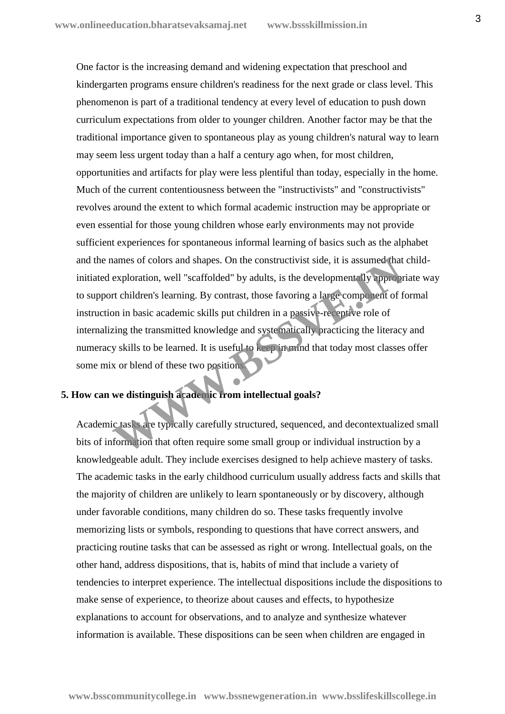One factor is the increasing demand and widening expectation that preschool and kindergarten programs ensure children's readiness for the next grade or class level. This phenomenon is part of a traditional tendency at every level of education to push down curriculum expectations from older to younger children. Another factor may be that the traditional importance given to spontaneous play as young children's natural way to learn may seem less urgent today than a half a century ago when, for most children, opportunities and artifacts for play were less plentiful than today, especially in the home. Much of the current contentiousness between the "instructivists" and "constructivists" revolves around the extent to which formal academic instruction may be appropriate or even essential for those young children whose early environments may not provide sufficient experiences for spontaneous informal learning of basics such as the alphabet and the names of colors and shapes. On the constructivist side, it is assumed that childinitiated exploration, well "scaffolded" by adults, is the developmentally appropriate way to support children's learning. By contrast, those favoring a large component of formal instruction in basic academic skills put children in a passive-receptive role of internalizing the transmitted knowledge and systematically practicing the literacy and numeracy skills to be learned. It is useful to keep in mind that today most classes offer some mix or blend of these two positions. names of colors and shapes. On the constructivist side, it is assumed that<br>exploration, well "scaffolded" by adults, is the development 1y appropr<br>rt children's learning. By contrast, those favoring a large component of f<br>

## **5. How can we distinguish academic from intellectual goals?**

Academic tasks are typically carefully structured, sequenced, and decontextualized small bits of information that often require some small group or individual instruction by a knowledgeable adult. They include exercises designed to help achieve mastery of tasks. The academic tasks in the early childhood curriculum usually address facts and skills that the majority of children are unlikely to learn spontaneously or by discovery, although under favorable conditions, many children do so. These tasks frequently involve memorizing lists or symbols, responding to questions that have correct answers, and practicing routine tasks that can be assessed as right or wrong. Intellectual goals, on the other hand, address dispositions, that is, habits of mind that include a variety of tendencies to interpret experience. The intellectual dispositions include the dispositions to make sense of experience, to theorize about causes and effects, to hypothesize explanations to account for observations, and to analyze and synthesize whatever information is available. These dispositions can be seen when children are engaged in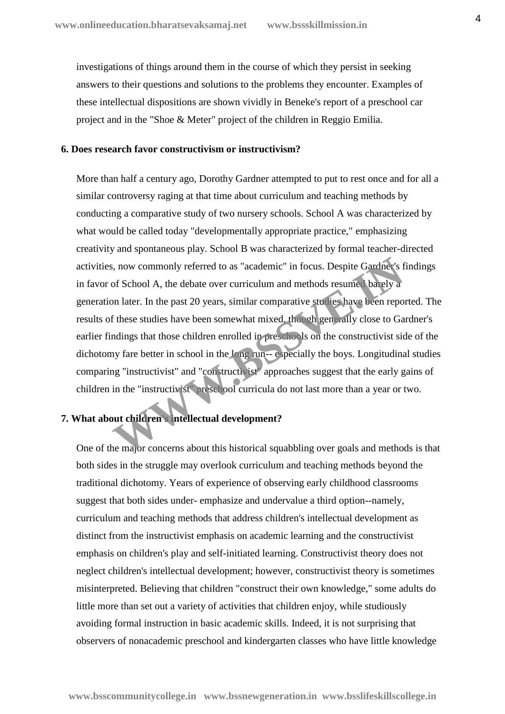investigations of things around them in the course of which they persist in seeking answers to their questions and solutions to the problems they encounter. Examples of these intellectual dispositions are shown vividly in Beneke's report of a preschool car project and in the "Shoe & Meter" project of the children in Reggio Emilia.

#### **6. Does research favor constructivism or instructivism?**

More than half a century ago, Dorothy Gardner attempted to put to rest once and for all a similar controversy raging at that time about curriculum and teaching methods by conducting a comparative study of two nursery schools. School A was characterized by what would be called today "developmentally appropriate practice," emphasizing creativity and spontaneous play. School B was characterized by formal teacher-directed activities, now commonly referred to as "academic" in focus. Despite Gardner's findings in favor of School A, the debate over curriculum and methods resumed barely a generation later. In the past 20 years, similar comparative studies have been reported. The results of these studies have been somewhat mixed, though generally close to Gardner's earlier findings that those children enrolled in preschools on the constructivist side of the dichotomy fare better in school in the long run-- especially the boys. Longitudinal studies comparing "instructivist" and "constructivist" approaches suggest that the early gains of children in the "instructivist" preschool curricula do not last more than a year or two. **Example 18 as an alternative in the Cardinal Constrainer Set and The Matter Set and The Matter Set and the set allowstrates that the debate over curriculum and methods resume barely a<br>
on later. In the past 20 years, simi** 

## **7. What about children's intellectual development?**

One of the major concerns about this historical squabbling over goals and methods is that both sides in the struggle may overlook curriculum and teaching methods beyond the traditional dichotomy. Years of experience of observing early childhood classrooms suggest that both sides under- emphasize and undervalue a third option--namely, curriculum and teaching methods that address children's intellectual development as distinct from the instructivist emphasis on academic learning and the constructivist emphasis on children's play and self-initiated learning. Constructivist theory does not neglect children's intellectual development; however, constructivist theory is sometimes misinterpreted. Believing that children "construct their own knowledge," some adults do little more than set out a variety of activities that children enjoy, while studiously avoiding formal instruction in basic academic skills. Indeed, it is not surprising that observers of nonacademic preschool and kindergarten classes who have little knowledge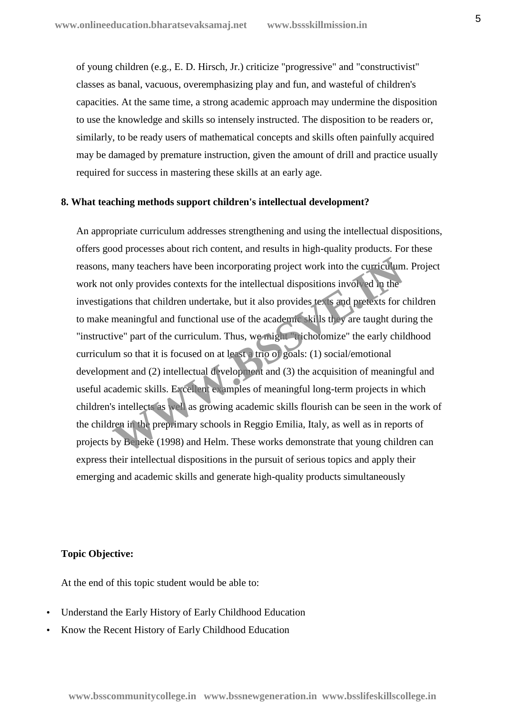of young children (e.g., E. D. Hirsch, Jr.) criticize "progressive" and "constructivist" classes as banal, vacuous, overemphasizing play and fun, and wasteful of children's capacities. At the same time, a strong academic approach may undermine the disposition to use the knowledge and skills so intensely instructed. The disposition to be readers or, similarly, to be ready users of mathematical concepts and skills often painfully acquired may be damaged by premature instruction, given the amount of drill and practice usually required for success in mastering these skills at an early age.

#### **8. What teaching methods support children's intellectual development?**

An appropriate curriculum addresses strengthening and using the intellectual dispositions, offers good processes about rich content, and results in high-quality products. For these reasons, many teachers have been incorporating project work into the curriculum. Project work not only provides contexts for the intellectual dispositions involved in the investigations that children undertake, but it also provides texts and pretexts for children to make meaningful and functional use of the academic skills they are taught during the "instructive" part of the curriculum. Thus, we might "trichotomize" the early childhood curriculum so that it is focused on at least a trio of goals: (1) social/emotional development and (2) intellectual development and (3) the acquisition of meaningful and useful academic skills. Excellent examples of meaningful long-term projects in which children's intellects as well as growing academic skills flourish can be seen in the work of the children in the preprimary schools in Reggio Emilia, Italy, as well as in reports of projects by Beneke (1998) and Helm. These works demonstrate that young children can express their intellectual dispositions in the pursuit of serious topics and apply their emerging and academic skills and generate high-quality products simultaneously many teachers have been incorporating project work into the curriculum<br>tonly provides contexts for the intellectual dispositions involved in the<br>titions that children undertake, but it also provides texts and pretexts for<br>

## **Topic Objective:**

At the end of this topic student would be able to:

- Understand the Early History of Early Childhood Education
- Know the Recent History of Early Childhood Education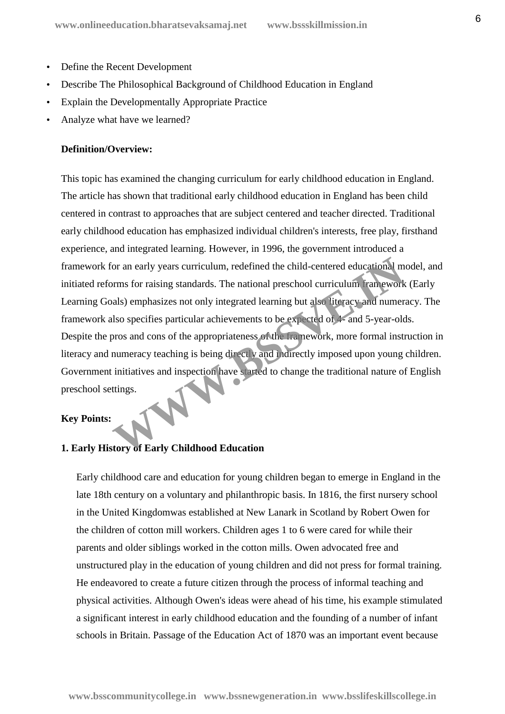- Define the Recent Development
- Describe The Philosophical Background of Childhood Education in England
- Explain the Developmentally Appropriate Practice
- Analyze what have we learned?

#### **Definition/Overview:**

This topic has examined the changing curriculum for early childhood education in England. The article has shown that traditional early childhood education in England has been child centered in contrast to approaches that are subject centered and teacher directed. Traditional early childhood education has emphasized individual children's interests, free play, firsthand experience, and integrated learning. However, in 1996, the government introduced a framework for an early years curriculum, redefined the child-centered educational model, and initiated reforms for raising standards. The national preschool curriculum framework (Early Learning Goals) emphasizes not only integrated learning but also literacy and numeracy. The framework also specifies particular achievements to be expected of 4- and 5-year-olds. Despite the pros and cons of the appropriateness of the framework, more formal instruction in literacy and numeracy teaching is being directly and indirectly imposed upon young children. Government initiatives and inspection have started to change the traditional nature of English preschool settings. For an early years curriculum, redefined the child-centered educational morms for raising standards. The national preschool curriculum, framework<br>als) emphasizes not only integrated learning but also littracy and numer<br>lls

#### **Key Points:**

#### **1. Early History of Early Childhood Education**

Early childhood care and education for young children began to emerge in England in the late 18th century on a voluntary and philanthropic basis. In 1816, the first nursery school in the United Kingdomwas established at New Lanark in Scotland by Robert Owen for the children of cotton mill workers. Children ages 1 to 6 were cared for while their parents and older siblings worked in the cotton mills. Owen advocated free and unstructured play in the education of young children and did not press for formal training. He endeavored to create a future citizen through the process of informal teaching and physical activities. Although Owen's ideas were ahead of his time, his example stimulated a significant interest in early childhood education and the founding of a number of infant schools in Britain. Passage of the Education Act of 1870 was an important event because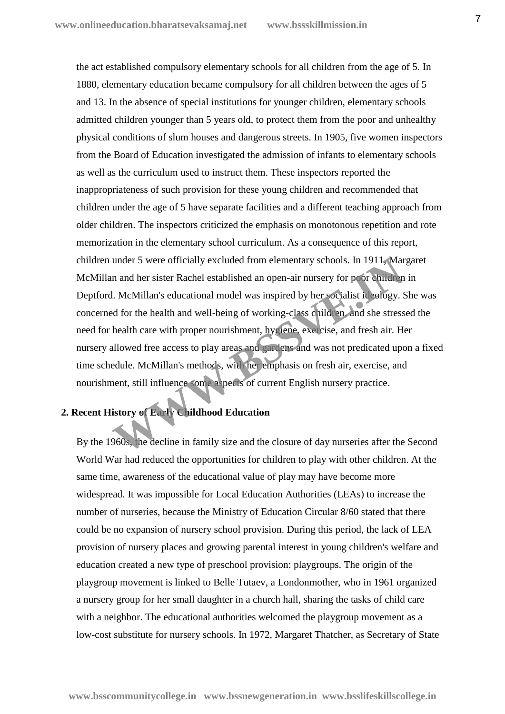the act established compulsory elementary schools for all children from the age of 5. In 1880, elementary education became compulsory for all children between the ages of 5 and 13. In the absence of special institutions for younger children, elementary schools admitted children younger than 5 years old, to protect them from the poor and unhealthy physical conditions of slum houses and dangerous streets. In 1905, five women inspectors from the Board of Education investigated the admission of infants to elementary schools as well as the curriculum used to instruct them. These inspectors reported the inappropriateness of such provision for these young children and recommended that children under the age of 5 have separate facilities and a different teaching approach from older children. The inspectors criticized the emphasis on monotonous repetition and rote memorization in the elementary school curriculum. As a consequence of this report, children under 5 were officially excluded from elementary schools. In 1911, Margaret McMillan and her sister Rachel established an open-air nursery for poor children in Deptford. McMillan's educational model was inspired by her socialist ideology. She was concerned for the health and well-being of working-class children, and she stressed the need for health care with proper nourishment, hygiene, exercise, and fresh air. Her nursery allowed free access to play areas and gardens and was not predicated upon a fixed time schedule. McMillan's methods, with her emphasis on fresh air, exercise, and nourishment, still influence some aspects of current English nursery practice. under 5 were officially excluded from elementary schools. In 1911, Mar<br>n and her sister Rachel established an open-air nursery for poor children<br>l. McMillan's educational model was inspired by her socialist ideology. Such

## **2. Recent History of Early Childhood Education**

By the 1960s, the decline in family size and the closure of day nurseries after the Second World War had reduced the opportunities for children to play with other children. At the same time, awareness of the educational value of play may have become more widespread. It was impossible for Local Education Authorities (LEAs) to increase the number of nurseries, because the Ministry of Education Circular 8/60 stated that there could be no expansion of nursery school provision. During this period, the lack of LEA provision of nursery places and growing parental interest in young children's welfare and education created a new type of preschool provision: playgroups. The origin of the playgroup movement is linked to Belle Tutaev, a Londonmother, who in 1961 organized a nursery group for her small daughter in a church hall, sharing the tasks of child care with a neighbor. The educational authorities welcomed the playgroup movement as a low-cost substitute for nursery schools. In 1972, Margaret Thatcher, as Secretary of State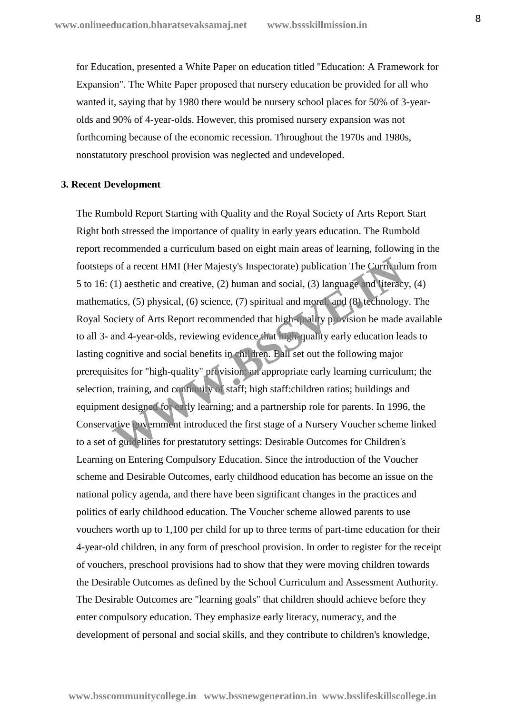for Education, presented a White Paper on education titled "Education: A Framework for Expansion". The White Paper proposed that nursery education be provided for all who wanted it, saying that by 1980 there would be nursery school places for 50% of 3-year olds and 90% of 4-year-olds. However, this promised nursery expansion was not forthcoming because of the economic recession. Throughout the 1970s and 1980s, nonstatutory preschool provision was neglected and undeveloped.

#### **3. Recent Development**

The Rumbold Report Starting with Quality and the Royal Society of Arts Report Start Right both stressed the importance of quality in early years education. The Rumbold report recommended a curriculum based on eight main areas of learning, following in the footsteps of a recent HMI (Her Majesty's Inspectorate) publication The Curriculum from 5 to 16: (1) aesthetic and creative, (2) human and social, (3) language and literacy, (4) mathematics, (5) physical, (6) science, (7) spiritual and moral, and (8) technology. The Royal Society of Arts Report recommended that high-quality provision be made available to all 3- and 4-year-olds, reviewing evidence that high-quality early education leads to lasting cognitive and social benefits in children. Ball set out the following major prerequisites for "high-quality" provision: an appropriate early learning curriculum; the selection, training, and continuity of staff; high staff:children ratios; buildings and equipment designed for early learning; and a partnership role for parents. In 1996, the Conservative government introduced the first stage of a Nursery Voucher scheme linked to a set of guidelines for prestatutory settings: Desirable Outcomes for Children's Learning on Entering Compulsory Education. Since the introduction of the Voucher scheme and Desirable Outcomes, early childhood education has become an issue on the national policy agenda, and there have been significant changes in the practices and politics of early childhood education. The Voucher scheme allowed parents to use vouchers worth up to 1,100 per child for up to three terms of part-time education for their 4-year-old children, in any form of preschool provision. In order to register for the receipt of vouchers, preschool provisions had to show that they were moving children towards the Desirable Outcomes as defined by the School Curriculum and Assessment Authority. The Desirable Outcomes are "learning goals" that children should achieve before they enter compulsory education. They emphasize early literacy, numeracy, and the development of personal and social skills, and they contribute to children's knowledge, is of a recent HMI (Her Majesty's Inspectorate) publication The Curricult (1) aesthetic and creative, (2) human and social, (3) language and literacy itics, (5) physical, (6) science, (7) spiritual and moral and (8) techno

**www.bsscommunitycollege.in www.bssnewgeneration.in www.bsslifeskillscollege.in**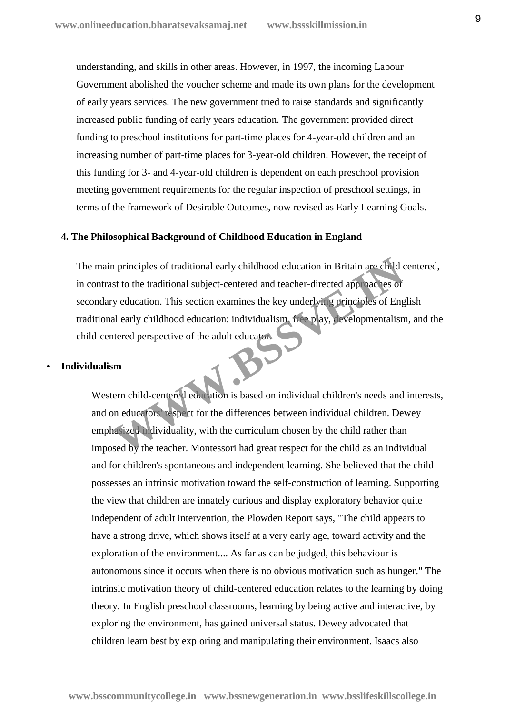understanding, and skills in other areas. However, in 1997, the incoming Labour Government abolished the voucher scheme and made its own plans for the development of early years services. The new government tried to raise standards and significantly increased public funding of early years education. The government provided direct funding to preschool institutions for part-time places for 4-year-old children and an increasing number of part-time places for 3-year-old children. However, the receipt of this funding for 3- and 4-year-old children is dependent on each preschool provision meeting government requirements for the regular inspection of preschool settings, in terms of the framework of Desirable Outcomes, now revised as Early Learning Goals.

#### **4. The Philosophical Background of Childhood Education in England**

The main principles of traditional early childhood education in Britain are child centered, in contrast to the traditional subject-centered and teacher-directed approaches of secondary education. This section examines the key underlying principles of English traditional early childhood education: individualism, free play, developmentalism, and the child-centered perspective of the adult educator. In principles of traditional early childhood education in Britain are child as<br>st to the traditional subject-centered and teacher-directed approaches of<br>y education. This section examines the key underlying principles of E

## **Individualism**

Western child-centered education is based on individual children's needs and interests, and on educators' respect for the differences between individual children. Dewey emphasized individuality, with the curriculum chosen by the child rather than imposed by the teacher. Montessori had great respect for the child as an individual and for children's spontaneous and independent learning. She believed that the child possesses an intrinsic motivation toward the self-construction of learning. Supporting the view that children are innately curious and display exploratory behavior quite independent of adult intervention, the Plowden Report says, "The child appears to have a strong drive, which shows itself at a very early age, toward activity and the exploration of the environment.... As far as can be judged, this behaviour is autonomous since it occurs when there is no obvious motivation such as hunger." The intrinsic motivation theory of child-centered education relates to the learning by doing theory. In English preschool classrooms, learning by being active and interactive, by exploring the environment, has gained universal status. Dewey advocated that children learn best by exploring and manipulating their environment. Isaacs also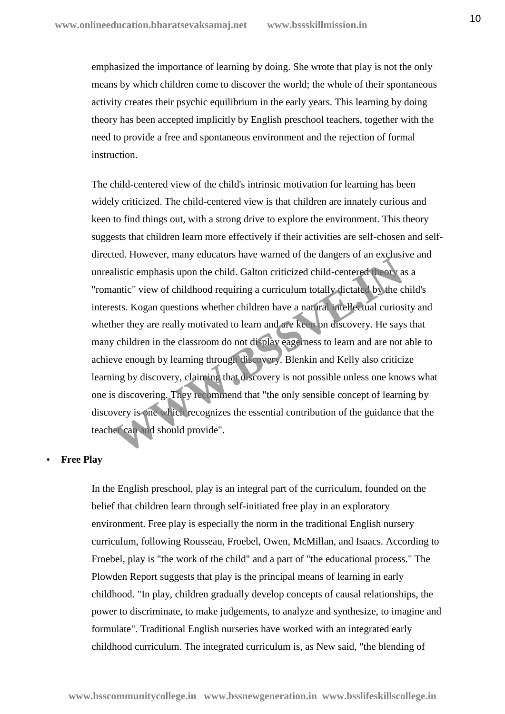emphasized the importance of learning by doing. She wrote that play is not the only means by which children come to discover the world; the whole of their spontaneous activity creates their psychic equilibrium in the early years. This learning by doing theory has been accepted implicitly by English preschool teachers, together with the need to provide a free and spontaneous environment and the rejection of formal instruction.

The child-centered view of the child's intrinsic motivation for learning has been widely criticized. The child-centered view is that children are innately curious and keen to find things out, with a strong drive to explore the environment. This theory suggests that children learn more effectively if their activities are self-chosen and self directed. However, many educators have warned of the dangers of an exclusive and unrealistic emphasis upon the child. Galton criticized child-centered theory as a "romantic" view of childhood requiring a curriculum totally dictated by the child's interests. Kogan questions whether children have a natural intellectual curiosity and whether they are really motivated to learn and are keen on discovery. He says that many children in the classroom do not display eagerness to learn and are not able to achieve enough by learning through discovery. Blenkin and Kelly also criticize learning by discovery, claiming that discovery is not possible unless one knows what one is discovering. They recommend that "the only sensible concept of learning by discovery is one which recognizes the essential contribution of the guidance that the teacher can and should provide". tear. However, many extension are wanted of the dangers of an extendibilistic emphasis upon the child. Galton criticized child-centered theory a antic" view of childhood requiring a curriculum totally dictated by the costs

## **Free Play**

In the English preschool, play is an integral part of the curriculum, founded on the belief that children learn through self-initiated free play in an exploratory environment. Free play is especially the norm in the traditional English nursery curriculum, following Rousseau, Froebel, Owen, McMillan, and Isaacs. According to Froebel, play is "the work of the child" and a part of "the educational process." The Plowden Report suggests that play is the principal means of learning in early childhood. "In play, children gradually develop concepts of causal relationships, the power to discriminate, to make judgements, to analyze and synthesize, to imagine and formulate". Traditional English nurseries have worked with an integrated early childhood curriculum. The integrated curriculum is, as New said, "the blending of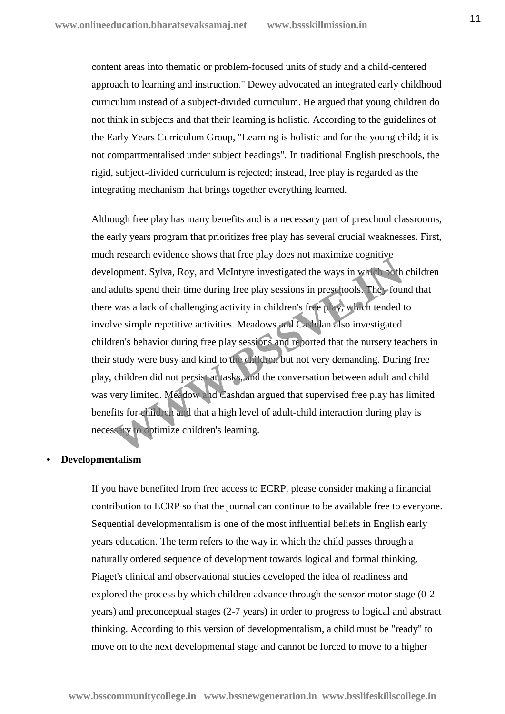content areas into thematic or problem-focused units of study and a child-centered approach to learning and instruction." Dewey advocated an integrated early childhood curriculum instead of a subject-divided curriculum. He argued that young children do not think in subjects and that their learning is holistic. According to the guidelines of the Early Years Curriculum Group, "Learning is holistic and for the young child; it is not compartmentalised under subject headings". In traditional English preschools, the rigid, subject-divided curriculum is rejected; instead, free play is regarded as the integrating mechanism that brings together everything learned.

Although free play has many benefits and is a necessary part of preschool classrooms, the early years program that prioritizes free play has several crucial weaknesses. First, much research evidence shows that free play does not maximize cognitive development. Sylva, Roy, and McIntyre investigated the ways in which both children and adults spend their time during free play sessions in preschools. They found that there was a lack of challenging activity in children's free play, which tended to involve simple repetitive activities. Meadows and Cashdan also investigated children's behavior during free play sessions and reported that the nursery teachers in their study were busy and kind to the children but not very demanding. During free play, children did not persist at tasks, and the conversation between adult and child was very limited. Meadow and Cashdan argued that supervised free play has limited benefits for children and that a high level of adult-child interaction during play is necessary to optimize children's learning. research extended shows that the phy does not maximize explicitely<br>lopment. Sylva, Roy, and McIntyre investigated the ways in which both<br>dullts spend their time during free play sessions in preschools. They four<br>was a lack

#### **Developmentalism**

If you have benefited from free access to ECRP, please consider making a financial contribution to ECRP so that the journal can continue to be available free to everyone. Sequential developmentalism is one of the most influential beliefs in English early years education. The term refers to the way in which the child passes through a naturally ordered sequence of development towards logical and formal thinking. Piaget's clinical and observational studies developed the idea of readiness and explored the process by which children advance through the sensorimotor stage (0-2 years) and preconceptual stages (2-7 years) in order to progress to logical and abstract thinking. According to this version of developmentalism, a child must be "ready" to move on to the next developmental stage and cannot be forced to move to a higher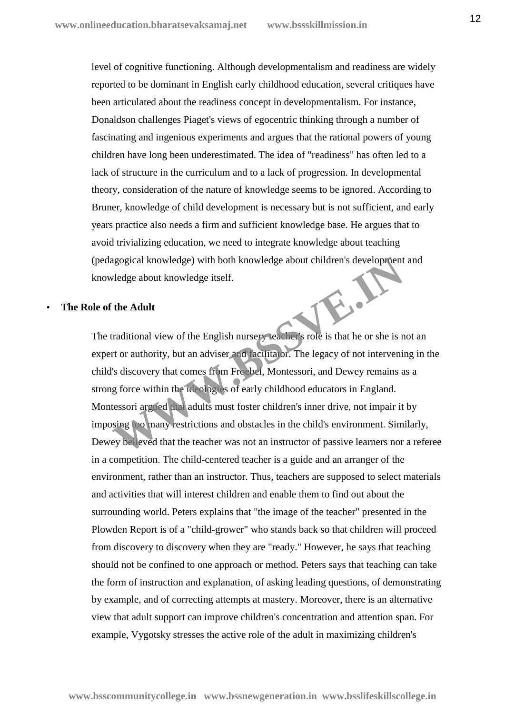level of cognitive functioning. Although developmentalism and readiness are widely reported to be dominant in English early childhood education, several critiques have been articulated about the readiness concept in developmentalism. For instance, Donaldson challenges Piaget's views of egocentric thinking through a number of fascinating and ingenious experiments and argues that the rational powers of young children have long been underestimated. The idea of "readiness" has often led to a lack of structure in the curriculum and to a lack of progression. In developmental theory, consideration of the nature of knowledge seems to be ignored. According to Bruner, knowledge of child development is necessary but is not sufficient, and early years practice also needs a firm and sufficient knowledge base. He argues that to avoid trivializing education, we need to integrate knowledge about teaching (pedagogical knowledge) with both knowledge about children's development and knowledge about knowledge itself. knowledge about knowledge itself.

#### **The Role of the Adult**

The traditional view of the English nursery teacher's role is that he or she is not an expert or authority, but an adviser and facilitator. The legacy of not intervening in the child's discovery that comes from Froebel, Montessori, and Dewey remains as a strong force within the ideologies of early childhood educators in England. Montessori argued that adults must foster children's inner drive, not impair it by imposing too many restrictions and obstacles in the child's environment. Similarly, Dewey believed that the teacher was not an instructor of passive learners nor a referee in a competition. The child-centered teacher is a guide and an arranger of the environment, rather than an instructor. Thus, teachers are supposed to select materials and activities that will interest children and enable them to find out about the surrounding world. Peters explains that "the image of the teacher" presented in the Plowden Report is of a "child-grower" who stands back so that children will proceed from discovery to discovery when they are "ready." However, he says that teaching should not be confined to one approach or method. Peters says that teaching can take the form of instruction and explanation, of asking leading questions, of demonstrating by example, and of correcting attempts at mastery. Moreover, there is an alternative view that adult support can improve children's concentration and attention span. For example, Vygotsky stresses the active role of the adult in maximizing children's agogical knowledge) with both knowledge about children's development<br>vledge about knowledge itself.<br>**We Adult**<br>traditional view of the English nursery leacher's role is that he or she is n<br>rt or authority, but an adviser a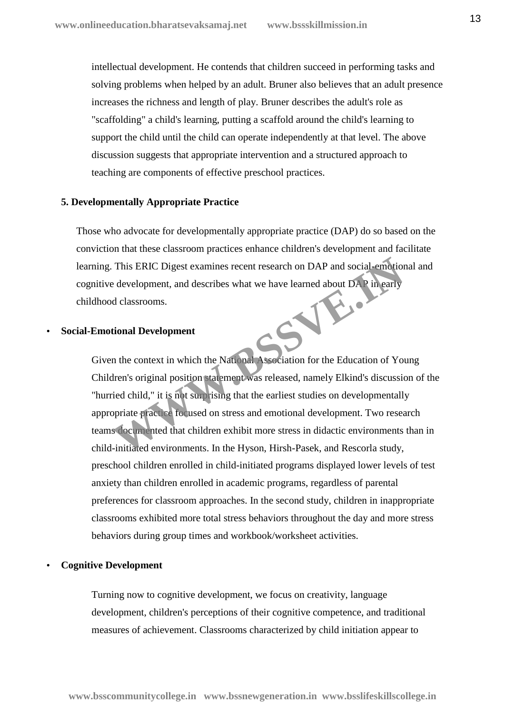intellectual development. He contends that children succeed in performing tasks and solving problems when helped by an adult. Bruner also believes that an adult presence increases the richness and length of play. Bruner describes the adult's role as "scaffolding" a child's learning, putting a scaffold around the child's learning to support the child until the child can operate independently at that level. The above discussion suggests that appropriate intervention and a structured approach to teaching are components of effective preschool practices.

#### **5. Developmentally Appropriate Practice**

Those who advocate for developmentally appropriate practice (DAP) do so based on the conviction that these classroom practices enhance children's development and facilitate learning. This ERIC Digest examines recent research on DAP and social-emotional and cognitive development, and describes what we have learned about DAP in early childhood classrooms. WWW.BSSV.

#### **Social-Emotional Development**

Given the context in which the National Association for the Education of Young Children's original position statement was released, namely Elkind's discussion of the "hurried child," it is not surprising that the earliest studies on developmentally appropriate practice focused on stress and emotional development. Two research teams documented that children exhibit more stress in didactic environments than in child-initiated environments. In the Hyson, Hirsh-Pasek, and Rescorla study, preschool children enrolled in child-initiated programs displayed lower levels of test anxiety than children enrolled in academic programs, regardless of parental preferences for classroom approaches. In the second study, children in inappropriate classrooms exhibited more total stress behaviors throughout the day and more stress behaviors during group times and workbook/worksheet activities.

## **Cognitive Development**

Turning now to cognitive development, we focus on creativity, language development, children's perceptions of their cognitive competence, and traditional measures of achievement. Classrooms characterized by child initiation appear to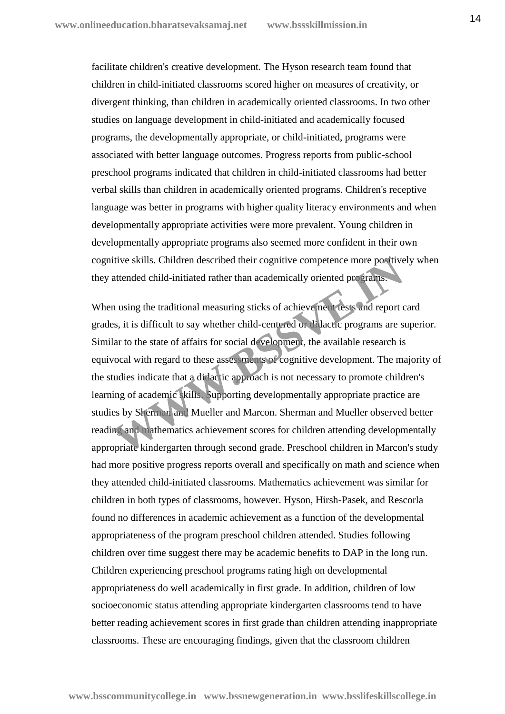facilitate children's creative development. The Hyson research team found that children in child-initiated classrooms scored higher on measures of creativity, or divergent thinking, than children in academically oriented classrooms. In two other studies on language development in child-initiated and academically focused programs, the developmentally appropriate, or child-initiated, programs were associated with better language outcomes. Progress reports from public-school preschool programs indicated that children in child-initiated classrooms had better verbal skills than children in academically oriented programs. Children's receptive language was better in programs with higher quality literacy environments and when developmentally appropriate activities were more prevalent. Young children in developmentally appropriate programs also seemed more confident in their own cognitive skills. Children described their cognitive competence more positively when they attended child-initiated rather than academically oriented programs.

When using the traditional measuring sticks of achievement tests and report card grades, it is difficult to say whether child-centered or didactic programs are superior. Similar to the state of affairs for social development, the available research is equivocal with regard to these assessments of cognitive development. The majority of the studies indicate that a didactic approach is not necessary to promote children's learning of academic skills. Supporting developmentally appropriate practice are studies by Sherman and Mueller and Marcon. Sherman and Mueller observed better reading and mathematics achievement scores for children attending developmentally appropriate kindergarten through second grade. Preschool children in Marcon's study had more positive progress reports overall and specifically on math and science when they attended child-initiated classrooms. Mathematics achievement was similar for children in both types of classrooms, however. Hyson, Hirsh-Pasek, and Rescorla found no differences in academic achievement as a function of the developmental appropriateness of the program preschool children attended. Studies following children over time suggest there may be academic benefits to DAP in the long run. Children experiencing preschool programs rating high on developmental appropriateness do well academically in first grade. In addition, children of low socioeconomic status attending appropriate kindergarten classrooms tend to have better reading achievement scores in first grade than children attending inappropriate classrooms. These are encouraging findings, given that the classroom children itive skills. Children described their cognitive competence more positive attended child-initiated rather than academically oriented preparams.<br>
In using the traditional measuring sticks of achievement lests and report cos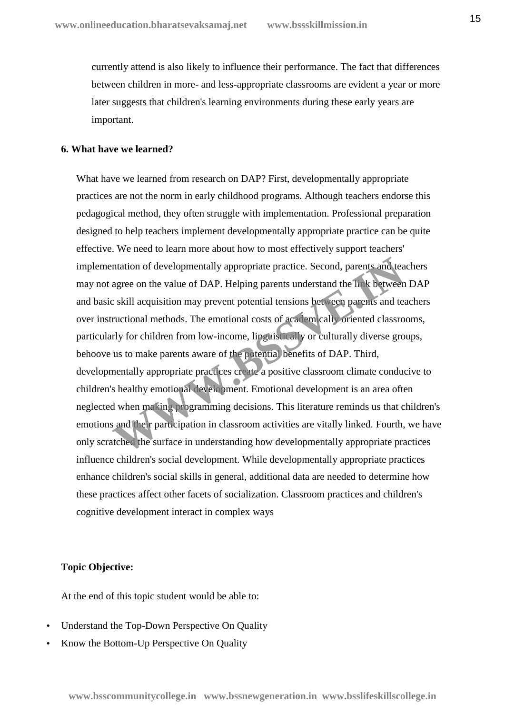currently attend is also likely to influence their performance. The fact that differences between children in more- and less-appropriate classrooms are evident a year or more later suggests that children's learning environments during these early years are important.

#### **6. What have we learned?**

What have we learned from research on DAP? First, developmentally appropriate practices are not the norm in early childhood programs. Although teachers endorse this pedagogical method, they often struggle with implementation. Professional preparation designed to help teachers implement developmentally appropriate practice can be quite effective. We need to learn more about how to most effectively support teachers' implementation of developmentally appropriate practice. Second, parents and teachers may not agree on the value of DAP. Helping parents understand the link between DAP and basic skill acquisition may prevent potential tensions between parents and teachers over instructional methods. The emotional costs of academically oriented classrooms, particularly for children from low-income, linguistically or culturally diverse groups, behoove us to make parents aware of the potential benefits of DAP. Third, developmentally appropriate practices create a positive classroom climate conducive to children's healthy emotional development. Emotional development is an area often neglected when making programming decisions. This literature reminds us that children's emotions and their participation in classroom activities are vitally linked. Fourth, we have only scratched the surface in understanding how developmentally appropriate practices influence children's social development. While developmentally appropriate practices enhance children's social skills in general, additional data are needed to determine how these practices affect other facets of socialization. Classroom practices and children's cognitive development interact in complex ways ntation of developmentally appropriate practice. Second, parents and tea agree on the value of DAP. Helping parents understand the link between c skill acquisition may prevent potential tensions between parents and terreti

## **Topic Objective:**

At the end of this topic student would be able to:

- Understand the Top-Down Perspective On Quality
- Know the Bottom-Up Perspective On Quality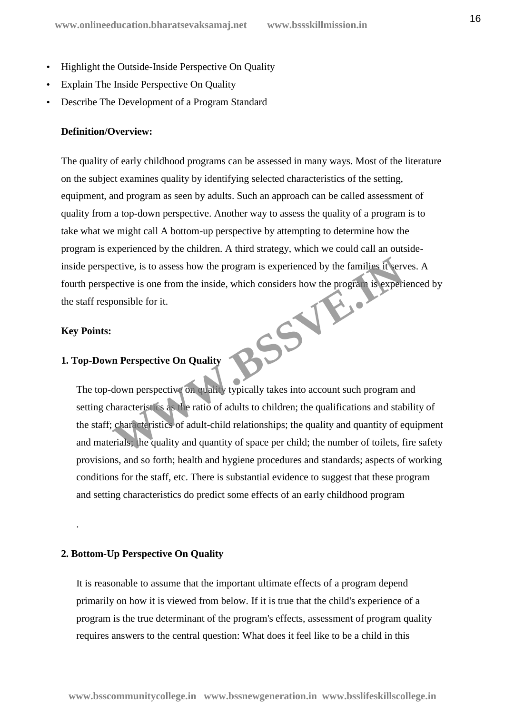- Highlight the Outside-Inside Perspective On Quality
- Explain The Inside Perspective On Quality
- Describe The Development of a Program Standard

#### **Definition/Overview:**

The quality of early childhood programs can be assessed in many ways. Most of the literature on the subject examines quality by identifying selected characteristics of the setting, equipment, and program as seen by adults. Such an approach can be called assessment of quality from a top-down perspective. Another way to assess the quality of a program is to take what we might call A bottom-up perspective by attempting to determine how the program is experienced by the children. A third strategy, which we could call an outsideinside perspective, is to assess how the program is experienced by the families it serves. A fourth perspective is one from the inside, which considers how the program is experienced by the staff responsible for it. BSS 18.

#### **Key Points:**

.

## **1. Top-Down Perspective On Quality**

The top-down perspective on quality typically takes into account such program and setting characteristics as the ratio of adults to children; the qualifications and stability of the staff; characteristics of adult-child relationships; the quality and quantity of equipment and materials; the quality and quantity of space per child; the number of toilets, fire safety provisions, and so forth; health and hygiene procedures and standards; aspects of working conditions for the staff, etc. There is substantial evidence to suggest that these program and setting characteristics do predict some effects of an early childhood program

## **2. Bottom-Up Perspective On Quality**

It is reasonable to assume that the important ultimate effects of a program depend primarily on how it is viewed from below. If it is true that the child's experience of a program is the true determinant of the program's effects, assessment of program quality requires answers to the central question: What does it feel like to be a child in this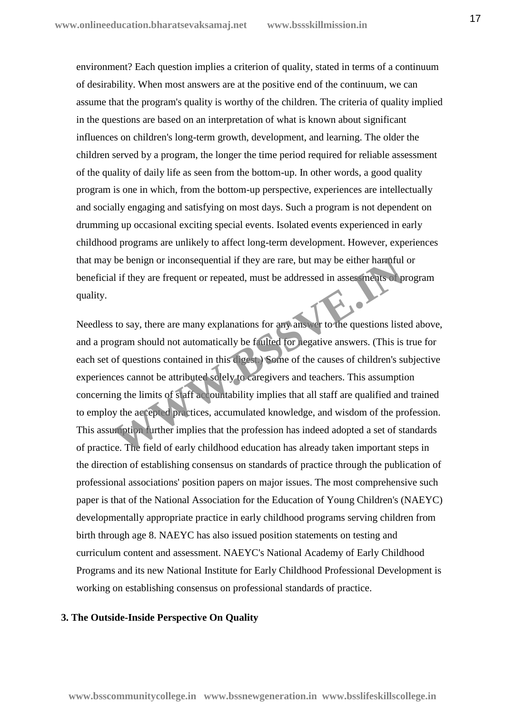environment? Each question implies a criterion of quality, stated in terms of a continuum of desirability. When most answers are at the positive end of the continuum, we can assume that the program's quality is worthy of the children. The criteria of quality implied in the questions are based on an interpretation of what is known about significant influences on children's long-term growth, development, and learning. The older the children served by a program, the longer the time period required for reliable assessment of the quality of daily life as seen from the bottom-up. In other words, a good quality program is one in which, from the bottom-up perspective, experiences are intellectually and socially engaging and satisfying on most days. Such a program is not dependent on drumming up occasional exciting special events. Isolated events experienced in early childhood programs are unlikely to affect long-term development. However, experiences that may be benign or inconsequential if they are rare, but may be either harmful or beneficial if they are frequent or repeated, must be addressed in assessments of program quality.

Needless to say, there are many explanations for any answer to the questions listed above, and a program should not automatically be faulted for negative answers. (This is true for each set of questions contained in this digest.) Some of the causes of children's subjective experiences cannot be attributed solely to caregivers and teachers. This assumption concerning the limits of staff accountability implies that all staff are qualified and trained to employ the accepted practices, accumulated knowledge, and wisdom of the profession. This assumption further implies that the profession has indeed adopted a set of standards of practice. The field of early childhood education has already taken important steps in the direction of establishing consensus on standards of practice through the publication of professional associations' position papers on major issues. The most comprehensive such paper is that of the National Association for the Education of Young Children's (NAEYC) developmentally appropriate practice in early childhood programs serving children from birth through age 8. NAEYC has also issued position statements on testing and curriculum content and assessment. NAEYC's National Academy of Early Childhood Programs and its new National Institute for Early Childhood Professional Development is working on establishing consensus on professional standards of practice. be benign or inconsequential if they are rare, but may be either harmful<br>al if they are frequent or repeated, must be addressed in assessments of<br>to say, there are many explanations for any answer to the questions list<br>beg

#### **3. The Outside-Inside Perspective On Quality**

**www.bsscommunitycollege.in www.bssnewgeneration.in www.bsslifeskillscollege.in**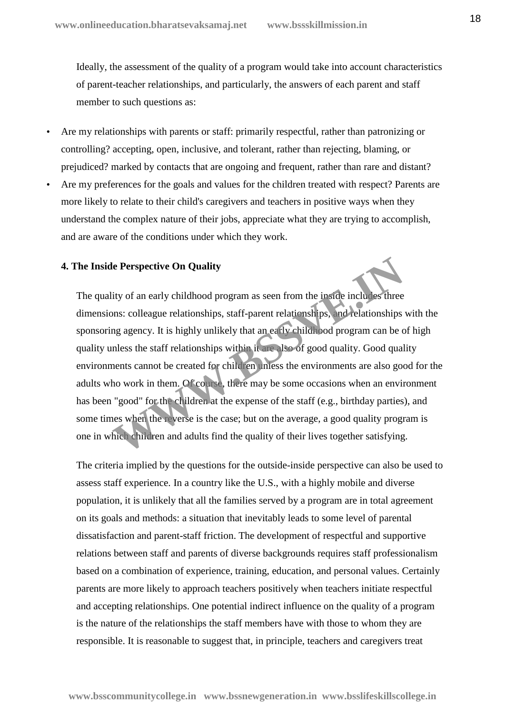Ideally, the assessment of the quality of a program would take into account characteristics of parent-teacher relationships, and particularly, the answers of each parent and staff member to such questions as:

- Are my relationships with parents or staff: primarily respectful, rather than patronizing or controlling? accepting, open, inclusive, and tolerant, rather than rejecting, blaming, or prejudiced? marked by contacts that are ongoing and frequent, rather than rare and distant?
- Are my preferences for the goals and values for the children treated with respect? Parents are more likely to relate to their child's caregivers and teachers in positive ways when they understand the complex nature of their jobs, appreciate what they are trying to accomplish, and are aware of the conditions under which they work.

#### **4. The Inside Perspective On Quality**

The quality of an early childhood program as seen from the inside includes three dimensions: colleague relationships, staff-parent relationships, and relationships with the sponsoring agency. It is highly unlikely that an early childhood program can be of high quality unless the staff relationships within it are also of good quality. Good quality environments cannot be created for children unless the environments are also good for the adults who work in them. Of course, there may be some occasions when an environment has been "good" for the children at the expense of the staff (e.g., birthday parties), and some times when the reverse is the case; but on the average, a good quality program is one in which children and adults find the quality of their lives together satisfying. **Example 18 Perspective On Quality**<br>
ity of an early childhood program as seen from the inside includes three<br>
ons: colleague relationships, staff-parent relationships, and relationships<br>
ing agency. It is highly unlikely

The criteria implied by the questions for the outside-inside perspective can also be used to assess staff experience. In a country like the U.S., with a highly mobile and diverse population, it is unlikely that all the families served by a program are in total agreement on its goals and methods: a situation that inevitably leads to some level of parental dissatisfaction and parent-staff friction. The development of respectful and supportive relations between staff and parents of diverse backgrounds requires staff professionalism based on a combination of experience, training, education, and personal values. Certainly parents are more likely to approach teachers positively when teachers initiate respectful and accepting relationships. One potential indirect influence on the quality of a program is the nature of the relationships the staff members have with those to whom they are responsible. It is reasonable to suggest that, in principle, teachers and caregivers treat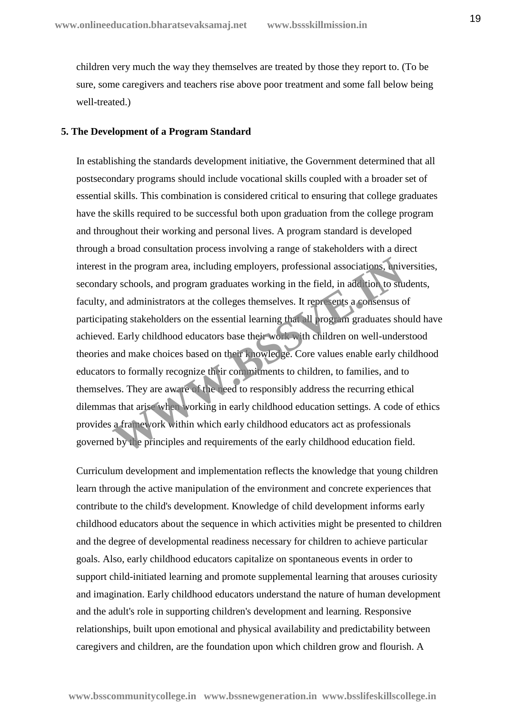children very much the way they themselves are treated by those they report to. (To be sure, some caregivers and teachers rise above poor treatment and some fall below being well-treated.)

#### **5. The Development of a Program Standard**

In establishing the standards development initiative, the Government determined that all postsecondary programs should include vocational skills coupled with a broader set of essential skills. This combination is considered critical to ensuring that college graduates have the skills required to be successful both upon graduation from the college program and throughout their working and personal lives. A program standard is developed through a broad consultation process involving a range of stakeholders with a direct interest in the program area, including employers, professional associations, universities, secondary schools, and program graduates working in the field, in addition to students, faculty, and administrators at the colleges themselves. It represents a consensus of participating stakeholders on the essential learning that all program graduates should have achieved. Early childhood educators base their work with children on well-understood theories and make choices based on their knowledge. Core values enable early childhood educators to formally recognize their commitments to children, to families, and to themselves. They are aware of the need to responsibly address the recurring ethical dilemmas that arise when working in early childhood education settings. A code of ethics provides a framework within which early childhood educators act as professionals governed by the principles and requirements of the early childhood education field. In the program area, including employers, professional associations, university schools, and program graduates working in the field, in addition to student and administrators at the colleges themselves. It represents a con

Curriculum development and implementation reflects the knowledge that young children learn through the active manipulation of the environment and concrete experiences that contribute to the child's development. Knowledge of child development informs early childhood educators about the sequence in which activities might be presented to children and the degree of developmental readiness necessary for children to achieve particular goals. Also, early childhood educators capitalize on spontaneous events in order to support child-initiated learning and promote supplemental learning that arouses curiosity and imagination. Early childhood educators understand the nature of human development and the adult's role in supporting children's development and learning. Responsive relationships, built upon emotional and physical availability and predictability between caregivers and children, are the foundation upon which children grow and flourish. A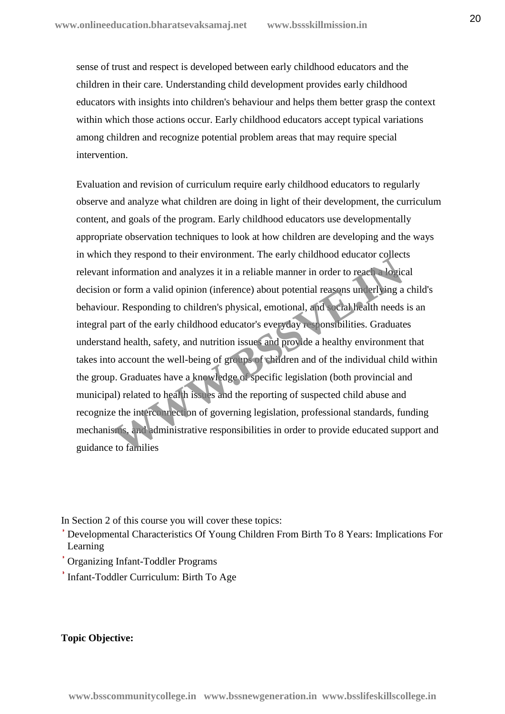sense of trust and respect is developed between early childhood educators and the children in their care. Understanding child development provides early childhood educators with insights into children's behaviour and helps them better grasp the context within which those actions occur. Early childhood educators accept typical variations among children and recognize potential problem areas that may require special intervention.

Evaluation and revision of curriculum require early childhood educators to regularly observe and analyze what children are doing in light of their development, the curriculum content, and goals of the program. Early childhood educators use developmentally appropriate observation techniques to look at how children are developing and the ways in which they respond to their environment. The early childhood educator collects relevant information and analyzes it in a reliable manner in order to reach a logical decision or form a valid opinion (inference) about potential reasons underlying a child's behaviour. Responding to children's physical, emotional, and social health needs is an integral part of the early childhood educator's everyday responsibilities. Graduates understand health, safety, and nutrition issues and provide a healthy environment that takes into account the well-being of groups of children and of the individual child within the group. Graduates have a knowledge of specific legislation (both provincial and municipal) related to health issues and the reporting of suspected child abuse and recognize the interconnection of governing legislation, professional standards, funding mechanisms, and administrative responsibilities in order to provide educated support and guidance to families The barry entertion and analyzes it in a reliable manner in order to reach a logic<br>or form a valid opinion (inference) about potential reasons uncertaing a<br>ur. Responding to children's physical, emotional, and social healt

In Section 2 of this course you will cover these topics:

- Developmental Characteristics Of Young Children From Birth To 8 Years: Implications For Learning
- Organizing Infant-Toddler Programs
- Infant-Toddler Curriculum: Birth To Age

## **Topic Objective:**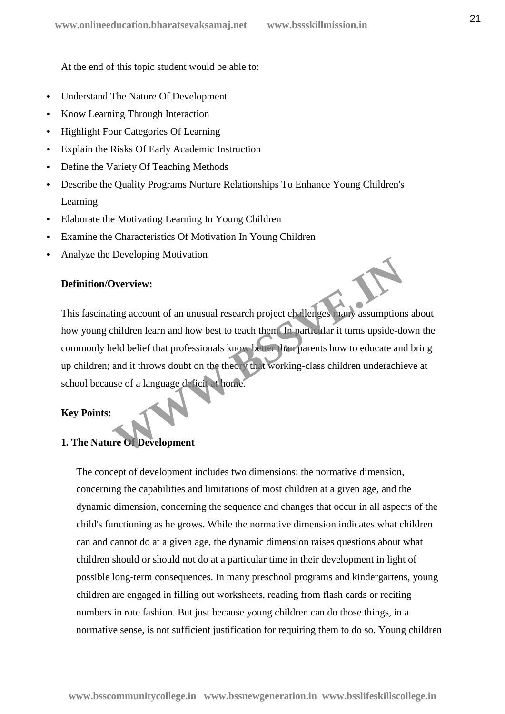At the end of this topic student would be able to:

- Understand The Nature Of Development
- Know Learning Through Interaction
- Highlight Four Categories Of Learning
- Explain the Risks Of Early Academic Instruction
- Define the Variety Of Teaching Methods
- Describe the Quality Programs Nurture Relationships To Enhance Young Children's Learning
- Elaborate the Motivating Learning In Young Children
- Examine the Characteristics Of Motivation In Young Children
- Analyze the Developing Motivation

## **Definition/Overview:**

This fascinating account of an unusual research project challenges many assumptions about how young children learn and how best to teach them. In particular it turns upside-down the commonly held belief that professionals know better than parents how to educate and bring up children; and it throws doubt on the theory that working-class children underachieve at school because of a language deficit at home. Dverview:<br>
ting account of an unusual research project challenges hany assumption<br>
children learn and how best to teach them The particular it turns upside-do<br>
eld belief that professionals know better than parents how to

## **Key Points:**

## **1. The Nature Of Development**

The concept of development includes two dimensions: the normative dimension, concerning the capabilities and limitations of most children at a given age, and the dynamic dimension, concerning the sequence and changes that occur in all aspects of the child's functioning as he grows. While the normative dimension indicates what children can and cannot do at a given age, the dynamic dimension raises questions about what children should or should not do at a particular time in their development in light of possible long-term consequences. In many preschool programs and kindergartens, young children are engaged in filling out worksheets, reading from flash cards or reciting numbers in rote fashion. But just because young children can do those things, in a normative sense, is not sufficient justification for requiring them to do so. Young children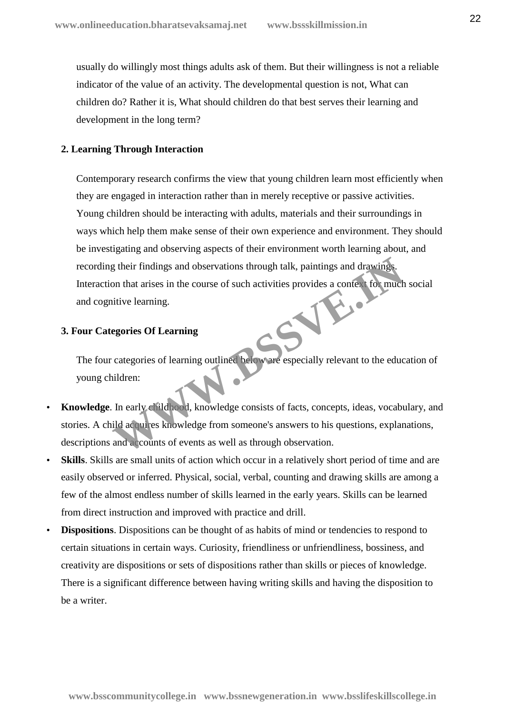usually do willingly most things adults ask of them. But their willingness is not a reliable indicator of the value of an activity. The developmental question is not, What can children do? Rather it is, What should children do that best serves their learning and development in the long term?

#### **2. Learning Through Interaction**

Contemporary research confirms the view that young children learn most efficiently when they are engaged in interaction rather than in merely receptive or passive activities. Young children should be interacting with adults, materials and their surroundings in ways which help them make sense of their own experience and environment. They should be investigating and observing aspects of their environment worth learning about, and recording their findings and observations through talk, paintings and drawings. Interaction that arises in the course of such activities provides a context for much social and cognitive learning. Experience in the course of such activities provides a context for much<br>intive learning.<br>
Experience in the course of such activities provides a context for much<br>intive learning.<br>
Experience is a context of Learning<br>
exper

## **3. Four Categories Of Learning**

The four categories of learning outlined below are especially relevant to the education of young children:

- **Knowledge**. In early childhood, knowledge consists of facts, concepts, ideas, vocabulary, and stories. A child acquires knowledge from someone's answers to his questions, explanations, descriptions and accounts of events as well as through observation.
- **Skills**. Skills are small units of action which occur in a relatively short period of time and are easily observed or inferred. Physical, social, verbal, counting and drawing skills are among a few of the almost endless number of skills learned in the early years. Skills can be learned from direct instruction and improved with practice and drill.
- **Dispositions**. Dispositions can be thought of as habits of mind or tendencies to respond to certain situations in certain ways. Curiosity, friendliness or unfriendliness, bossiness, and creativity are dispositions or sets of dispositions rather than skills or pieces of knowledge. There is a significant difference between having writing skills and having the disposition to be a writer.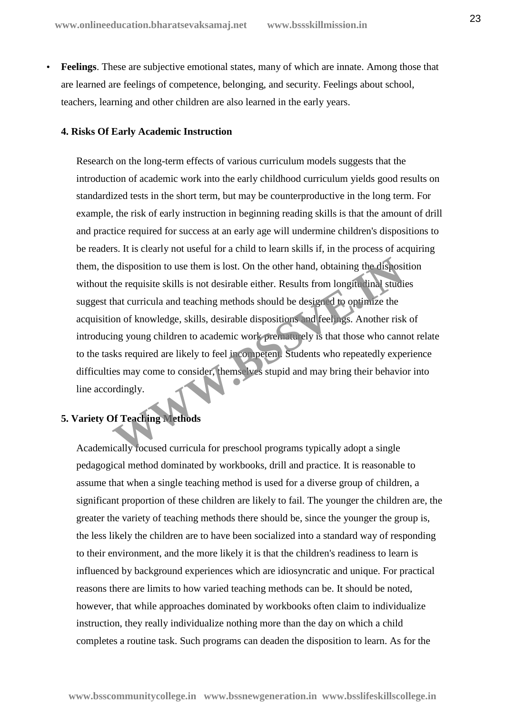**Feelings**. These are subjective emotional states, many of which are innate. Among those that are learned are feelings of competence, belonging, and security. Feelings about school, teachers, learning and other children are also learned in the early years.

#### **4. Risks Of Early Academic Instruction**

Research on the long-term effects of various curriculum models suggests that the introduction of academic work into the early childhood curriculum yields good results on standardized tests in the short term, but may be counterproductive in the long term. For example, the risk of early instruction in beginning reading skills is that the amount of drill and practice required for success at an early age will undermine children's dispositions to be readers. It is clearly not useful for a child to learn skills if, in the process of acquiring them, the disposition to use them is lost. On the other hand, obtaining the disposition without the requisite skills is not desirable either. Results from longitudinal studies suggest that curricula and teaching methods should be designed to optimize the acquisition of knowledge, skills, desirable dispositions and feelings. Another risk of introducing young children to academic work prematurely is that those who cannot relate to the tasks required are likely to feel incompetent. Students who repeatedly experience difficulties may come to consider, themselves stupid and may bring their behavior into line accordingly. Example alisposition to use them is lost. On the other hand, obtaining the disposition the requisite skills is not desirable either. Results from longitudinal studies that curricula and teaching methods should be designed

## **5. Variety Of Teaching Methods**

Academically focused curricula for preschool programs typically adopt a single pedagogical method dominated by workbooks, drill and practice. It is reasonable to assume that when a single teaching method is used for a diverse group of children, a significant proportion of these children are likely to fail. The younger the children are, the greater the variety of teaching methods there should be, since the younger the group is, the less likely the children are to have been socialized into a standard way of responding to their environment, and the more likely it is that the children's readiness to learn is influenced by background experiences which are idiosyncratic and unique. For practical reasons there are limits to how varied teaching methods can be. It should be noted, however, that while approaches dominated by workbooks often claim to individualize instruction, they really individualize nothing more than the day on which a child completes a routine task. Such programs can deaden the disposition to learn. As for the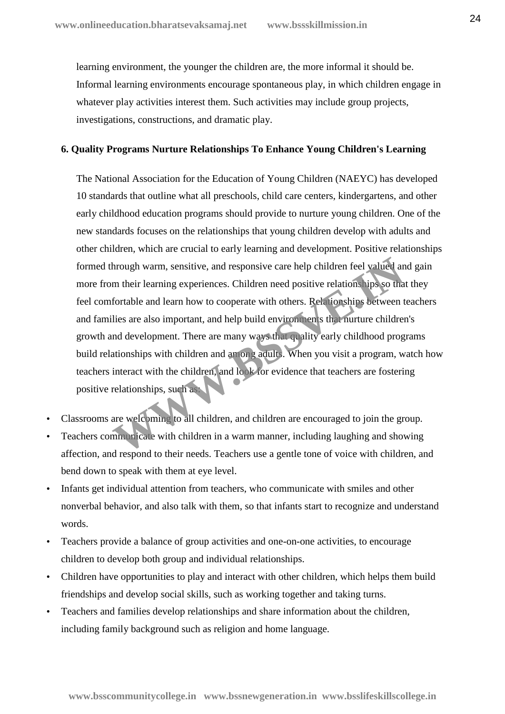learning environment, the younger the children are, the more informal it should be. Informal learning environments encourage spontaneous play, in which children engage in whatever play activities interest them. Such activities may include group projects, investigations, constructions, and dramatic play.

## **6. Quality Programs Nurture Relationships To Enhance Young Children's Learning**

The National Association for the Education of Young Children (NAEYC) has developed 10 standards that outline what all preschools, child care centers, kindergartens, and other early childhood education programs should provide to nurture young children. One of the new standards focuses on the relationships that young children develop with adults and other children, which are crucial to early learning and development. Positive relationships formed through warm, sensitive, and responsive care help children feel valued and gain more from their learning experiences. Children need positive relationships so that they feel comfortable and learn how to cooperate with others. Relationships between teachers and families are also important, and help build environments that nurture children's growth and development. There are many ways that quality early childhood programs build relationships with children and among adults. When you visit a program, watch how teachers interact with the children, and look for evidence that teachers are fostering positive relationships, such as: hrough warm, sensitive, and responsive care help children feel valued am<br>their learning experiences. Children need positive relationships so that<br>fortable and learn how to cooperate with others. Relationships between t<br>lie

- Classrooms are welcoming to all children, and children are encouraged to join the group.
- Teachers communicate with children in a warm manner, including laughing and showing affection, and respond to their needs. Teachers use a gentle tone of voice with children, and bend down to speak with them at eye level.
- Infants get individual attention from teachers, who communicate with smiles and other nonverbal behavior, and also talk with them, so that infants start to recognize and understand words.
- Teachers provide a balance of group activities and one-on-one activities, to encourage children to develop both group and individual relationships.
- Children have opportunities to play and interact with other children, which helps them build friendships and develop social skills, such as working together and taking turns.
- Teachers and families develop relationships and share information about the children, including family background such as religion and home language.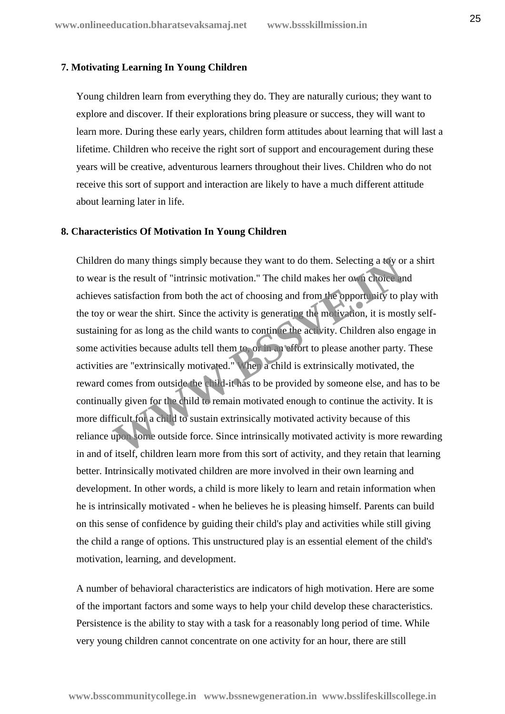#### **7. Motivating Learning In Young Children**

Young children learn from everything they do. They are naturally curious; they want to explore and discover. If their explorations bring pleasure or success, they will want to learn more. During these early years, children form attitudes about learning that will last a lifetime. Children who receive the right sort of support and encouragement during these years will be creative, adventurous learners throughout their lives. Children who do not receive this sort of support and interaction are likely to have a much different attitude about learning later in life.

#### **8. Characteristics Of Motivation In Young Children**

Children do many things simply because they want to do them. Selecting a toy or a shirt to wear is the result of "intrinsic motivation." The child makes her own choice and achieves satisfaction from both the act of choosing and from the opportunity to play with the toy or wear the shirt. Since the activity is generating the motivation, it is mostly self sustaining for as long as the child wants to continue the activity. Children also engage in some activities because adults tell them to, or in an effort to please another party. These activities are "extrinsically motivated." When a child is extrinsically motivated, the reward comes from outside the child-it has to be provided by someone else, and has to be continually given for the child to remain motivated enough to continue the activity. It is more difficult for a child to sustain extrinsically motivated activity because of this reliance upon some outside force. Since intrinsically motivated activity is more rewarding in and of itself, children learn more from this sort of activity, and they retain that learning better. Intrinsically motivated children are more involved in their own learning and development. In other words, a child is more likely to learn and retain information when he is intrinsically motivated - when he believes he is pleasing himself. Parents can build on this sense of confidence by guiding their child's play and activities while still giving the child a range of options. This unstructured play is an essential element of the child's motivation, learning, and development. do many things simply because they want to do them. Selecting a toy or<br>s the result of "intrinsic motivation." The child makes her own choice ar<br>satisfaction from both the act of choosing and from the opportunity to p<br>r we

A number of behavioral characteristics are indicators of high motivation. Here are some of the important factors and some ways to help your child develop these characteristics. Persistence is the ability to stay with a task for a reasonably long period of time. While very young children cannot concentrate on one activity for an hour, there are still

**www.bsscommunitycollege.in www.bssnewgeneration.in www.bsslifeskillscollege.in**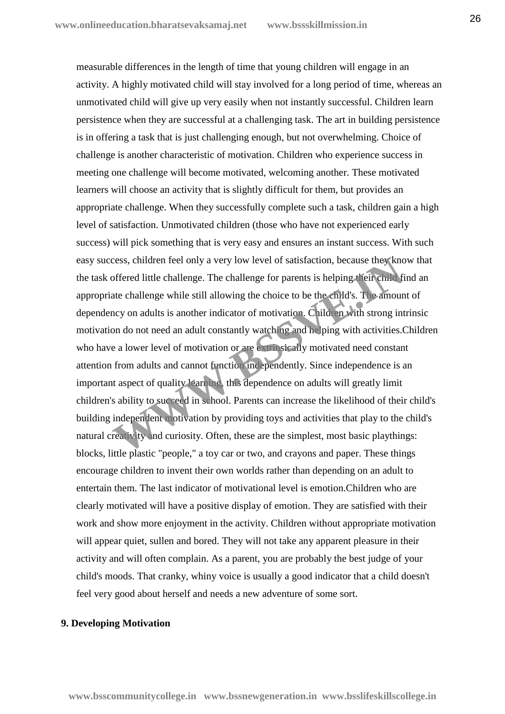measurable differences in the length of time that young children will engage in an activity. A highly motivated child will stay involved for a long period of time, whereas an unmotivated child will give up very easily when not instantly successful. Children learn persistence when they are successful at a challenging task. The art in building persistence is in offering a task that is just challenging enough, but not overwhelming. Choice of challenge is another characteristic of motivation. Children who experience success in meeting one challenge will become motivated, welcoming another. These motivated learners will choose an activity that is slightly difficult for them, but provides an appropriate challenge. When they successfully complete such a task, children gain a high level of satisfaction. Unmotivated children (those who have not experienced early success) will pick something that is very easy and ensures an instant success. With such easy success, children feel only a very low level of satisfaction, because they know that the task offered little challenge. The challenge for parents is helping their child find an appropriate challenge while still allowing the choice to be the child's. The amount of dependency on adults is another indicator of motivation. Children with strong intrinsic motivation do not need an adult constantly watching and helping with activities.Children who have a lower level of motivation or are extrinsically motivated need constant attention from adults and cannot function independently. Since independence is an important aspect of quality learning, this dependence on adults will greatly limit children's ability to succeed in school. Parents can increase the likelihood of their child's building independent motivation by providing toys and activities that play to the child's natural creativity and curiosity. Often, these are the simplest, most basic playthings: blocks, little plastic "people," a toy car or two, and crayons and paper. These things encourage children to invent their own worlds rather than depending on an adult to entertain them. The last indicator of motivational level is emotion.Children who are clearly motivated will have a positive display of emotion. They are satisfied with their work and show more enjoyment in the activity. Children without appropriate motivation will appear quiet, sullen and bored. They will not take any apparent pleasure in their activity and will often complain. As a parent, you are probably the best judge of your child's moods. That cranky, whiny voice is usually a good indicator that a child doesn't feel very good about herself and needs a new adventure of some sort. cess, children feel only a very low level of satisfaction, because they knot offered little challenge. The challenge for parents is helping their child fit at challenge while still allowing the choice to be the child's. Th

#### **9. Developing Motivation**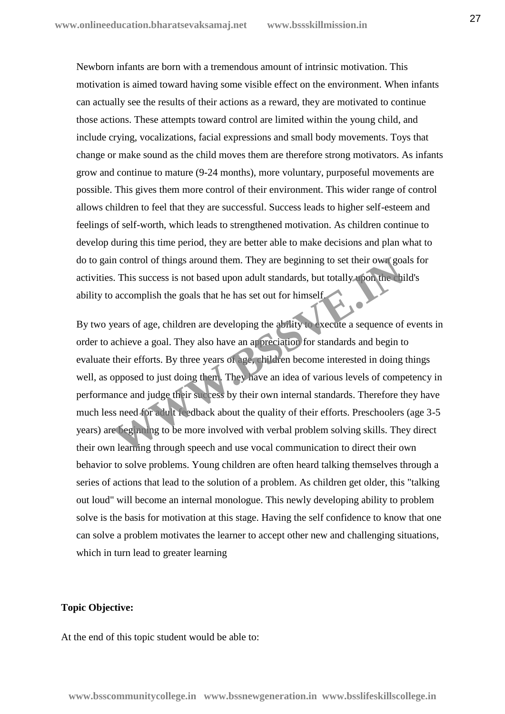Newborn infants are born with a tremendous amount of intrinsic motivation. This motivation is aimed toward having some visible effect on the environment. When infants can actually see the results of their actions as a reward, they are motivated to continue those actions. These attempts toward control are limited within the young child, and include crying, vocalizations, facial expressions and small body movements. Toys that change or make sound as the child moves them are therefore strong motivators. As infants grow and continue to mature (9-24 months), more voluntary, purposeful movements are possible. This gives them more control of their environment. This wider range of control allows children to feel that they are successful. Success leads to higher self-esteem and feelings of self-worth, which leads to strengthened motivation. As children continue to develop during this time period, they are better able to make decisions and plan what to do to gain control of things around them. They are beginning to set their own goals for activities. This success is not based upon adult standards, but totally upon the child's ability to accomplish the goals that he has set out for himself.

By two years of age, children are developing the ability to execute a sequence of events in order to achieve a goal. They also have an appreciation for standards and begin to evaluate their efforts. By three years of age, children become interested in doing things well, as opposed to just doing them. They have an idea of various levels of competency in performance and judge their success by their own internal standards. Therefore they have much less need for adult feedback about the quality of their efforts. Preschoolers (age 3-5 years) are beginning to be more involved with verbal problem solving skills. They direct their own learning through speech and use vocal communication to direct their own behavior to solve problems. Young children are often heard talking themselves through a series of actions that lead to the solution of a problem. As children get older, this "talking out loud" will become an internal monologue. This newly developing ability to problem solve is the basis for motivation at this stage. Having the self confidence to know that one can solve a problem motivates the learner to accept other new and challenging situations, which in turn lead to greater learning In control of things around them. They are beginning to set their own goals. This success is not based upon adult standards, but totally pon the biacomplish the goals that he has set out for himself execute a sequence of a

## **Topic Objective:**

At the end of this topic student would be able to: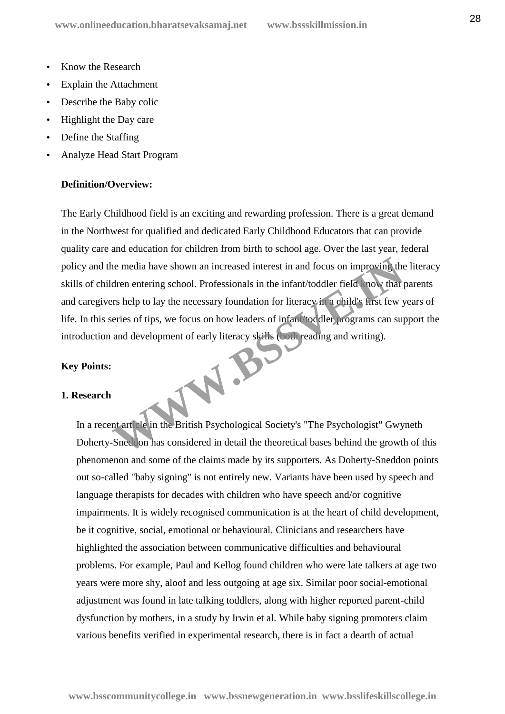- Know the Research
- Explain the Attachment
- Describe the Baby colic
- Highlight the Day care
- Define the Staffing
- Analyze Head Start Program

## **Definition/Overview:**

The Early Childhood field is an exciting and rewarding profession. There is a great demand in the Northwest for qualified and dedicated Early Childhood Educators that can provide quality care and education for children from birth to school age. Over the last year, federal policy and the media have shown an increased interest in and focus on improving the literacy skills of children entering school. Professionals in the infant/toddler field know that parents and caregivers help to lay the necessary foundation for literacy in a child's first few years of life. In this series of tips, we focus on how leaders of infant/toddler programs can support the introduction and development of early literacy skills (both reading and writing). W.B.

#### **Key Points:**

#### **1. Research**

In a recent article in the British Psychological Society's "The Psychologist" Gwyneth Doherty-Sneddon has considered in detail the theoretical bases behind the growth of this phenomenon and some of the claims made by its supporters. As Doherty-Sneddon points out so-called "baby signing" is not entirely new. Variants have been used by speech and language therapists for decades with children who have speech and/or cognitive impairments. It is widely recognised communication is at the heart of child development, be it cognitive, social, emotional or behavioural. Clinicians and researchers have highlighted the association between communicative difficulties and behavioural problems. For example, Paul and Kellog found children who were late talkers at age two years were more shy, aloof and less outgoing at age six. Similar poor social-emotional adjustment was found in late talking toddlers, along with higher reported parent-child dysfunction by mothers, in a study by Irwin et al. While baby signing promoters claim various benefits verified in experimental research, there is in fact a dearth of actual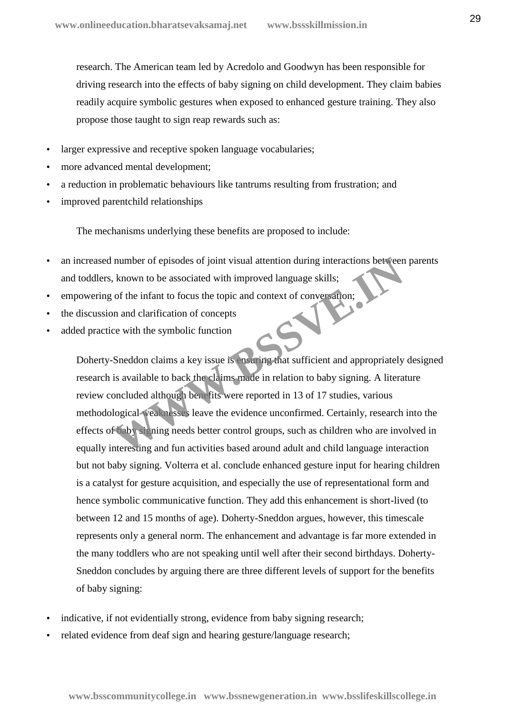research. The American team led by Acredolo and Goodwyn has been responsible for driving research into the effects of baby signing on child development. They claim babies readily acquire symbolic gestures when exposed to enhanced gesture training. They also propose those taught to sign reap rewards such as:

- larger expressive and receptive spoken language vocabularies;
- more advanced mental development;
- a reduction in problematic behaviours like tantrums resulting from frustration; and
- improved parentchild relationships

The mechanisms underlying these benefits are proposed to include:

- an increased number of episodes of joint visual attention during interactions between parents and toddlers, known to be associated with improved language skills;
- empowering of the infant to focus the topic and context of conversation;
- the discussion and clarification of concepts
- added practice with the symbolic function

Doherty-Sneddon claims a key issue is ensuring that sufficient and appropriately designed research is available to back the claims made in relation to baby signing. A literature review concluded although benefits were reported in 13 of 17 studies, various methodological weaknesses leave the evidence unconfirmed. Certainly, research into the effects of baby signing needs better control groups, such as children who are involved in equally interesting and fun activities based around adult and child language interaction but not baby signing. Volterra et al. conclude enhanced gesture input for hearing children is a catalyst for gesture acquisition, and especially the use of representational form and hence symbolic communicative function. They add this enhancement is short-lived (to between 12 and 15 months of age). Doherty-Sneddon argues, however, this timescale represents only a general norm. The enhancement and advantage is far more extended in the many toddlers who are not speaking until well after their second birthdays. Doherty- Sneddon concludes by arguing there are three different levels of support for the benefits of baby signing: number of episodes of joint visual attention during interactions between<br>
known to be associated with improved language skills;<br>
of the infant to focus the topic and context of conversation;<br>
on and clarification of concep

- indicative, if not evidentially strong, evidence from baby signing research;
- related evidence from deaf sign and hearing gesture/language research;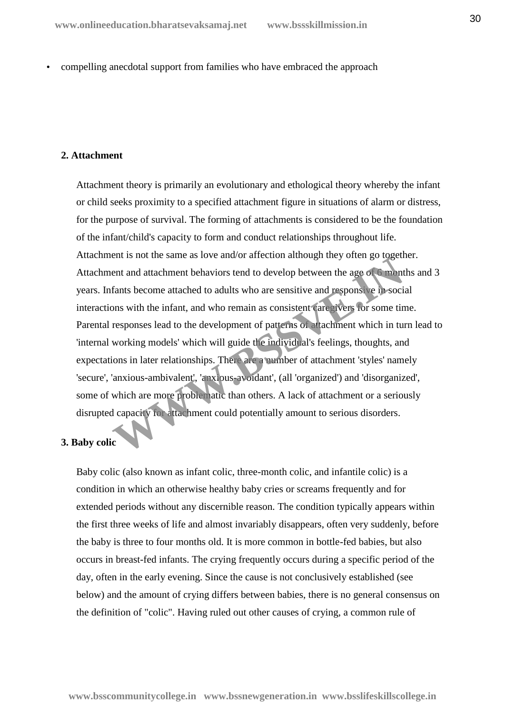compelling anecdotal support from families who have embraced the approach

## **2. Attachment**

Attachment theory is primarily an evolutionary and ethological theory whereby the infant or child seeks proximity to a specified attachment figure in situations of alarm or distress, for the purpose of survival. The forming of attachments is considered to be the foundation of the infant/child's capacity to form and conduct relationships throughout life. Attachment is not the same as love and/or affection although they often go together. Attachment and attachment behaviors tend to develop between the age of 6 months and 3 years. Infants become attached to adults who are sensitive and responsive in social interactions with the infant, and who remain as consistent caregivers for some time. Parental responses lead to the development of patterns of attachment which in turn lead to 'internal working models' which will guide the individual's feelings, thoughts, and expectations in later relationships. There are a number of attachment 'styles' namely 'secure', 'anxious-ambivalent', 'anxious-avoidant', (all 'organized') and 'disorganized', some of which are more problematic than others. A lack of attachment or a seriously disrupted capacity for attachment could potentially amount to serious disorders. The state state as fove and of ancient antiough they often go toget<br>ent and attachment behaviors tend to develop between the age of a mont<br>fants become attached to adults who are sensitive and response in social<br>mass with

## **3. Baby colic**

Baby colic (also known as infant colic, three-month colic, and infantile colic) is a condition in which an otherwise healthy baby cries or screams frequently and for extended periods without any discernible reason. The condition typically appears within the first three weeks of life and almost invariably disappears, often very suddenly, before the baby is three to four months old. It is more common in bottle-fed babies, but also occurs in breast-fed infants. The crying frequently occurs during a specific period of the day, often in the early evening. Since the cause is not conclusively established (see below) and the amount of crying differs between babies, there is no general consensus on the definition of "colic". Having ruled out other causes of crying, a common rule of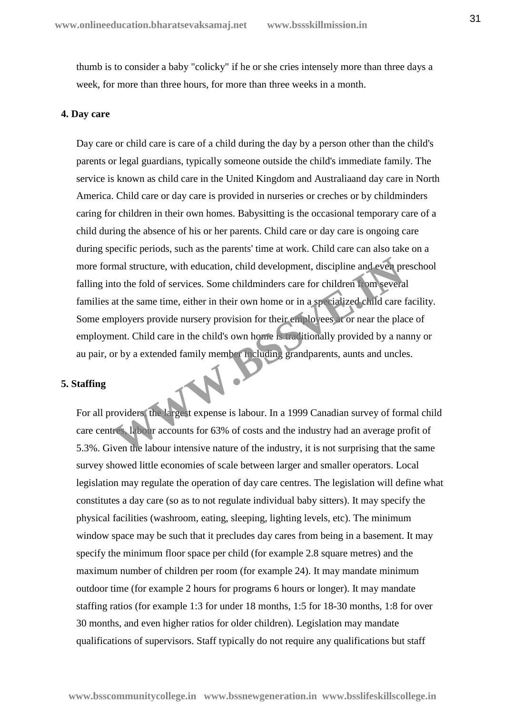thumb is to consider a baby "colicky" if he or she cries intensely more than three days a week, for more than three hours, for more than three weeks in a month.

#### **4. Day care**

Day care or child care is care of a child during the day by a person other than the child's parents or legal guardians, typically someone outside the child's immediate family. The service is known as child care in the United Kingdom and Australiaand day care in North America. Child care or day care is provided in nurseries or creches or by childminders caring for children in their own homes. Babysitting is the occasional temporary care of a child during the absence of his or her parents. Child care or day care is ongoing care during specific periods, such as the parents' time at work. Child care can also take on a more formal structure, with education, child development, discipline and even preschool falling into the fold of services. Some childminders care for children from several families at the same time, either in their own home or in a specialized child care facility. Some employers provide nursery provision for their employees at or near the place of employment. Child care in the child's own home is traditionally provided by a nanny or au pair, or by a extended family member including grandparents, aunts and uncles. mal structure, with education, child development, discipline and even proto the fold of services. Some childminders care for children **Fom severa**<br>at the same time, either in their own home or in a specialized child care<br>a

#### **5. Staffing**

For all providers, the largest expense is labour. In a 1999 Canadian survey of formal child care centres, labour accounts for 63% of costs and the industry had an average profit of 5.3%. Given the labour intensive nature of the industry, it is not surprising that the same survey showed little economies of scale between larger and smaller operators. Local legislation may regulate the operation of day care centres. The legislation will define what constitutes a day care (so as to not regulate individual baby sitters). It may specify the physical facilities (washroom, eating, sleeping, lighting levels, etc). The minimum window space may be such that it precludes day cares from being in a basement. It may specify the minimum floor space per child (for example 2.8 square metres) and the maximum number of children per room (for example 24). It may mandate minimum outdoor time (for example 2 hours for programs 6 hours or longer). It may mandate staffing ratios (for example 1:3 for under 18 months, 1:5 for 18-30 months, 1:8 for over 30 months, and even higher ratios for older children). Legislation may mandate qualifications of supervisors. Staff typically do not require any qualifications but staff

**www.bsscommunitycollege.in www.bssnewgeneration.in www.bsslifeskillscollege.in**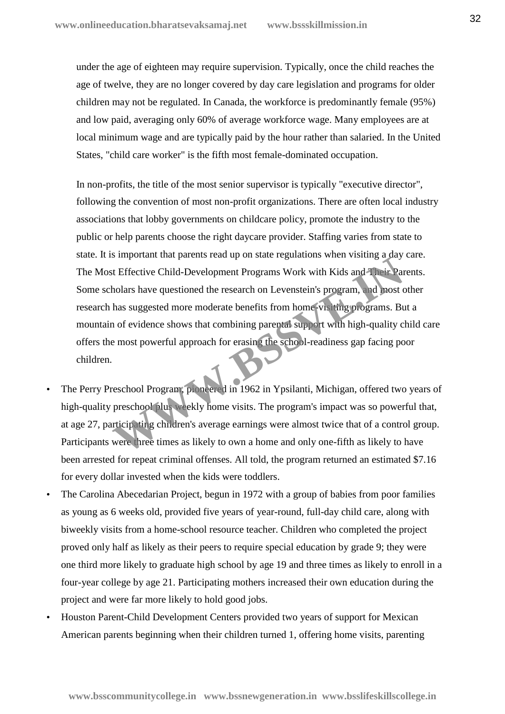under the age of eighteen may require supervision. Typically, once the child reaches the age of twelve, they are no longer covered by day care legislation and programs for older children may not be regulated. In Canada, the workforce is predominantly female (95%) and low paid, averaging only 60% of average workforce wage. Many employees are at local minimum wage and are typically paid by the hour rather than salaried. In the United States, "child care worker" is the fifth most female-dominated occupation.

In non-profits, the title of the most senior supervisor is typically "executive director", following the convention of most non-profit organizations. There are often local industry associations that lobby governments on childcare policy, promote the industry to the public or help parents choose the right daycare provider. Staffing varies from state to state. It is important that parents read up on state regulations when visiting a day care. The Most Effective Child-Development Programs Work with Kids and Their Parents. Some scholars have questioned the research on Levenstein's program, and most other research has suggested more moderate benefits from home-visiting programs. But a mountain of evidence shows that combining parental support with high-quality child care offers the most powerful approach for erasing the school-readiness gap facing poor children. **Example 18 And The Trumpel School State Properties Work with Kids and Their Pandolars have questioned the research on Levenstein's program, and most chase suggested more moderate benefits from home visiting programs. But** 

- The Perry Preschool Program, pioneered in 1962 in Ypsilanti, Michigan, offered two years of high-quality preschool plus weekly home visits. The program's impact was so powerful that, at age 27, participating children's average earnings were almost twice that of a control group. Participants were three times as likely to own a home and only one-fifth as likely to have been arrested for repeat criminal offenses. All told, the program returned an estimated \$7.16 for every dollar invested when the kids were toddlers.
- The Carolina Abecedarian Project, begun in 1972 with a group of babies from poor families as young as 6 weeks old, provided five years of year-round, full-day child care, along with biweekly visits from a home-school resource teacher. Children who completed the project proved only half as likely as their peers to require special education by grade 9; they were one third more likely to graduate high school by age 19 and three times as likely to enroll in a four-year college by age 21. Participating mothers increased their own education during the project and were far more likely to hold good jobs.
- Houston Parent-Child Development Centers provided two years of support for Mexican American parents beginning when their children turned 1, offering home visits, parenting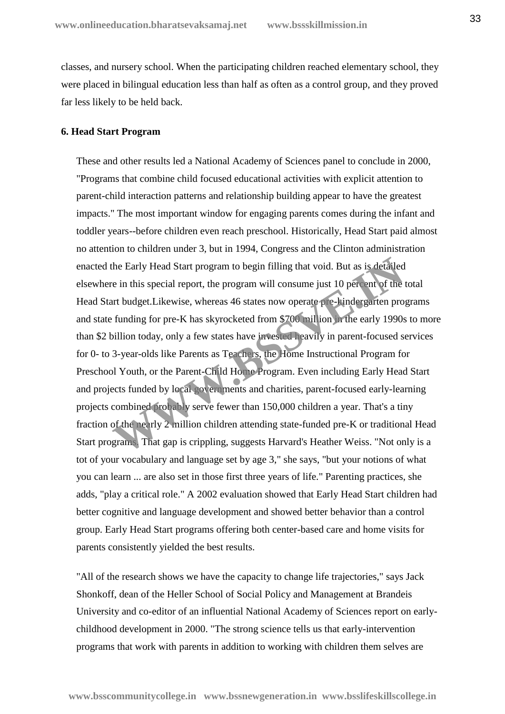classes, and nursery school. When the participating children reached elementary school, they were placed in bilingual education less than half as often as a control group, and they proved far less likely to be held back.

#### **6. Head Start Program**

These and other results led a National Academy of Sciences panel to conclude in 2000, "Programs that combine child focused educational activities with explicit attention to parent-child interaction patterns and relationship building appear to have the greatest impacts." The most important window for engaging parents comes during the infant and toddler years--before children even reach preschool. Historically, Head Start paid almost no attention to children under 3, but in 1994, Congress and the Clinton administration enacted the Early Head Start program to begin filling that void. But as is detailed elsewhere in this special report, the program will consume just 10 percent of the total Head Start budget.Likewise, whereas 46 states now operate pre-kindergarten programs and state funding for pre-K has skyrocketed from \$700 million in the early 1990s to more than \$2 billion today, only a few states have invested heavily in parent-focused services for 0- to 3-year-olds like Parents as Teachers, the Home Instructional Program for Preschool Youth, or the Parent-Child Home Program. Even including Early Head Start and projects funded by local governments and charities, parent-focused early-learning projects combined probably serve fewer than 150,000 children a year. That's a tiny fraction of the nearly 2 million children attending state-funded pre-K or traditional Head Start programs. That gap is crippling, suggests Harvard's Heather Weiss. "Not only is a tot of your vocabulary and language set by age 3," she says, "but your notions of what you can learn ... are also set in those first three years of life." Parenting practices, she adds, "play a critical role." A 2002 evaluation showed that Early Head Start children had better cognitive and language development and showed better behavior than a control group. Early Head Start programs offering both center-based care and home visits for parents consistently yielded the best results. the Early Head Start program to begin filling that void. But as is detailed<br>
in this special report, the program will consume just 10 per ent of the<br>
the turt budget.Likewise, whereas 46 states now operate pre-lindergarten

"All of the research shows we have the capacity to change life trajectories," says Jack Shonkoff, dean of the Heller School of Social Policy and Management at Brandeis University and co-editor of an influential National Academy of Sciences report on early childhood development in 2000. "The strong science tells us that early-intervention programs that work with parents in addition to working with children them selves are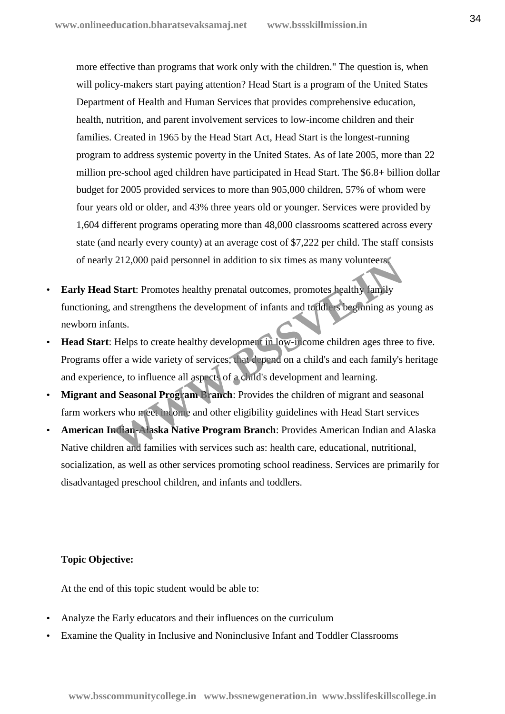more effective than programs that work only with the children." The question is, when will policy-makers start paying attention? Head Start is a program of the United States Department of Health and Human Services that provides comprehensive education, health, nutrition, and parent involvement services to low-income children and their families. Created in 1965 by the Head Start Act, Head Start is the longest-running program to address systemic poverty in the United States. As of late 2005, more than 22 million pre-school aged children have participated in Head Start. The \$6.8+ billion dollar budget for 2005 provided services to more than 905,000 children, 57% of whom were four years old or older, and 43% three years old or younger. Services were provided by 1,604 different programs operating more than 48,000 classrooms scattered across every state (and nearly every county) at an average cost of \$7,222 per child. The staff consists of nearly 212,000 paid personnel in addition to six times as many volunteers.

- **Early Head Start**: Promotes healthy prenatal outcomes, promotes healthy family functioning, and strengthens the development of infants and toddlers beginning as young as newborn infants.
- **Head Start:** Helps to create healthy development in low-income children ages three to five. Programs offer a wide variety of services, that depend on a child's and each family's heritage and experience, to influence all aspects of a child's development and learning. 212,000 paid personnel in addition to six times as many volunteers<br> **Start:** Promotes healthy prenatal outcomes, promotes healthy family<br>
and strengthens the development of infants and todders beginning as you<br>
ants.<br>
Help
- **Migrant and Seasonal Program Branch:** Provides the children of migrant and seasonal farm workers who meet income and other eligibility guidelines with Head Start services
- **American Indian-Alaska Native Program Branch**: Provides American Indian and Alaska Native children and families with services such as: health care, educational, nutritional, socialization, as well as other services promoting school readiness. Services are primarily for disadvantaged preschool children, and infants and toddlers.

## **Topic Objective:**

At the end of this topic student would be able to:

- Analyze the Early educators and their influences on the curriculum
- Examine the Quality in Inclusive and Noninclusive Infant and Toddler Classrooms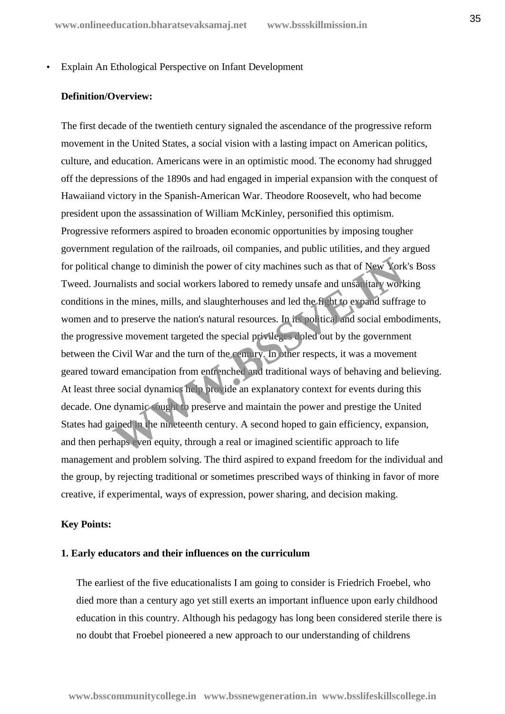#### Explain An Ethological Perspective on Infant Development

#### **Definition/Overview:**

The first decade of the twentieth century signaled the ascendance of the progressive reform movement in the United States, a social vision with a lasting impact on American politics, culture, and education. Americans were in an optimistic mood. The economy had shrugged off the depressions of the 1890s and had engaged in imperial expansion with the conquest of Hawaiiand victory in the Spanish-American War. Theodore Roosevelt, who had become president upon the assassination of William McKinley, personified this optimism. Progressive reformers aspired to broaden economic opportunities by imposing tougher government regulation of the railroads, oil companies, and public utilities, and they argued for political change to diminish the power of city machines such as that of New York's Boss Tweed. Journalists and social workers labored to remedy unsafe and unsanitary working conditions in the mines, mills, and slaughterhouses and led the fight to expand suffrage to women and to preserve the nation's natural resources. In its political and social embodiments, the progressive movement targeted the special privileges doled out by the government between the Civil War and the turn of the century. In other respects, it was a movement geared toward emancipation from entrenched and traditional ways of behaving and believing. At least three social dynamics help provide an explanatory context for events during this decade. One dynamic sought to preserve and maintain the power and prestige the United States had gained in the nineteenth century. A second hoped to gain efficiency, expansion, and then perhaps even equity, through a real or imagined scientific approach to life management and problem solving. The third aspired to expand freedom for the individual and the group, by rejecting traditional or sometimes prescribed ways of thinking in favor of more creative, if experimental, ways of expression, power sharing, and decision making. change to diminish the power of city machines such as that of New York<br>nalists and social workers labored to remedy unsafe and unsatitary work<br>it the mines, mills, and slaughterhouses and led the fight to expand suffra<br>to

## **Key Points:**

## **1. Early educators and their influences on the curriculum**

The earliest of the five educationalists I am going to consider is Friedrich Froebel, who died more than a century ago yet still exerts an important influence upon early childhood education in this country. Although his pedagogy has long been considered sterile there is no doubt that Froebel pioneered a new approach to our understanding of childrens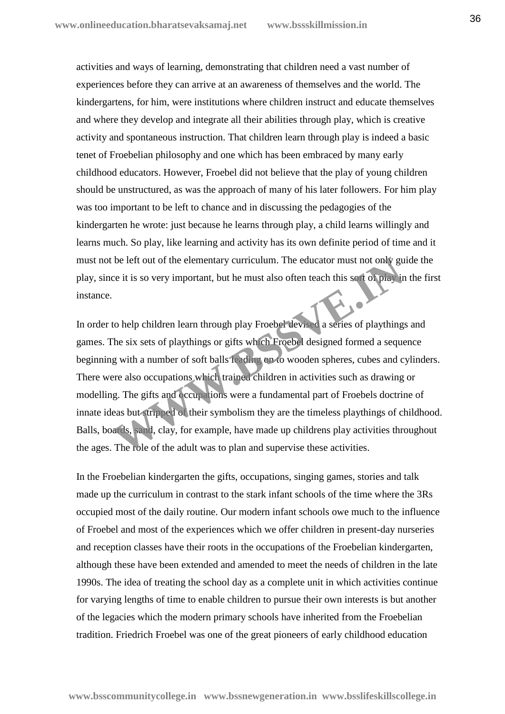activities and ways of learning, demonstrating that children need a vast number of experiences before they can arrive at an awareness of themselves and the world. The kindergartens, for him, were institutions where children instruct and educate themselves and where they develop and integrate all their abilities through play, which is creative activity and spontaneous instruction. That children learn through play is indeed a basic tenet of Froebelian philosophy and one which has been embraced by many early childhood educators. However, Froebel did not believe that the play of young children should be unstructured, as was the approach of many of his later followers. For him play was too important to be left to chance and in discussing the pedagogies of the kindergarten he wrote: just because he learns through play, a child learns willingly and learns much. So play, like learning and activity has its own definite period of time and it must not be left out of the elementary curriculum. The educator must not only guide the play, since it is so very important, but he must also often teach this sort of play in the first instance.

In order to help children learn through play Froebel devised a series of playthings and games. The six sets of playthings or gifts which Froebel designed formed a sequence beginning with a number of soft balls leading on to wooden spheres, cubes and cylinders. There were also occupations which trained children in activities such as drawing or modelling. The gifts and occupations were a fundamental part of Froebels doctrine of innate ideas but stripped of their symbolism they are the timeless playthings of childhood. Balls, boards, sand, clay, for example, have made up childrens play activities throughout the ages. The role of the adult was to plan and supervise these activities. be left out of the elementary curriculum. The educator must not only gue et it is so very important, but he must also often teach this so the properties of play in the must also often teach this so the properties of playth

In the Froebelian kindergarten the gifts, occupations, singing games, stories and talk made up the curriculum in contrast to the stark infant schools of the time where the 3Rs occupied most of the daily routine. Our modern infant schools owe much to the influence of Froebel and most of the experiences which we offer children in present-day nurseries and reception classes have their roots in the occupations of the Froebelian kindergarten, although these have been extended and amended to meet the needs of children in the late 1990s. The idea of treating the school day as a complete unit in which activities continue for varying lengths of time to enable children to pursue their own interests is but another of the legacies which the modern primary schools have inherited from the Froebelian tradition. Friedrich Froebel was one of the great pioneers of early childhood education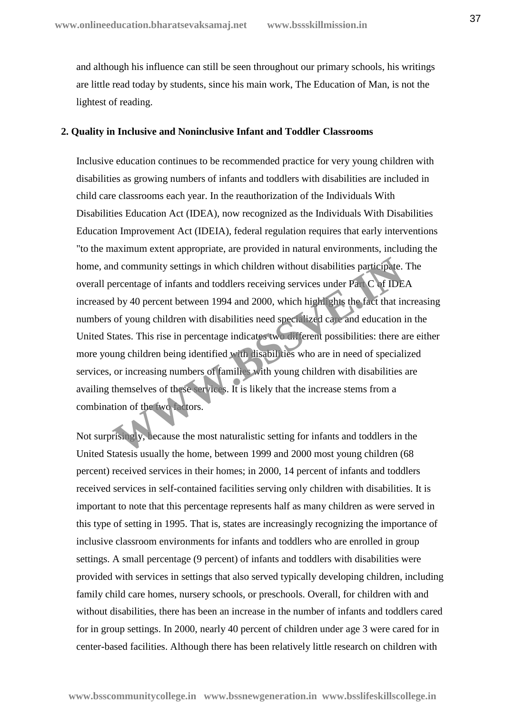and although his influence can still be seen throughout our primary schools, his writings are little read today by students, since his main work, The Education of Man, is not the lightest of reading.

#### **2. Quality in Inclusive and Noninclusive Infant and Toddler Classrooms**

Inclusive education continues to be recommended practice for very young children with disabilities as growing numbers of infants and toddlers with disabilities are included in child care classrooms each year. In the reauthorization of the Individuals With Disabilities Education Act (IDEA), now recognized as the Individuals With Disabilities Education Improvement Act (IDEIA), federal regulation requires that early interventions "to the maximum extent appropriate, are provided in natural environments, including the home, and community settings in which children without disabilities participate. The overall percentage of infants and toddlers receiving services under Part C of IDEA increased by 40 percent between 1994 and 2000, which highlights the fact that increasing numbers of young children with disabilities need specialized care and education in the United States. This rise in percentage indicates two different possibilities: there are either more young children being identified with disabilities who are in need of specialized services, or increasing numbers of families with young children with disabilities are availing themselves of these services. It is likely that the increase stems from a combination of the two factors. nd community settings in which children without disabilities participate.<br>
ercentage of infants and toddlers receiving services under Participate.<br>
H by 40 percent between 1994 and 2000, which high this the fact that in<br>
o

Not surprisingly, because the most naturalistic setting for infants and toddlers in the United Statesis usually the home, between 1999 and 2000 most young children (68 percent) received services in their homes; in 2000, 14 percent of infants and toddlers received services in self-contained facilities serving only children with disabilities. It is important to note that this percentage represents half as many children as were served in this type of setting in 1995. That is, states are increasingly recognizing the importance of inclusive classroom environments for infants and toddlers who are enrolled in group settings. A small percentage (9 percent) of infants and toddlers with disabilities were provided with services in settings that also served typically developing children, including family child care homes, nursery schools, or preschools. Overall, for children with and without disabilities, there has been an increase in the number of infants and toddlers cared for in group settings. In 2000, nearly 40 percent of children under age 3 were cared for in center-based facilities. Although there has been relatively little research on children with

**www.bsscommunitycollege.in www.bssnewgeneration.in www.bsslifeskillscollege.in**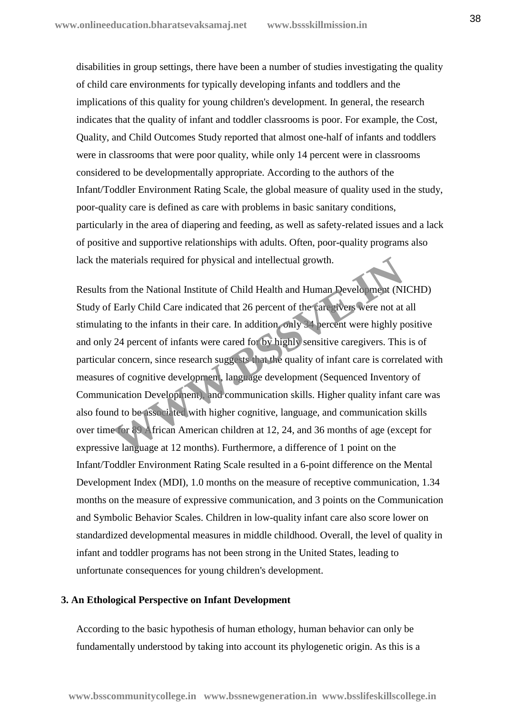disabilities in group settings, there have been a number of studies investigating the quality of child care environments for typically developing infants and toddlers and the implications of this quality for young children's development. In general, the research indicates that the quality of infant and toddler classrooms is poor. For example, the Cost, Quality, and Child Outcomes Study reported that almost one-half of infants and toddlers were in classrooms that were poor quality, while only 14 percent were in classrooms considered to be developmentally appropriate. According to the authors of the Infant/Toddler Environment Rating Scale, the global measure of quality used in the study, poor-quality care is defined as care with problems in basic sanitary conditions, particularly in the area of diapering and feeding, as well as safety-related issues and a lack of positive and supportive relationships with adults. Often, poor-quality programs also lack the materials required for physical and intellectual growth.

Results from the National Institute of Child Health and Human Development (NICHD) Study of Early Child Care indicated that 26 percent of the caregivers were not at all stimulating to the infants in their care. In addition, only 34 percent were highly positive and only 24 percent of infants were cared for by highly sensitive caregivers. This is of particular concern, since research suggests that the quality of infant care is correlated with measures of cognitive development, language development (Sequenced Inventory of Communication Development), and communication skills. Higher quality infant care was also found to be associated with higher cognitive, language, and communication skills over time for 89 African American children at 12, 24, and 36 months of age (except for expressive language at 12 months). Furthermore, a difference of 1 point on the Infant/Toddler Environment Rating Scale resulted in a 6-point difference on the Mental Development Index (MDI), 1.0 months on the measure of receptive communication, 1.34 months on the measure of expressive communication, and 3 points on the Communication and Symbolic Behavior Scales. Children in low-quality infant care also score lower on standardized developmental measures in middle childhood. Overall, the level of quality in infant and toddler programs has not been strong in the United States, leading to unfortunate consequences for young children's development. materials required for physical and intellectual growth.<br>
Transfer in National Institute of Child Health and Human Development (NI<br>
Early Child Care indicated that 26 percent of the care givers were not at<br>
ng to the infan

## **3. An Ethological Perspective on Infant Development**

According to the basic hypothesis of human ethology, human behavior can only be fundamentally understood by taking into account its phylogenetic origin. As this is a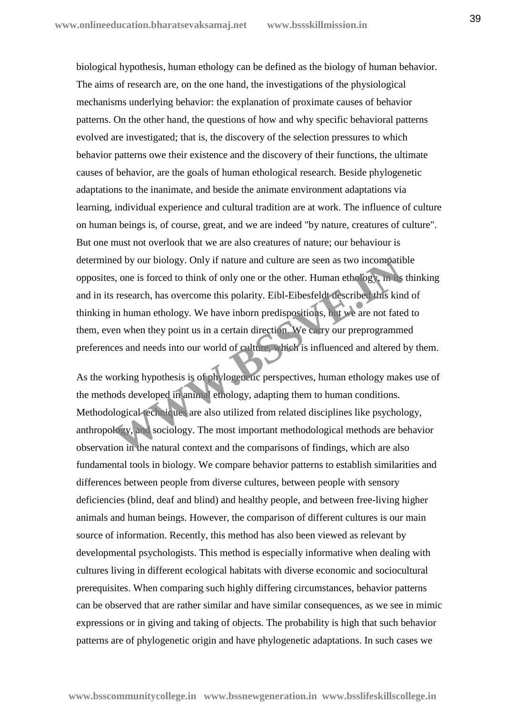biological hypothesis, human ethology can be defined as the biology of human behavior. The aims of research are, on the one hand, the investigations of the physiological mechanisms underlying behavior: the explanation of proximate causes of behavior patterns. On the other hand, the questions of how and why specific behavioral patterns evolved are investigated; that is, the discovery of the selection pressures to which behavior patterns owe their existence and the discovery of their functions, the ultimate causes of behavior, are the goals of human ethological research. Beside phylogenetic adaptations to the inanimate, and beside the animate environment adaptations via learning, individual experience and cultural tradition are at work. The influence of culture on human beings is, of course, great, and we are indeed "by nature, creatures of culture". But one must not overlook that we are also creatures of nature; our behaviour is determined by our biology. Only if nature and culture are seen as two incompatible opposites, one is forced to think of only one or the other. Human ethology, in its thinking and in its research, has overcome this polarity. Eibl-Eibesfeldt described this kind of thinking in human ethology. We have inborn predispositions, but we are not fated to them, even when they point us in a certain direction. We carry our preprogrammed preferences and needs into our world of culture, which is influenced and altered by them. From the properties are also utilized from related disciplines have a bien in the matter of the properties, the secarch, has overcome this polarity. Eibl-Eibesfeldt described this kind in human ethology. We have inborn pre

As the working hypothesis is of phylogenetic perspectives, human ethology makes use of the methods developed in animal ethology, adapting them to human conditions. Methodological techniques are also utilized from related disciplines like psychology, anthropology, and sociology. The most important methodological methods are behavior observation in the natural context and the comparisons of findings, which are also fundamental tools in biology. We compare behavior patterns to establish similarities and differences between people from diverse cultures, between people with sensory deficiencies (blind, deaf and blind) and healthy people, and between free-living higher animals and human beings. However, the comparison of different cultures is our main source of information. Recently, this method has also been viewed as relevant by developmental psychologists. This method is especially informative when dealing with cultures living in different ecological habitats with diverse economic and sociocultural prerequisites. When comparing such highly differing circumstances, behavior patterns can be observed that are rather similar and have similar consequences, as we see in mimic expressions or in giving and taking of objects. The probability is high that such behavior patterns are of phylogenetic origin and have phylogenetic adaptations. In such cases we

**www.bsscommunitycollege.in www.bssnewgeneration.in www.bsslifeskillscollege.in**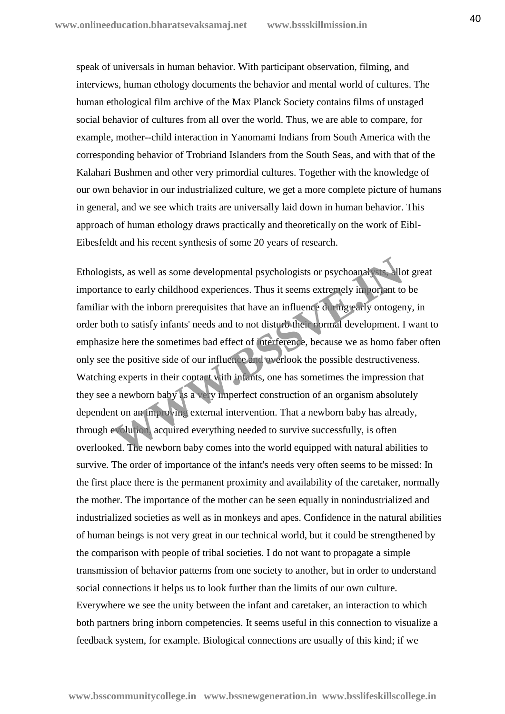speak of universals in human behavior. With participant observation, filming, and interviews, human ethology documents the behavior and mental world of cultures. The human ethological film archive of the Max Planck Society contains films of unstaged social behavior of cultures from all over the world. Thus, we are able to compare, for example, mother--child interaction in Yanomami Indians from South America with the corresponding behavior of Trobriand Islanders from the South Seas, and with that of the Kalahari Bushmen and other very primordial cultures. Together with the knowledge of our own behavior in our industrialized culture, we get a more complete picture of humans in general, and we see which traits are universally laid down in human behavior. This approach of human ethology draws practically and theoretically on the work of Eibl- Eibesfeldt and his recent synthesis of some 20 years of research.

Ethologists, as well as some developmental psychologists or psychoanalysts, allot great importance to early childhood experiences. Thus it seems extremely important to be familiar with the inborn prerequisites that have an influence during early ontogeny, in order both to satisfy infants' needs and to not disturb their normal development. I want to emphasize here the sometimes bad effect of interference, because we as homo faber often only see the positive side of our influence and overlook the possible destructiveness. Watching experts in their contact with infants, one has sometimes the impression that they see a newborn baby as a very imperfect construction of an organism absolutely dependent on an improving external intervention. That a newborn baby has already, through evolution, acquired everything needed to survive successfully, is often overlooked. The newborn baby comes into the world equipped with natural abilities to survive. The order of importance of the infant's needs very often seems to be missed: In the first place there is the permanent proximity and availability of the caretaker, normally the mother. The importance of the mother can be seen equally in nonindustrialized and industrialized societies as well as in monkeys and apes. Confidence in the natural abilities of human beings is not very great in our technical world, but it could be strengthened by the comparison with people of tribal societies. I do not want to propagate a simple transmission of behavior patterns from one society to another, but in order to understand social connections it helps us to look further than the limits of our own culture. Everywhere we see the unity between the infant and caretaker, an interaction to which both partners bring inborn competencies. It seems useful in this connection to visualize a feedback system, for example. Biological connections are usually of this kind; if we sts, as well as some developmental psychologists or psychoanalysts. all<br>conce to early childhood experiences. Thus it seems extremely in portant to<br>with the inborn prerequisites that have an influence during sarly ontoger<br>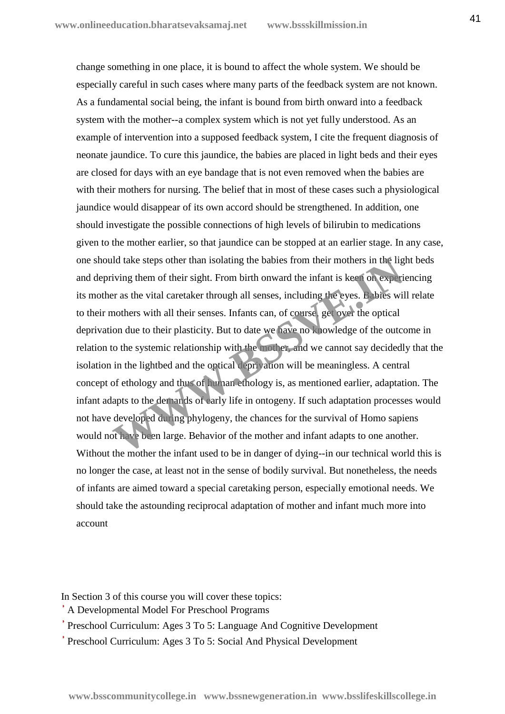change something in one place, it is bound to affect the whole system. We should be especially careful in such cases where many parts of the feedback system are not known. As a fundamental social being, the infant is bound from birth onward into a feedback system with the mother--a complex system which is not yet fully understood. As an example of intervention into a supposed feedback system, I cite the frequent diagnosis of neonate jaundice. To cure this jaundice, the babies are placed in light beds and their eyes are closed for days with an eye bandage that is not even removed when the babies are with their mothers for nursing. The belief that in most of these cases such a physiological jaundice would disappear of its own accord should be strengthened. In addition, one should investigate the possible connections of high levels of bilirubin to medications given to the mother earlier, so that jaundice can be stopped at an earlier stage. In any case, one should take steps other than isolating the babies from their mothers in the light beds and depriving them of their sight. From birth onward the infant is keen on experiencing its mother as the vital caretaker through all senses, including the eyes. Babies will relate to their mothers with all their senses. Infants can, of course, get over the optical deprivation due to their plasticity. But to date we have no knowledge of the outcome in relation to the systemic relationship with the mother, and we cannot say decidedly that the isolation in the lightbed and the optical deprivation will be meaningless. A central concept of ethology and thus of human ethology is, as mentioned earlier, adaptation. The infant adapts to the demands of early life in ontogeny. If such adaptation processes would not have developed during phylogeny, the chances for the survival of Homo sapiens would not have been large. Behavior of the mother and infant adapts to one another. Without the mother the infant used to be in danger of dying--in our technical world this is no longer the case, at least not in the sense of bodily survival. But nonetheless, the needs of infants are aimed toward a special caretaking person, especially emotional needs. We should take the astounding reciprocal adaptation of mother and infant much more into account Id take steps other than isolating the babies from their mothers in the ligitying them of their sight. From birth onward the infant is keen on experience as the vital caretaker through all senses, including the eyes. Babie

In Section 3 of this course you will cover these topics:

- A Developmental Model For Preschool Programs
- Preschool Curriculum: Ages 3 To 5: Language And Cognitive Development
- Preschool Curriculum: Ages 3 To 5: Social And Physical Development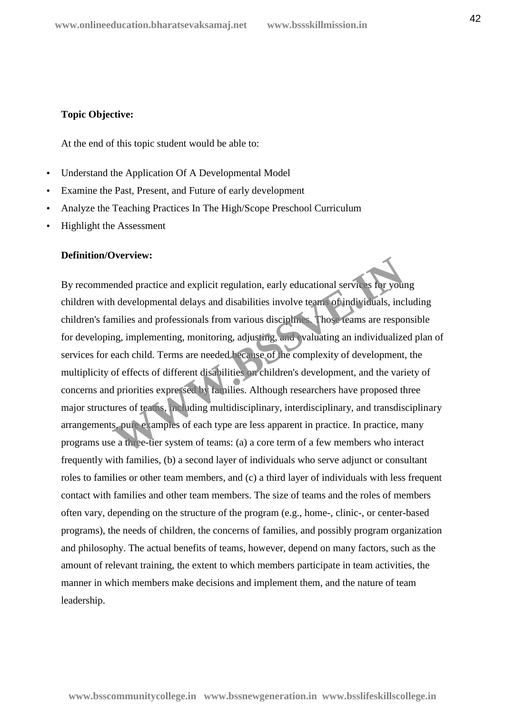## **Topic Objective:**

At the end of this topic student would be able to:

- Understand the Application Of A Developmental Model
- Examine the Past, Present, and Future of early development
- Analyze the Teaching Practices In The High/Scope Preschool Curriculum
- Highlight the Assessment

## **Definition/Overview:**

By recommended practice and explicit regulation, early educational services for young children with developmental delays and disabilities involve teams of individuals, including children's families and professionals from various disciplines. Those teams are responsible for developing, implementing, monitoring, adjusting, and evaluating an individualized plan of services for each child. Terms are needed because of the complexity of development, the multiplicity of effects of different disabilities on children's development, and the variety of concerns and priorities expressed by families. Although researchers have proposed three major structures of teams, including multidisciplinary, interdisciplinary, and transdisciplinary arrangements, pure examples of each type are less apparent in practice. In practice, many programs use a three-tier system of teams: (a) a core term of a few members who interact frequently with families, (b) a second layer of individuals who serve adjunct or consultant roles to families or other team members, and (c) a third layer of individuals with less frequent contact with families and other team members. The size of teams and the roles of members often vary, depending on the structure of the program (e.g., home-, clinic-, or center-based programs), the needs of children, the concerns of families, and possibly program organization and philosophy. The actual benefits of teams, however, depend on many factors, such as the amount of relevant training, the extent to which members participate in team activities, the manner in which members make decisions and implement them, and the nature of team leadership. **Exampled practice and explicit regulation, early educational services for your of developmental delays and disabilities involve teams of individuals, including and professionals from various discipline. Those reams are re**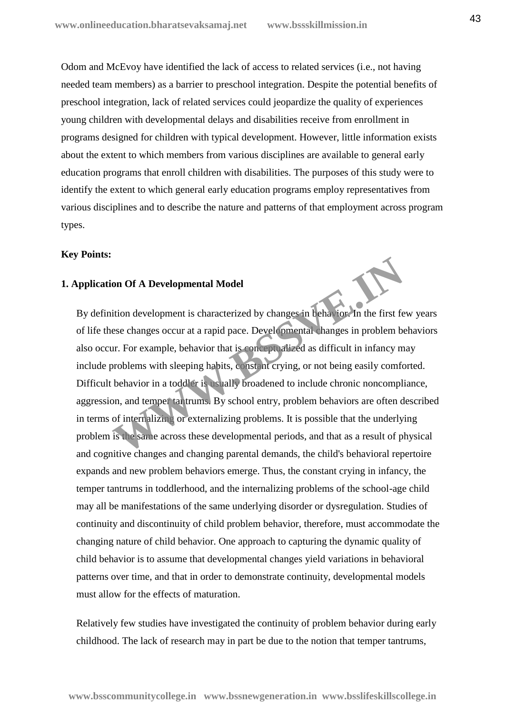Odom and McEvoy have identified the lack of access to related services (i.e., not having needed team members) as a barrier to preschool integration. Despite the potential benefits of preschool integration, lack of related services could jeopardize the quality of experiences young children with developmental delays and disabilities receive from enrollment in programs designed for children with typical development. However, little information exists about the extent to which members from various disciplines are available to general early education programs that enroll children with disabilities. The purposes of this study were to identify the extent to which general early education programs employ representatives from various disciplines and to describe the nature and patterns of that employment across program types.

### **Key Points:**

## **1. Application Of A Developmental Model**

By definition development is characterized by changes in behavior. In the first few years of life these changes occur at a rapid pace. Developmental changes in problem behaviors also occur. For example, behavior that is conceptualized as difficult in infancy may include problems with sleeping habits, constant crying, or not being easily comforted. Difficult behavior in a toddler is usually broadened to include chronic noncompliance, aggression, and temper tantrums. By school entry, problem behaviors are often described in terms of internalizing or externalizing problems. It is possible that the underlying problem is the same across these developmental periods, and that as a result of physical and cognitive changes and changing parental demands, the child's behavioral repertoire expands and new problem behaviors emerge. Thus, the constant crying in infancy, the temper tantrums in toddlerhood, and the internalizing problems of the school-age child may all be manifestations of the same underlying disorder or dysregulation. Studies of continuity and discontinuity of child problem behavior, therefore, must accommodate the changing nature of child behavior. One approach to capturing the dynamic quality of child behavior is to assume that developmental changes yield variations in behavioral patterns over time, and that in order to demonstrate continuity, developmental models must allow for the effects of maturation. on Of A Developmental Model<br>ition development is characterized by changes in teha, for. In the first fe<br>see changes occur at a rapid pace. Developmental changes in problem be<br>in: For example, behavior that is conceptualize

Relatively few studies have investigated the continuity of problem behavior during early childhood. The lack of research may in part be due to the notion that temper tantrums,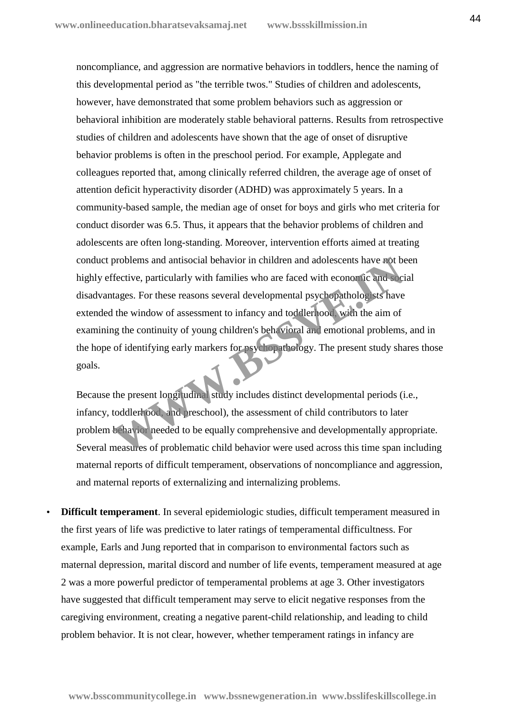noncompliance, and aggression are normative behaviors in toddlers, hence the naming of this developmental period as "the terrible twos." Studies of children and adolescents, however, have demonstrated that some problem behaviors such as aggression or behavioral inhibition are moderately stable behavioral patterns. Results from retrospective studies of children and adolescents have shown that the age of onset of disruptive behavior problems is often in the preschool period. For example, Applegate and colleagues reported that, among clinically referred children, the average age of onset of attention deficit hyperactivity disorder (ADHD) was approximately 5 years. In a community-based sample, the median age of onset for boys and girls who met criteria for conduct disorder was 6.5. Thus, it appears that the behavior problems of children and adolescents are often long-standing. Moreover, intervention efforts aimed at treating conduct problems and antisocial behavior in children and adolescents have not been highly effective, particularly with families who are faced with economic and social disadvantages. For these reasons several developmental psychopathologists have extended the window of assessment to infancy and toddlerhood, with the aim of examining the continuity of young children's behavioral and emotional problems, and in the hope of identifying early markers for psychopathology. The present study shares those goals. problems and antisocial behavior in children and adolescents have not be<br>
fective, particularly with families who are faced with economic and soci-<br>
tages. For these reasons several developmental psychopathologists have<br>
1

Because the present longitudinal study includes distinct developmental periods (i.e., infancy, toddlerhood, and preschool), the assessment of child contributors to later problem behavior needed to be equally comprehensive and developmentally appropriate. Several measures of problematic child behavior were used across this time span including maternal reports of difficult temperament, observations of noncompliance and aggression, and maternal reports of externalizing and internalizing problems.

 **Difficult temperament**. In several epidemiologic studies, difficult temperament measured in the first years of life was predictive to later ratings of temperamental difficultness. For example, Earls and Jung reported that in comparison to environmental factors such as maternal depression, marital discord and number of life events, temperament measured at age 2 was a more powerful predictor of temperamental problems at age 3. Other investigators have suggested that difficult temperament may serve to elicit negative responses from the caregiving environment, creating a negative parent-child relationship, and leading to child problem behavior. It is not clear, however, whether temperament ratings in infancy are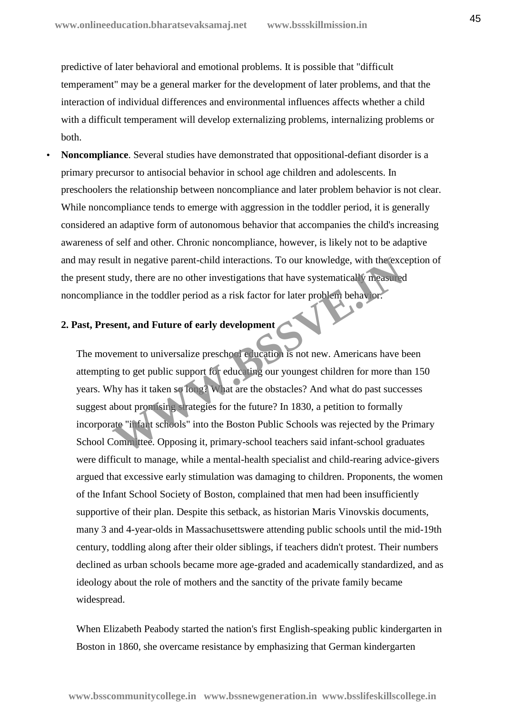predictive of later behavioral and emotional problems. It is possible that "difficult temperament" may be a general marker for the development of later problems, and that the interaction of individual differences and environmental influences affects whether a child with a difficult temperament will develop externalizing problems, internalizing problems or both.

 **Noncompliance**. Several studies have demonstrated that oppositional-defiant disorder is a primary precursor to antisocial behavior in school age children and adolescents. In preschoolers the relationship between noncompliance and later problem behavior is not clear. While noncompliance tends to emerge with aggression in the toddler period, it is generally considered an adaptive form of autonomous behavior that accompanies the child's increasing awareness of self and other. Chronic noncompliance, however, is likely not to be adaptive and may result in negative parent-child interactions. To our knowledge, with the exception of the present study, there are no other investigations that have systematically measured noncompliance in the toddler period as a risk factor for later problem behavior.

# **2. Past, Present, and Future of early development**

The movement to universalize preschool education is not new. Americans have been attempting to get public support for educating our youngest children for more than 150 years. Why has it taken so long? What are the obstacles? And what do past successes suggest about promising strategies for the future? In 1830, a petition to formally incorporate "infant schools" into the Boston Public Schools was rejected by the Primary School Committee. Opposing it, primary-school teachers said infant-school graduates were difficult to manage, while a mental-health specialist and child-rearing advice-givers argued that excessive early stimulation was damaging to children. Proponents, the women of the Infant School Society of Boston, complained that men had been insufficiently supportive of their plan. Despite this setback, as historian Maris Vinovskis documents, many 3 and 4-year-olds in Massachusettswere attending public schools until the mid-19th century, toddling along after their older siblings, if teachers didn't protest. Their numbers declined as urban schools became more age-graded and academically standardized, and as ideology about the role of mothers and the sanctity of the private family became widespread. The exerces in the excession of the excession and the exerce tudy, there are no other investigations that have systematical to measure the toddler period as a risk factor for later problem behavior.<br> **Sent, and Future of e** 

When Elizabeth Peabody started the nation's first English-speaking public kindergarten in Boston in 1860, she overcame resistance by emphasizing that German kindergarten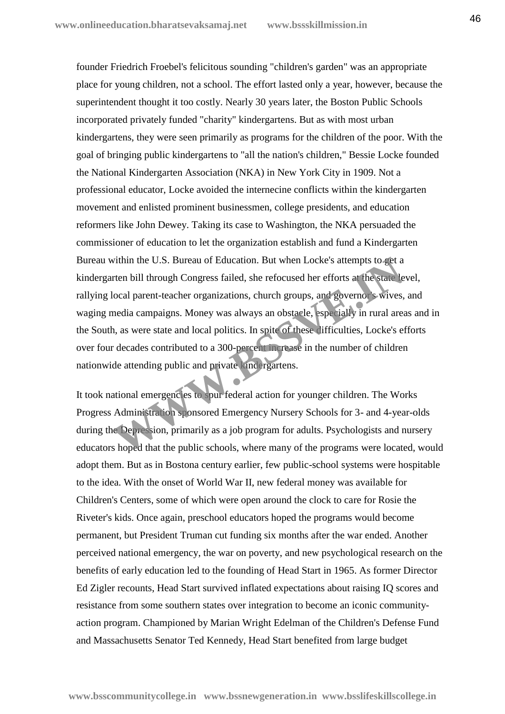founder Friedrich Froebel's felicitous sounding "children's garden" was an appropriate place for young children, not a school. The effort lasted only a year, however, because the superintendent thought it too costly. Nearly 30 years later, the Boston Public Schools incorporated privately funded "charity" kindergartens. But as with most urban kindergartens, they were seen primarily as programs for the children of the poor. With the goal of bringing public kindergartens to "all the nation's children," Bessie Locke founded the National Kindergarten Association (NKA) in New York City in 1909. Not a professional educator, Locke avoided the internecine conflicts within the kindergarten movement and enlisted prominent businessmen, college presidents, and education reformers like John Dewey. Taking its case to Washington, the NKA persuaded the commissioner of education to let the organization establish and fund a Kindergarten Bureau within the U.S. Bureau of Education. But when Locke's attempts to get a kindergarten bill through Congress failed, she refocused her efforts at the state level, rallying local parent-teacher organizations, church groups, and governor's wives, and waging media campaigns. Money was always an obstacle, especially in rural areas and in the South, as were state and local politics. In spite of these difficulties, Locke's efforts over four decades contributed to a 300-percent increase in the number of children nationwide attending public and private kindergartens. within the U.S. Bureau of Education. But when Locke's attempts to get a<br>tren bill through Congress failed, she refocused her efforts at the state le<br>local parent-teacher organizations, church groups, and governor swives,<br>m

It took national emergencies to spur federal action for younger children. The Works Progress Administration sponsored Emergency Nursery Schools for 3- and 4-year-olds during the Depression, primarily as a job program for adults. Psychologists and nursery educators hoped that the public schools, where many of the programs were located, would adopt them. But as in Bostona century earlier, few public-school systems were hospitable to the idea. With the onset of World War II, new federal money was available for Children's Centers, some of which were open around the clock to care for Rosie the Riveter's kids. Once again, preschool educators hoped the programs would become permanent, but President Truman cut funding six months after the war ended. Another perceived national emergency, the war on poverty, and new psychological research on the benefits of early education led to the founding of Head Start in 1965. As former Director Ed Zigler recounts, Head Start survived inflated expectations about raising IQ scores and resistance from some southern states over integration to become an iconic community action program. Championed by Marian Wright Edelman of the Children's Defense Fund and Massachusetts Senator Ted Kennedy, Head Start benefited from large budget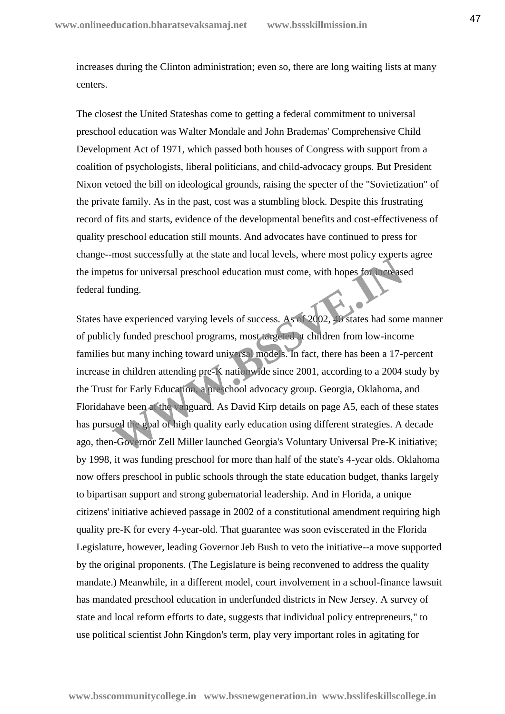increases during the Clinton administration; even so, there are long waiting lists at many centers.

The closest the United Stateshas come to getting a federal commitment to universal preschool education was Walter Mondale and John Brademas' Comprehensive Child Development Act of 1971, which passed both houses of Congress with support from a coalition of psychologists, liberal politicians, and child-advocacy groups. But President Nixon vetoed the bill on ideological grounds, raising the specter of the "Sovietization" of the private family. As in the past, cost was a stumbling block. Despite this frustrating record of fits and starts, evidence of the developmental benefits and cost-effectiveness of quality preschool education still mounts. And advocates have continued to press for change--most successfully at the state and local levels, where most policy experts agree the impetus for universal preschool education must come, with hopes for increased federal funding.

States have experienced varying levels of success. As of 2002, 40 states had some manner of publicly funded preschool programs, most targeted at children from low-income families but many inching toward universal models. In fact, there has been a 17-percent increase in children attending pre-K nationwide since 2001, according to a 2004 study by the Trust for Early Education, a preschool advocacy group. Georgia, Oklahoma, and Floridahave been at the vanguard. As David Kirp details on page A5, each of these states has pursued the goal of high quality early education using different strategies. A decade ago, then-Governor Zell Miller launched Georgia's Voluntary Universal Pre-K initiative; by 1998, it was funding preschool for more than half of the state's 4-year olds. Oklahoma now offers preschool in public schools through the state education budget, thanks largely to bipartisan support and strong gubernatorial leadership. And in Florida, a unique citizens' initiative achieved passage in 2002 of a constitutional amendment requiring high quality pre-K for every 4-year-old. That guarantee was soon eviscerated in the Florida Legislature, however, leading Governor Jeb Bush to veto the initiative--a move supported by the original proponents. (The Legislature is being reconvened to address the quality mandate.) Meanwhile, in a different model, court involvement in a school-finance lawsuit has mandated preschool education in underfunded districts in New Jersey. A survey of state and local reform efforts to date, suggests that individual policy entrepreneurs," to use political scientist John Kingdon's term, play very important roles in agitating for The state and solar levels, where most policy experience that for universal preschool education must come, with hopes for the case unding.<br>We experienced varying levels of success. As of 2002, 20 states had some ly funded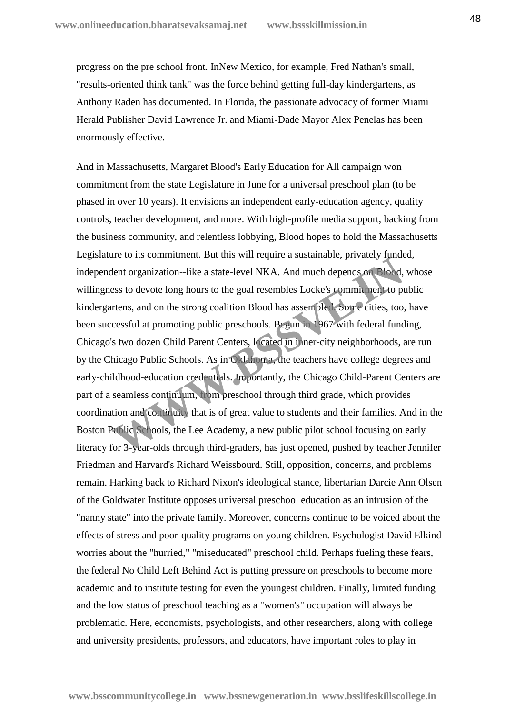progress on the pre school front. InNew Mexico, for example, Fred Nathan's small, "results-oriented think tank" was the force behind getting full-day kindergartens, as Anthony Raden has documented. In Florida, the passionate advocacy of former Miami Herald Publisher David Lawrence Jr. and Miami-Dade Mayor Alex Penelas has been enormously effective.

And in Massachusetts, Margaret Blood's Early Education for All campaign won commitment from the state Legislature in June for a universal preschool plan (to be phased in over 10 years). It envisions an independent early-education agency, quality controls, teacher development, and more. With high-profile media support, backing from the business community, and relentless lobbying, Blood hopes to hold the Massachusetts Legislature to its commitment. But this will require a sustainable, privately funded, independent organization--like a state-level NKA. And much depends on Blood, whose willingness to devote long hours to the goal resembles Locke's commitment to public kindergartens, and on the strong coalition Blood has assembled. Some cities, too, have been successful at promoting public preschools. Begun in 1967 with federal funding, Chicago's two dozen Child Parent Centers, located in inner-city neighborhoods, are run by the Chicago Public Schools. As in Oklahoma, the teachers have college degrees and early-childhood-education credentials. Importantly, the Chicago Child-Parent Centers are part of a seamless continuum, from preschool through third grade, which provides coordination and continuity that is of great value to students and their families. And in the Boston Public Schools, the Lee Academy, a new public pilot school focusing on early literacy for 3-year-olds through third-graders, has just opened, pushed by teacher Jennifer Friedman and Harvard's Richard Weissbourd. Still, opposition, concerns, and problems remain. Harking back to Richard Nixon's ideological stance, libertarian Darcie Ann Olsen of the Goldwater Institute opposes universal preschool education as an intrusion of the "nanny state" into the private family. Moreover, concerns continue to be voiced about the effects of stress and poor-quality programs on young children. Psychologist David Elkind worries about the "hurried," "miseducated" preschool child. Perhaps fueling these fears, the federal No Child Left Behind Act is putting pressure on preschools to become more academic and to institute testing for even the youngest children. Finally, limited funding and the low status of preschool teaching as a "women's" occupation will always be problematic. Here, economists, psychologists, and other researchers, along with college and university presidents, professors, and educators, have important roles to play in The is sommanism: But also will require a sastamable, privately states elect organization-like a state-level NKA. And much depends on Blood, ess to devote long hours to the goal resembles Locke's commit nent to premis, and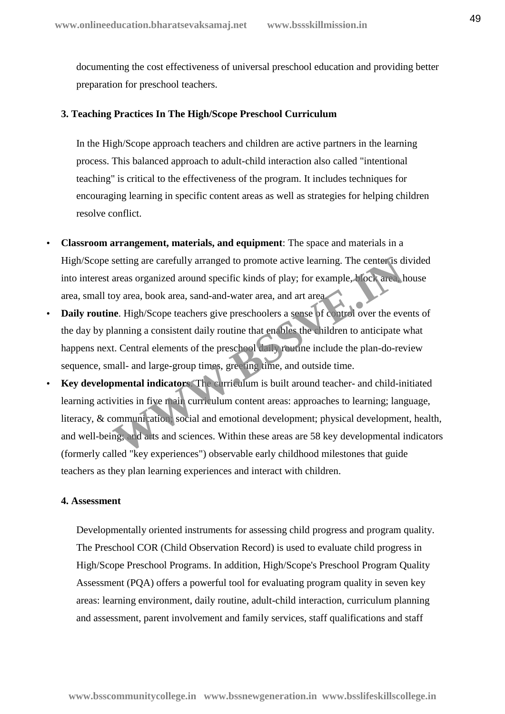documenting the cost effectiveness of universal preschool education and providing better preparation for preschool teachers.

### **3. Teaching Practices In The High/Scope Preschool Curriculum**

In the High/Scope approach teachers and children are active partners in the learning process. This balanced approach to adult-child interaction also called "intentional teaching" is critical to the effectiveness of the program. It includes techniques for encouraging learning in specific content areas as well as strategies for helping children resolve conflict.

- **Classroom arrangement, materials, and equipment**: The space and materials in a High/Scope setting are carefully arranged to promote active learning. The center is divided into interest areas organized around specific kinds of play; for example, block area, house area, small toy area, book area, sand-and-water area, and art area.
- **Daily routine**. High/Scope teachers give preschoolers a sense of control over the events of the day by planning a consistent daily routine that enables the children to anticipate what happens next. Central elements of the preschool daily routine include the plan-do-review sequence, small- and large-group times, greeting time, and outside time.
- **Key developmental indicators**. The curriculum is built around teacher- and child-initiated learning activities in five main curriculum content areas: approaches to learning; language, literacy, & communication; social and emotional development; physical development, health, and well-being; and arts and sciences. Within these areas are 58 key developmental indicators (formerly called "key experiences") observable early childhood milestones that guide teachers as they plan learning experiences and interact with children. setting are carefully arranged to promote active learning. The center is d<br>areas organized around specific kinds of play; for example, hock area,<br>boy area, book area, sand-and-water area, and art area<br>**ne.** High/Scope teac

#### **4. Assessment**

Developmentally oriented instruments for assessing child progress and program quality. The Preschool COR (Child Observation Record) is used to evaluate child progress in High/Scope Preschool Programs. In addition, High/Scope's Preschool Program Quality Assessment (PQA) offers a powerful tool for evaluating program quality in seven key areas: learning environment, daily routine, adult-child interaction, curriculum planning and assessment, parent involvement and family services, staff qualifications and staff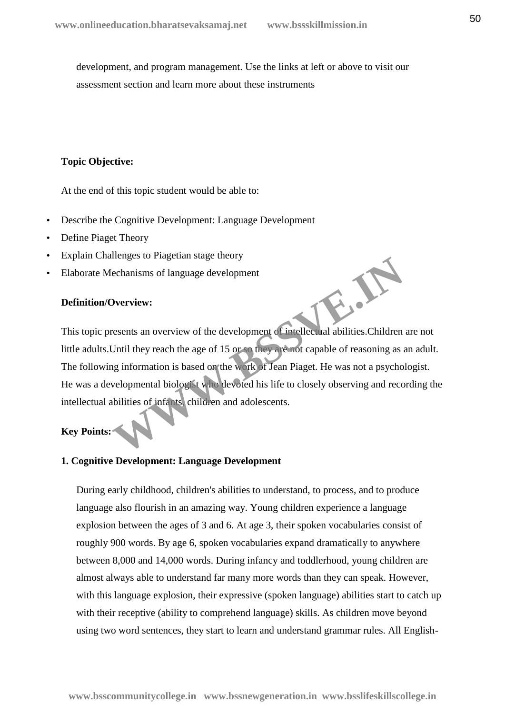development, and program management. Use the links at left or above to visit our assessment section and learn more about these instruments

#### **Topic Objective:**

At the end of this topic student would be able to:

- Describe the Cognitive Development: Language Development
- Define Piaget Theory
- Explain Challenges to Piagetian stage theory
- Elaborate Mechanisms of language development

## **Definition/Overview:**

This topic presents an overview of the development of intellectual abilities.Children are not little adults.Until they reach the age of 15 or so they are not capable of reasoning as an adult. The following information is based on the work of Jean Piaget. He was not a psychologist. He was a developmental biologist who devoted his life to closely observing and recording the intellectual abilities of infants, children and adolescents. **Diverview:**<br> **Werview:**<br> **Werview:**<br> **Werview:**<br> **Werview:**<br> **Werview:**<br> **Werview:**<br> **Werview:**<br> **Werview:**<br> **Werview:**<br> **Werview:**<br> **Werview:**<br> **Werview:**<br> **Werview:**<br> **We thence of 15 or a fluor direct of readilities. C** 

# **Key Points:**

## **1. Cognitive Development: Language Development**

During early childhood, children's abilities to understand, to process, and to produce language also flourish in an amazing way. Young children experience a language explosion between the ages of 3 and 6. At age 3, their spoken vocabularies consist of roughly 900 words. By age 6, spoken vocabularies expand dramatically to anywhere between 8,000 and 14,000 words. During infancy and toddlerhood, young children are almost always able to understand far many more words than they can speak. However, with this language explosion, their expressive (spoken language) abilities start to catch up with their receptive (ability to comprehend language) skills. As children move beyond using two word sentences, they start to learn and understand grammar rules. All English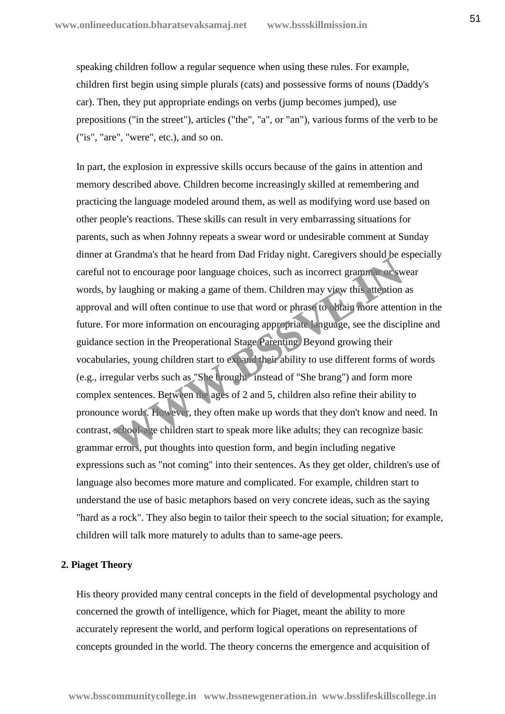speaking children follow a regular sequence when using these rules. For example, children first begin using simple plurals (cats) and possessive forms of nouns (Daddy's car). Then, they put appropriate endings on verbs (jump becomes jumped), use prepositions ("in the street"), articles ("the", "a", or "an"), various forms of the verb to be ("is", "are", "were", etc.), and so on.

In part, the explosion in expressive skills occurs because of the gains in attention and memory described above. Children become increasingly skilled at remembering and practicing the language modeled around them, as well as modifying word use based on other people's reactions. These skills can result in very embarrassing situations for parents, such as when Johnny repeats a swear word or undesirable comment at Sunday dinner at Grandma's that he heard from Dad Friday night. Caregivers should be especially careful not to encourage poor language choices, such as incorrect grammar or swear words, by laughing or making a game of them. Children may view this attention as approval and will often continue to use that word or phrase to obtain more attention in the future. For more information on encouraging appropriate language, see the discipline and guidance section in the Preoperational Stage Parenting. Beyond growing their vocabularies, young children start to expand their ability to use different forms of words (e.g., irregular verbs such as "She brought" instead of "She brang") and form more complex sentences. Between the ages of 2 and 5, children also refine their ability to pronounce words. However, they often make up words that they don't know and need. In contrast, school-age children start to speak more like adults; they can recognize basic grammar errors, put thoughts into question form, and begin including negative expressions such as "not coming" into their sentences. As they get older, children's use of language also becomes more mature and complicated. For example, children start to understand the use of basic metaphors based on very concrete ideas, such as the saying "hard as a rock". They also begin to tailor their speech to the social situation; for example, children will talk more maturely to adults than to same-age peers. Statemary state in the neard from Dda Thday ingne. Categorers should be exact to encourage poor language choices, such as incorrect grammat or switch and will often continue to use that word or phrass to obtain more attent

## **2. Piaget Theory**

His theory provided many central concepts in the field of developmental psychology and concerned the growth of intelligence, which for Piaget, meant the ability to more accurately represent the world, and perform logical operations on representations of concepts grounded in the world. The theory concerns the emergence and acquisition of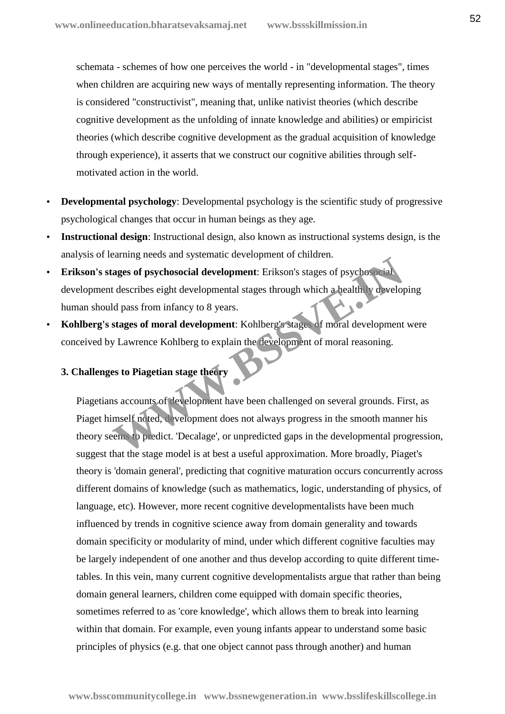schemata - schemes of how one perceives the world - in "developmental stages", times when children are acquiring new ways of mentally representing information. The theory is considered "constructivist", meaning that, unlike nativist theories (which describe cognitive development as the unfolding of innate knowledge and abilities) or empiricist theories (which describe cognitive development as the gradual acquisition of knowledge through experience), it asserts that we construct our cognitive abilities through self motivated action in the world.

- **Developmental psychology**: Developmental psychology is the scientific study of progressive psychological changes that occur in human beings as they age.
- **Instructional design**: Instructional design, also known as instructional systems design, is the analysis of learning needs and systematic development of children.
- **Erikson's stages of psychosocial development**: Erikson's stages of psychosocial development describes eight developmental stages through which a healthily developing human should pass from infancy to 8 years.
- **Kohlberg's stages of moral development**: Kohlberg's stages of moral development were conceived by Lawrence Kohlberg to explain the development of moral reasoning.

# **3. Challenges to Piagetian stage theory**

Piagetians accounts of development have been challenged on several grounds. First, as Piaget himself noted, development does not always progress in the smooth manner his theory seems to predict. 'Decalage', or unpredicted gaps in the developmental progression, suggest that the stage model is at best a useful approximation. More broadly, Piaget's theory is 'domain general', predicting that cognitive maturation occurs concurrently across different domains of knowledge (such as mathematics, logic, understanding of physics, of language, etc). However, more recent cognitive developmentalists have been much influenced by trends in cognitive science away from domain generality and towards domain specificity or modularity of mind, under which different cognitive faculties may be largely independent of one another and thus develop according to quite different timetables. In this vein, many current cognitive developmentalists argue that rather than being domain general learners, children come equipped with domain specific theories, sometimes referred to as 'core knowledge', which allows them to break into learning within that domain. For example, even young infants appear to understand some basic principles of physics (e.g. that one object cannot pass through another) and human Example and a systemate development of emails.<br> **Example 3 and a systemate development:** Erikson's stages of psychosocial<br>
dependent of the development and the development<br> **We development** of the development<br> **We developm**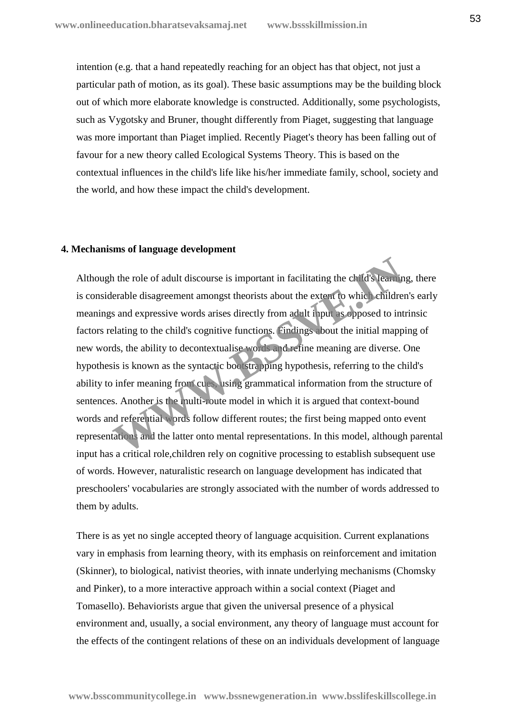intention (e.g. that a hand repeatedly reaching for an object has that object, not just a particular path of motion, as its goal). These basic assumptions may be the building block out of which more elaborate knowledge is constructed. Additionally, some psychologists, such as Vygotsky and Bruner, thought differently from Piaget, suggesting that language was more important than Piaget implied. Recently Piaget's theory has been falling out of favour for a new theory called Ecological Systems Theory. This is based on the contextual influences in the child's life like his/her immediate family, school, society and the world, and how these impact the child's development.

#### **4. Mechanisms of language development**

Although the role of adult discourse is important in facilitating the child's learning, there is considerable disagreement amongst theorists about the extent to which children's early meanings and expressive words arises directly from adult input as opposed to intrinsic factors relating to the child's cognitive functions. Findings about the initial mapping of new words, the ability to decontextualise words and refine meaning are diverse. One hypothesis is known as the syntactic bootstrapping hypothesis, referring to the child's ability to infer meaning from cues, using grammatical information from the structure of sentences. Another is the multi-route model in which it is argued that context-bound words and referential words follow different routes; the first being mapped onto event representations and the latter onto mental representations. In this model, although parental input has a critical role,children rely on cognitive processing to establish subsequent use of words. However, naturalistic research on language development has indicated that preschoolers' vocabularies are strongly associated with the number of words addressed to them by adults. The role of adult discourse is important in facilitating the child's learninerable disagreement amongst theorists about the extent to which enildres and expressive words arises directly from adult input as opposed to intel

There is as yet no single accepted theory of language acquisition. Current explanations vary in emphasis from learning theory, with its emphasis on reinforcement and imitation (Skinner), to biological, nativist theories, with innate underlying mechanisms (Chomsky and Pinker), to a more interactive approach within a social context (Piaget and Tomasello). Behaviorists argue that given the universal presence of a physical environment and, usually, a social environment, any theory of language must account for the effects of the contingent relations of these on an individuals development of language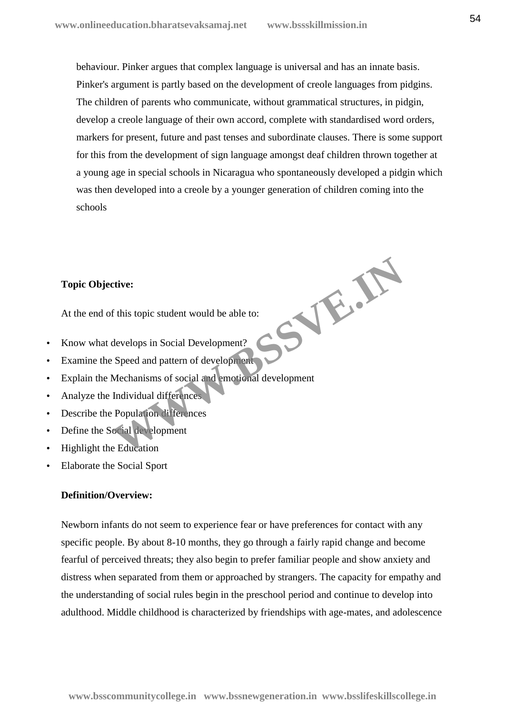behaviour. Pinker argues that complex language is universal and has an innate basis. Pinker's argument is partly based on the development of creole languages from pidgins. The children of parents who communicate, without grammatical structures, in pidgin, develop a creole language of their own accord, complete with standardised word orders, markers for present, future and past tenses and subordinate clauses. There is some support for this from the development of sign language amongst deaf children thrown together at a young age in special schools in Nicaragua who spontaneously developed a pidgin which was then developed into a creole by a younger generation of children coming into the schools

**WWW.BSSVE.IN**

## **Topic Objective:**

At the end of this topic student would be able to:

- Know what develops in Social Development?
- Examine the Speed and pattern of development
- Explain the Mechanisms of social and emotional development
- Analyze the Individual differences
- Describe the Population differences
- Define the Social development
- Highlight the Education
- Elaborate the Social Sport

## **Definition/Overview:**

Newborn infants do not seem to experience fear or have preferences for contact with any specific people. By about 8-10 months, they go through a fairly rapid change and become fearful of perceived threats; they also begin to prefer familiar people and show anxiety and distress when separated from them or approached by strangers. The capacity for empathy and the understanding of social rules begin in the preschool period and continue to develop into adulthood. Middle childhood is characterized by friendships with age-mates, and adolescence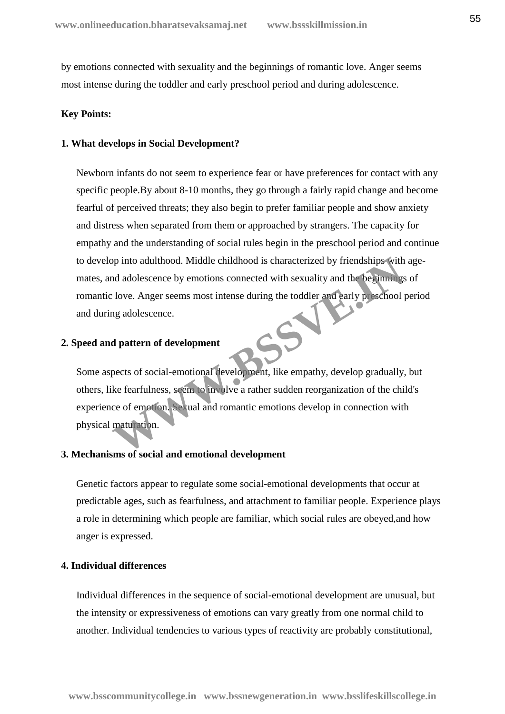by emotions connected with sexuality and the beginnings of romantic love. Anger seems most intense during the toddler and early preschool period and during adolescence.

## **Key Points:**

## **1. What develops in Social Development?**

Newborn infants do not seem to experience fear or have preferences for contact with any specific people.By about 8-10 months, they go through a fairly rapid change and become fearful of perceived threats; they also begin to prefer familiar people and show anxiety and distress when separated from them or approached by strangers. The capacity for empathy and the understanding of social rules begin in the preschool period and continue to develop into adulthood. Middle childhood is characterized by friendships with age mates, and adolescence by emotions connected with sexuality and the beginnings of romantic love. Anger seems most intense during the toddler and early preschool period and during adolescence.

## **2. Speed and pattern of development**

Some aspects of social-emotional development, like empathy, develop gradually, but others, like fearfulness, seem to involve a rather sudden reorganization of the child's experience of emotion. Sexual and romantic emotions develop in connection with physical maturation. From a and addescence by emotions connected with sexuality and the beginnings<br>and addescence by emotions connected with sexuality and the beginnings<br>love. Anger seems most intense during the toddler and early preschool<br>ing

## **3. Mechanisms of social and emotional development**

Genetic factors appear to regulate some social-emotional developments that occur at predictable ages, such as fearfulness, and attachment to familiar people. Experience plays a role in determining which people are familiar, which social rules are obeyed,and how anger is expressed.

## **4. Individual differences**

Individual differences in the sequence of social-emotional development are unusual, but the intensity or expressiveness of emotions can vary greatly from one normal child to another. Individual tendencies to various types of reactivity are probably constitutional,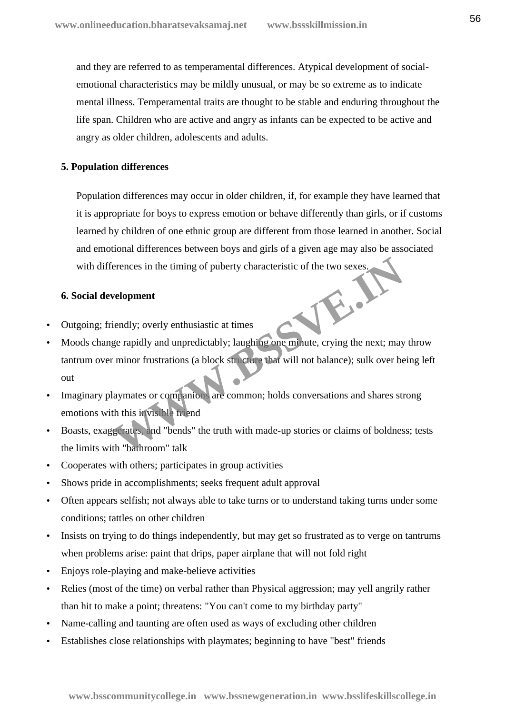and they are referred to as temperamental differences. Atypical development of social emotional characteristics may be mildly unusual, or may be so extreme as to indicate mental illness. Temperamental traits are thought to be stable and enduring throughout the life span. Children who are active and angry as infants can be expected to be active and angry as older children, adolescents and adults.

## **5. Population differences**

Population differences may occur in older children, if, for example they have learned that it is appropriate for boys to express emotion or behave differently than girls, or if customs learned by children of one ethnic group are different from those learned in another. Social and emotional differences between boys and girls of a given age may also be associated with differences in the timing of puberty characteristic of the two sexes.

## **6. Social development**

- Outgoing; friendly; overly enthusiastic at times
- Moods change rapidly and unpredictably; laughing one minute, crying the next; may throw tantrum over minor frustrations (a block structure that will not balance); sulk over being left out Experiences in the timing of puberty characteristic of the two sexes<br> **Welopment**<br>
Welopment<br>
Experience is the times<br>
ge rapidly and unpredictably; laughing one minute, crying the next; may<br>
r minor frustrations (a block
- Imaginary playmates or companions are common; holds conversations and shares strong emotions with this invisible friend
- Boasts, exaggerates, and "bends" the truth with made-up stories or claims of boldness; tests the limits with "bathroom" talk
- Cooperates with others; participates in group activities
- Shows pride in accomplishments; seeks frequent adult approval
- Often appears selfish; not always able to take turns or to understand taking turns under some conditions; tattles on other children
- Insists on trying to do things independently, but may get so frustrated as to verge on tantrums when problems arise: paint that drips, paper airplane that will not fold right
- Enjoys role-playing and make-believe activities
- Relies (most of the time) on verbal rather than Physical aggression; may yell angrily rather than hit to make a point; threatens: "You can't come to my birthday party"
- Name-calling and taunting are often used as ways of excluding other children
- Establishes close relationships with playmates; beginning to have "best" friends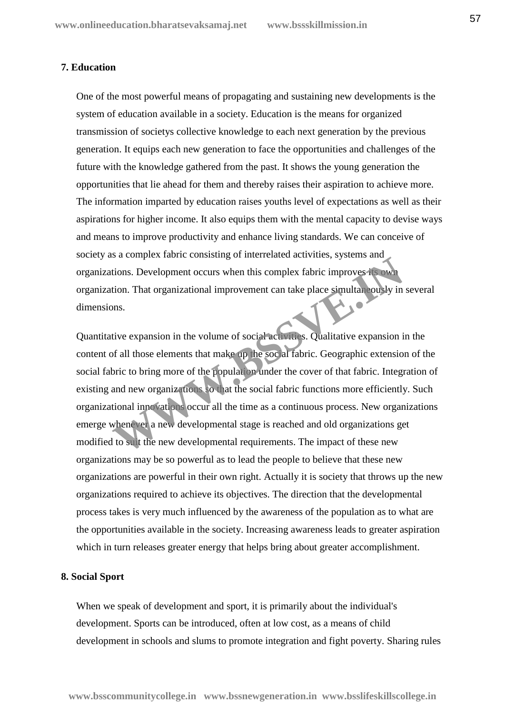## **7. Education**

One of the most powerful means of propagating and sustaining new developments is the system of education available in a society. Education is the means for organized transmission of societys collective knowledge to each next generation by the previous generation. It equips each new generation to face the opportunities and challenges of the future with the knowledge gathered from the past. It shows the young generation the opportunities that lie ahead for them and thereby raises their aspiration to achieve more. The information imparted by education raises youths level of expectations as well as their aspirations for higher income. It also equips them with the mental capacity to devise ways and means to improve productivity and enhance living standards. We can conceive of society as a complex fabric consisting of interrelated activities, systems and organizations. Development occurs when this complex fabric improves its own organization. That organizational improvement can take place simultaneously in several dimensions.

Quantitative expansion in the volume of social activities. Qualitative expansion in the content of all those elements that make up the social fabric. Geographic extension of the social fabric to bring more of the population under the cover of that fabric. Integration of existing and new organizations so that the social fabric functions more efficiently. Such organizational innovations occur all the time as a continuous process. New organizations emerge whenever a new developmental stage is reached and old organizations get modified to suit the new developmental requirements. The impact of these new organizations may be so powerful as to lead the people to believe that these new organizations are powerful in their own right. Actually it is society that throws up the new organizations required to achieve its objectives. The direction that the developmental process takes is very much influenced by the awareness of the population as to what are the opportunities available in the society. Increasing awareness leads to greater aspiration which in turn releases greater energy that helps bring about greater accomplishment. **Example A notice consisting of intertenties** activities, systems and<br>tions. Development occurs when this complex fabric improvessions<br>tion. That organizational improvement can take place simultaneously in<br>ms.<br>tive expansi

## **8. Social Sport**

When we speak of development and sport, it is primarily about the individual's development. Sports can be introduced, often at low cost, as a means of child development in schools and slums to promote integration and fight poverty. Sharing rules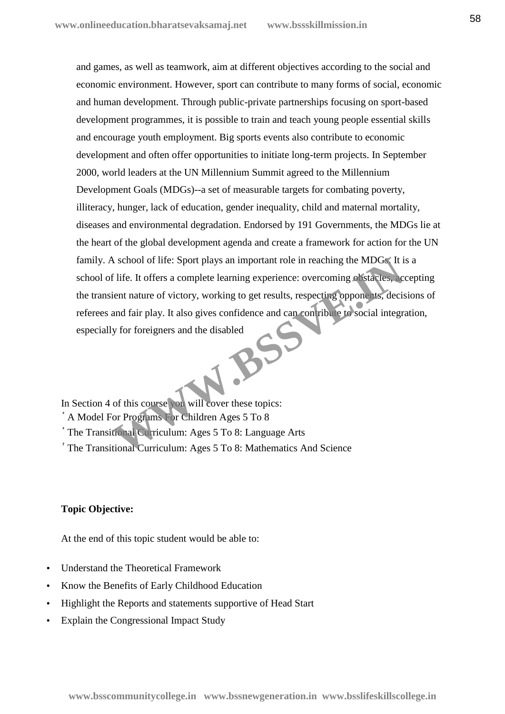and games, as well as teamwork, aim at different objectives according to the social and economic environment. However, sport can contribute to many forms of social, economic and human development. Through public-private partnerships focusing on sport-based development programmes, it is possible to train and teach young people essential skills and encourage youth employment. Big sports events also contribute to economic development and often offer opportunities to initiate long-term projects. In September 2000, world leaders at the UN Millennium Summit agreed to the Millennium Development Goals (MDGs)--a set of measurable targets for combating poverty, illiteracy, hunger, lack of education, gender inequality, child and maternal mortality, diseases and environmental degradation. Endorsed by 191 Governments, the MDGs lie at the heart of the global development agenda and create a framework for action for the UN family. A school of life: Sport plays an important role in reaching the MDGs. It is a school of life. It offers a complete learning experience: overcoming obstacles, accepting the transient nature of victory, working to get results, respecting opponents, decisions of referees and fair play. It also gives confidence and can contribute to social integration, especially for foreigners and the disabled  $B^{S^2}$ 

In Section 4 of this course you will cover these topics:

A Model For Programs For Children Ages 5 To 8

The Transitional Curriculum: Ages 5 To 8: Language Arts

The Transitional Curriculum: Ages 5 To 8: Mathematics And Science

# **Topic Objective:**

At the end of this topic student would be able to:

- Understand the Theoretical Framework
- Know the Benefits of Early Childhood Education
- Highlight the Reports and statements supportive of Head Start
- Explain the Congressional Impact Study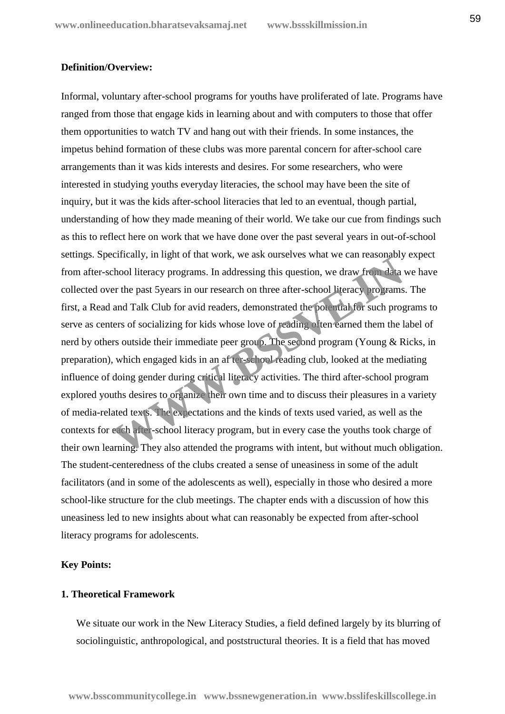#### **Definition/Overview:**

Informal, voluntary after-school programs for youths have proliferated of late. Programs have ranged from those that engage kids in learning about and with computers to those that offer them opportunities to watch TV and hang out with their friends. In some instances, the impetus behind formation of these clubs was more parental concern for after-school care arrangements than it was kids interests and desires. For some researchers, who were interested in studying youths everyday literacies, the school may have been the site of inquiry, but it was the kids after-school literacies that led to an eventual, though partial, understanding of how they made meaning of their world. We take our cue from findings such as this to reflect here on work that we have done over the past several years in out-of-school settings. Specifically, in light of that work, we ask ourselves what we can reasonably expect from after-school literacy programs. In addressing this question, we draw from data we have collected over the past 5years in our research on three after-school literacy programs. The first, a Read and Talk Club for avid readers, demonstrated the potential for such programs to serve as centers of socializing for kids whose love of reading often earned them the label of nerd by others outside their immediate peer group. The second program (Young & Ricks, in preparation), which engaged kids in an af ter-school reading club, looked at the mediating influence of doing gender during critical literacy activities. The third after-school program explored youths desires to organize their own time and to discuss their pleasures in a variety of media-related texts. The expectations and the kinds of texts used varied, as well as the contexts for each after-school literacy program, but in every case the youths took charge of their own learning. They also attended the programs with intent, but without much obligation. The student-centeredness of the clubs created a sense of uneasiness in some of the adult facilitators (and in some of the adolescents as well), especially in those who desired a more school-like structure for the club meetings. The chapter ends with a discussion of how this uneasiness led to new insights about what can reasonably be expected from after-school literacy programs for adolescents. Encode the past of the sease of the sease of the two states when the can reasonably<br>thool literacy programs. In addressing this question, we draw from data<br>are the past 5years in our research on three after-school literacy

## **Key Points:**

## **1. Theoretical Framework**

We situate our work in the New Literacy Studies, a field defined largely by its blurring of sociolinguistic, anthropological, and poststructural theories. It is a field that has moved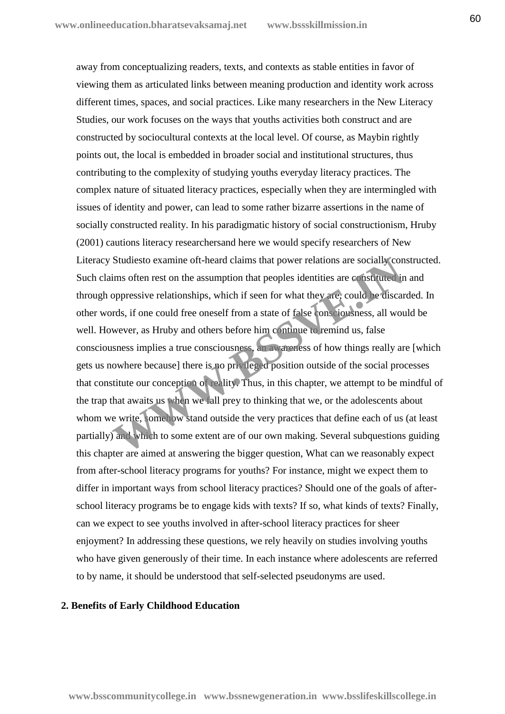away from conceptualizing readers, texts, and contexts as stable entities in favor of viewing them as articulated links between meaning production and identity work across different times, spaces, and social practices. Like many researchers in the New Literacy Studies, our work focuses on the ways that youths activities both construct and are constructed by sociocultural contexts at the local level. Of course, as Maybin rightly points out, the local is embedded in broader social and institutional structures, thus contributing to the complexity of studying youths everyday literacy practices. The complex nature of situated literacy practices, especially when they are intermingled with issues of identity and power, can lead to some rather bizarre assertions in the name of socially constructed reality. In his paradigmatic history of social constructionism, Hruby (2001) cautions literacy researchersand here we would specify researchers of New Literacy Studiesto examine oft-heard claims that power relations are socially constructed. Such claims often rest on the assumption that peoples identities are constituted in and through oppressive relationships, which if seen for what they are, could be discarded. In other words, if one could free oneself from a state of false consciousness, all would be well. However, as Hruby and others before him continue to remind us, false consciousness implies a true consciousness, an awareness of how things really are [which gets us nowhere because] there is no privileged position outside of the social processes that constitute our conception of reality. Thus, in this chapter, we attempt to be mindful of the trap that awaits us when we fall prey to thinking that we, or the adolescents about whom we write, somehow stand outside the very practices that define each of us (at least) partially) and which to some extent are of our own making. Several subquestions guiding this chapter are aimed at answering the bigger question, What can we reasonably expect from after-school literacy programs for youths? For instance, might we expect them to differ in important ways from school literacy practices? Should one of the goals of after school literacy programs be to engage kids with texts? If so, what kinds of texts? Finally, can we expect to see youths involved in after-school literacy practices for sheer enjoyment? In addressing these questions, we rely heavily on studies involving youths who have given generously of their time. In each instance where adolescents are referred to by name, it should be understood that self-selected pseudonyms are used. Studiesto examine oft-heard claims that power relations are socially con<br>ims often rest on the assumption that peoples identities are constituted in<br>oppressive relationships, which if seen for what they are, could be disca

#### **2. Benefits of Early Childhood Education**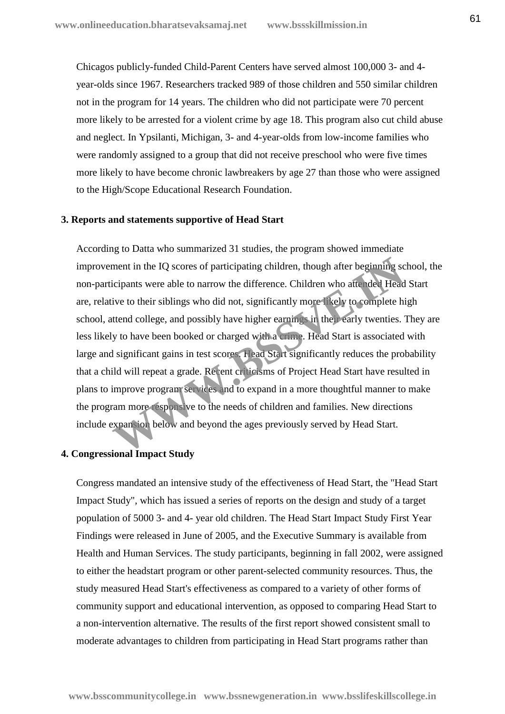Chicagos publicly-funded Child-Parent Centers have served almost 100,000 3- and 4 year-olds since 1967. Researchers tracked 989 of those children and 550 similar children not in the program for 14 years. The children who did not participate were 70 percent more likely to be arrested for a violent crime by age 18. This program also cut child abuse and neglect. In Ypsilanti, Michigan, 3- and 4-year-olds from low-income families who were randomly assigned to a group that did not receive preschool who were five times more likely to have become chronic lawbreakers by age 27 than those who were assigned to the High/Scope Educational Research Foundation.

#### **3. Reports and statements supportive of Head Start**

According to Datta who summarized 31 studies, the program showed immediate improvement in the IQ scores of participating children, though after beginning school, the non-participants were able to narrow the difference. Children who attended Head Start are, relative to their siblings who did not, significantly more likely to complete high school, attend college, and possibly have higher earnings in their early twenties. They are less likely to have been booked or charged with a crime. Head Start is associated with large and significant gains in test scores. Head Start significantly reduces the probability that a child will repeat a grade. Recent criticisms of Project Head Start have resulted in plans to improve program services and to expand in a more thoughtful manner to make the program more responsive to the needs of children and families. New directions include expansion below and beyond the ages previously served by Head Start. ment in the IQ scores of participating children, though after beginning sc<br>cicipants were able to narrow the difference. Children who attended Head<br>ive to their siblings who did not, significantly more likely to complete h

## **4. Congressional Impact Study**

Congress mandated an intensive study of the effectiveness of Head Start, the "Head Start Impact Study", which has issued a series of reports on the design and study of a target population of 5000 3- and 4- year old children. The Head Start Impact Study First Year Findings were released in June of 2005, and the Executive Summary is available from Health and Human Services. The study participants, beginning in fall 2002, were assigned to either the headstart program or other parent-selected community resources. Thus, the study measured Head Start's effectiveness as compared to a variety of other forms of community support and educational intervention, as opposed to comparing Head Start to a non-intervention alternative. The results of the first report showed consistent small to moderate advantages to children from participating in Head Start programs rather than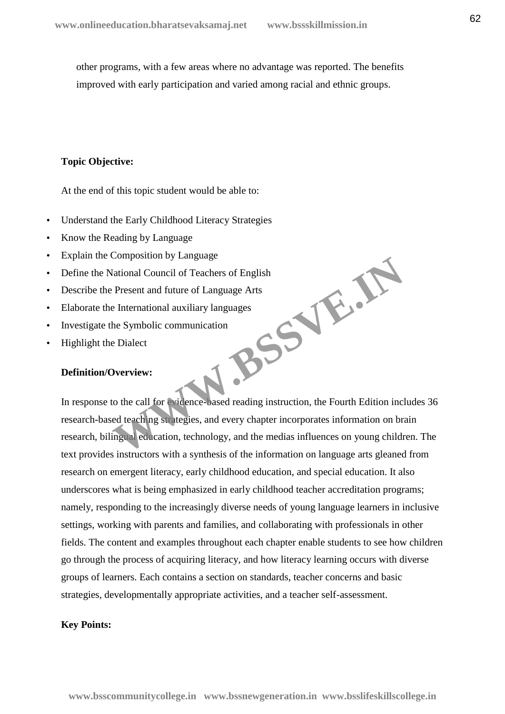other programs, with a few areas where no advantage was reported. The benefits improved with early participation and varied among racial and ethnic groups.

## **Topic Objective:**

At the end of this topic student would be able to:

- Understand the Early Childhood Literacy Strategies
- Know the Reading by Language
- Explain the Composition by Language
- Define the National Council of Teachers of English **WWW.BSSVE.IN**
- Describe the Present and future of Language Arts
- Elaborate the International auxiliary languages
- Investigate the Symbolic communication
- Highlight the Dialect

## **Definition/Overview:**

In response to the call for evidence-based reading instruction, the Fourth Edition includes 36 research-based teaching strategies, and every chapter incorporates information on brain research, bilingual education, technology, and the medias influences on young children. The text provides instructors with a synthesis of the information on language arts gleaned from research on emergent literacy, early childhood education, and special education. It also underscores what is being emphasized in early childhood teacher accreditation programs; namely, responding to the increasingly diverse needs of young language learners in inclusive settings, working with parents and families, and collaborating with professionals in other fields. The content and examples throughout each chapter enable students to see how children go through the process of acquiring literacy, and how literacy learning occurs with diverse groups of learners. Each contains a section on standards, teacher concerns and basic strategies, developmentally appropriate activities, and a teacher self-assessment.

## **Key Points:**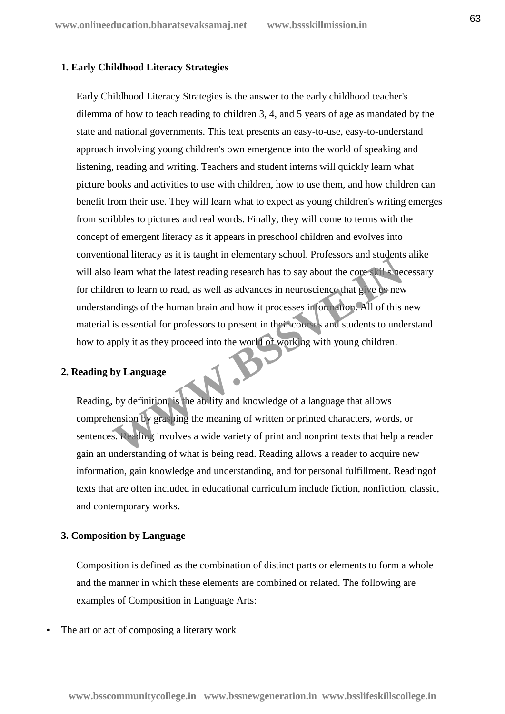## **1. Early Childhood Literacy Strategies**

Early Childhood Literacy Strategies is the answer to the early childhood teacher's dilemma of how to teach reading to children 3, 4, and 5 years of age as mandated by the state and national governments. This text presents an easy-to-use, easy-to-understand approach involving young children's own emergence into the world of speaking and listening, reading and writing. Teachers and student interns will quickly learn what picture books and activities to use with children, how to use them, and how children can benefit from their use. They will learn what to expect as young children's writing emerges from scribbles to pictures and real words. Finally, they will come to terms with the concept of emergent literacy as it appears in preschool children and evolves into conventional literacy as it is taught in elementary school. Professors and students alike will also learn what the latest reading research has to say about the core skills necessary for children to learn to read, as well as advances in neuroscience that give us new understandings of the human brain and how it processes information. All of this new material is essential for professors to present in their courses and students to understand how to apply it as they proceed into the world of working with young children. but the latest reading research has to say about the core will be hearn what the latest reading research has to say about the core will be hearn to read, as well as advances in neuroscience that give the new ndings of the

## **2. Reading by Language**

Reading, by definition, is the ability and knowledge of a language that allows comprehension by grasping the meaning of written or printed characters, words, or sentences. Reading involves a wide variety of print and nonprint texts that help a reader gain an understanding of what is being read. Reading allows a reader to acquire new information, gain knowledge and understanding, and for personal fulfillment. Readingof texts that are often included in educational curriculum include fiction, nonfiction, classic, and contemporary works.

## **3. Composition by Language**

Composition is defined as the combination of distinct parts or elements to form a whole and the manner in which these elements are combined or related. The following are examples of Composition in Language Arts:

The art or act of composing a literary work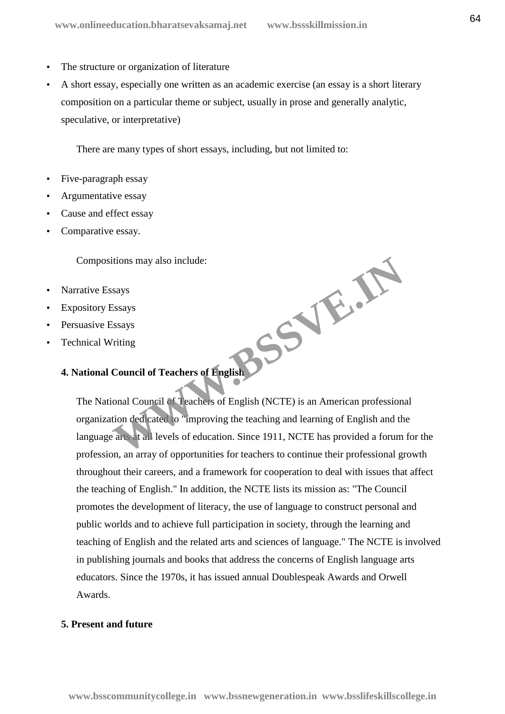- The structure or organization of literature
- A short essay, especially one written as an academic exercise (an essay is a short literary composition on a particular theme or subject, usually in prose and generally analytic, speculative, or interpretative)

There are many types of short essays, including, but not limited to:

- Five-paragraph essay
- Argumentative essay
- Cause and effect essay
- Comparative essay.

Compositions may also include:

- Narrative Essays
- Expository Essays
- Persuasive Essays
- Technical Writing

# **4. National Council of Teachers of English WWW.BSSVE.IN**

The National Council of Teachers of English (NCTE) is an American professional organization dedicated to "improving the teaching and learning of English and the language arts at all levels of education. Since 1911, NCTE has provided a forum for the profession, an array of opportunities for teachers to continue their professional growth throughout their careers, and a framework for cooperation to deal with issues that affect the teaching of English." In addition, the NCTE lists its mission as: "The Council promotes the development of literacy, the use of language to construct personal and public worlds and to achieve full participation in society, through the learning and teaching of English and the related arts and sciences of language." The NCTE is involved in publishing journals and books that address the concerns of English language arts educators. Since the 1970s, it has issued annual Doublespeak Awards and Orwell Awards.

## **5. Present and future**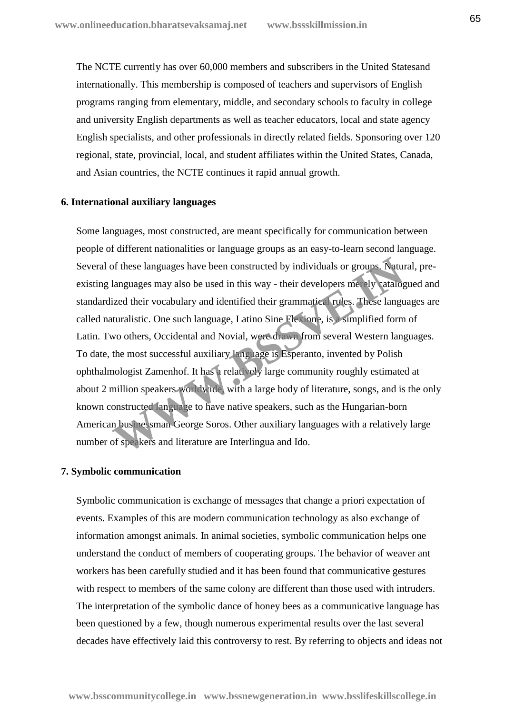The NCTE currently has over 60,000 members and subscribers in the United Statesand internationally. This membership is composed of teachers and supervisors of English programs ranging from elementary, middle, and secondary schools to faculty in college and university English departments as well as teacher educators, local and state agency English specialists, and other professionals in directly related fields. Sponsoring over 120 regional, state, provincial, local, and student affiliates within the United States, Canada, and Asian countries, the NCTE continues it rapid annual growth.

#### **6. International auxiliary languages**

Some languages, most constructed, are meant specifically for communication between people of different nationalities or language groups as an easy-to-learn second language. Several of these languages have been constructed by individuals or groups. Natural, pre existing languages may also be used in this way - their developers merely catalogued and standardized their vocabulary and identified their grammatical rules. These languages are called naturalistic. One such language, Latino Sine Flexione, is a simplified form of Latin. Two others, Occidental and Novial, were drawn from several Western languages. To date, the most successful auxiliary language is Esperanto, invented by Polish ophthalmologist Zamenhof. It has a relatively large community roughly estimated at about 2 million speakers worldwide, with a large body of literature, songs, and is the only known constructed language to have native speakers, such as the Hungarian-born American businessman George Soros. Other auxiliary languages with a relatively large number of speakers and literature are Interlingua and Ido. of these languages have been constructed by individuals or groups. Natural<br>languages may also be used in this way - their developers meally catalog<br>ized their vocabulary and identified their grammatical rives. These langu<br>

#### **7. Symbolic communication**

Symbolic communication is exchange of messages that change a priori expectation of events. Examples of this are modern communication technology as also exchange of information amongst animals. In animal societies, symbolic communication helps one understand the conduct of members of cooperating groups. The behavior of weaver ant workers has been carefully studied and it has been found that communicative gestures with respect to members of the same colony are different than those used with intruders. The interpretation of the symbolic dance of honey bees as a communicative language has been questioned by a few, though numerous experimental results over the last several decades have effectively laid this controversy to rest. By referring to objects and ideas not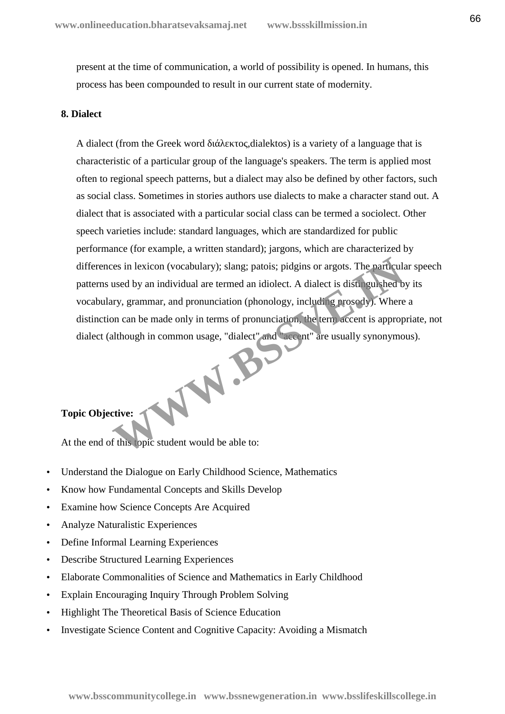present at the time of communication, a world of possibility is opened. In humans, this process has been compounded to result in our current state of modernity.

## **8. Dialect**

A dialect (from the Greek word dialektos) is a variety of a language that is characteristic of a particular group of the language's speakers. The term is applied most often to regional speech patterns, but a dialect may also be defined by other factors, such as social class. Sometimes in stories authors use dialects to make a character stand out. A dialect that is associated with a particular social class can be termed a sociolect. Other speech varieties include: standard languages, which are standardized for public performance (for example, a written standard); jargons, which are characterized by differences in lexicon (vocabulary); slang; patois; pidgins or argots. The particular speech patterns used by an individual are termed an idiolect. A dialect is distinguished by its vocabulary, grammar, and pronunciation (phonology, including prosody). Where a distinction can be made only in terms of pronunciation, the term accent is appropriate, not dialect (although in common usage, "dialect" and "accent" are usually synonymous). WW.B.

# **Topic Objective:**

At the end of this topic student would be able to:

- Understand the Dialogue on Early Childhood Science, Mathematics
- Know how Fundamental Concepts and Skills Develop
- Examine how Science Concepts Are Acquired
- Analyze Naturalistic Experiences
- Define Informal Learning Experiences
- Describe Structured Learning Experiences
- Elaborate Commonalities of Science and Mathematics in Early Childhood
- Explain Encouraging Inquiry Through Problem Solving
- Highlight The Theoretical Basis of Science Education
- Investigate Science Content and Cognitive Capacity: Avoiding a Mismatch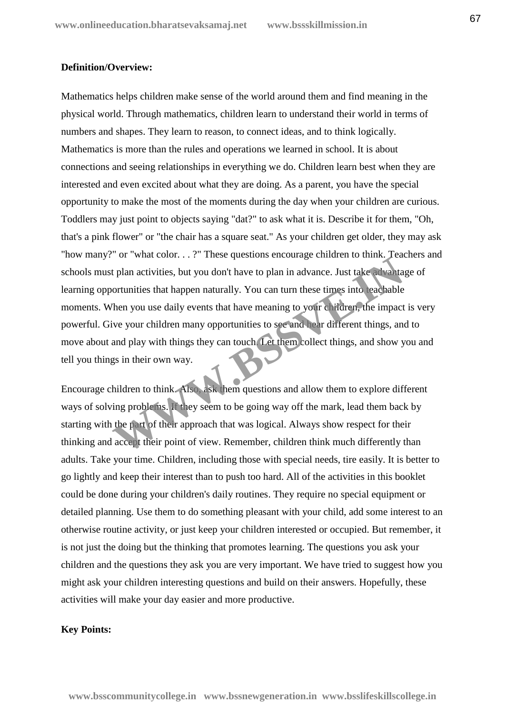#### **Definition/Overview:**

Mathematics helps children make sense of the world around them and find meaning in the physical world. Through mathematics, children learn to understand their world in terms of numbers and shapes. They learn to reason, to connect ideas, and to think logically. Mathematics is more than the rules and operations we learned in school. It is about connections and seeing relationships in everything we do. Children learn best when they are interested and even excited about what they are doing. As a parent, you have the special opportunity to make the most of the moments during the day when your children are curious. Toddlers may just point to objects saying "dat?" to ask what it is. Describe it for them, "Oh, that's a pink flower" or "the chair has a square seat." As your children get older, they may ask "how many?" or "what color. . . ?" These questions encourage children to think. Teachers and schools must plan activities, but you don't have to plan in advance. Just take advantage of learning opportunities that happen naturally. You can turn these times into teachable moments. When you use daily events that have meaning to your children, the impact is very powerful. Give your children many opportunities to see and hear different things, and to move about and play with things they can touch. Let them collect things, and show you and tell you things in their own way. These questions enounge emitted to dimit, the distribution of that enormities that happen naturally. You can turn these times into leachable<br>Then you use daily events that have meaning to your children, the impact<br>Then you

Encourage children to think. Also, ask them questions and allow them to explore different ways of solving problems. If they seem to be going way off the mark, lead them back by starting with the part of their approach that was logical. Always show respect for their thinking and accept their point of view. Remember, children think much differently than adults. Take your time. Children, including those with special needs, tire easily. It is better to go lightly and keep their interest than to push too hard. All of the activities in this booklet could be done during your children's daily routines. They require no special equipment or detailed planning. Use them to do something pleasant with your child, add some interest to an otherwise routine activity, or just keep your children interested or occupied. But remember, it is not just the doing but the thinking that promotes learning. The questions you ask your children and the questions they ask you are very important. We have tried to suggest how you might ask your children interesting questions and build on their answers. Hopefully, these activities will make your day easier and more productive.

## **Key Points:**

**www.bsscommunitycollege.in www.bssnewgeneration.in www.bsslifeskillscollege.in**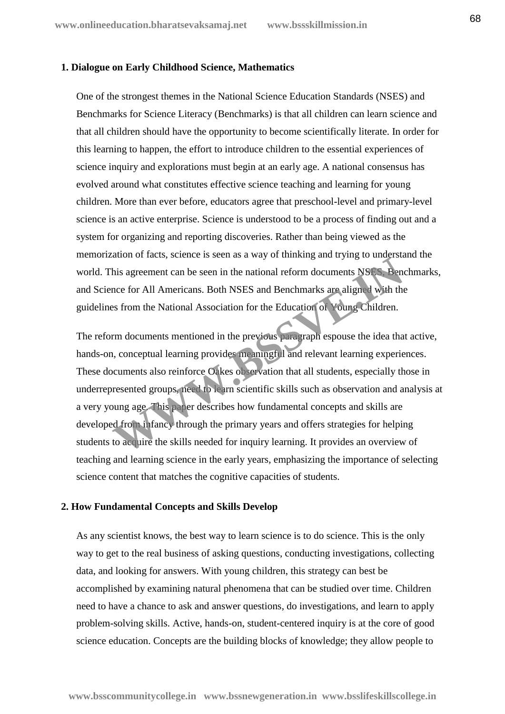#### **1. Dialogue on Early Childhood Science, Mathematics**

One of the strongest themes in the National Science Education Standards (NSES) and Benchmarks for Science Literacy (Benchmarks) is that all children can learn science and that all children should have the opportunity to become scientifically literate. In order for this learning to happen, the effort to introduce children to the essential experiences of science inquiry and explorations must begin at an early age. A national consensus has evolved around what constitutes effective science teaching and learning for young children. More than ever before, educators agree that preschool-level and primary-level science is an active enterprise. Science is understood to be a process of finding out and a system for organizing and reporting discoveries. Rather than being viewed as the memorization of facts, science is seen as a way of thinking and trying to understand the world. This agreement can be seen in the national reform documents NSES, Benchmarks, and Science for All Americans. Both NSES and Benchmarks are aligned with the guidelines from the National Association for the Education of Young Children.

The reform documents mentioned in the previous paragraph espouse the idea that active, hands-on, conceptual learning provides meaningful and relevant learning experiences. These documents also reinforce Oakes observation that all students, especially those in underrepresented groups, need to learn scientific skills such as observation and analysis at a very young age. This paper describes how fundamental concepts and skills are developed from infancy through the primary years and offers strategies for helping students to acquire the skills needed for inquiry learning. It provides an overview of teaching and learning science in the early years, emphasizing the importance of selecting science content that matches the cognitive capacities of students. And The Read Section of the seen in the national reform documents NSEs. Bene<br>this agreement can be seen in the national reform documents NSEs. Bene<br>mee for All Americans. Both NSES and Benchmarks are aligned with the<br>secti

#### **2. How Fundamental Concepts and Skills Develop**

As any scientist knows, the best way to learn science is to do science. This is the only way to get to the real business of asking questions, conducting investigations, collecting data, and looking for answers. With young children, this strategy can best be accomplished by examining natural phenomena that can be studied over time. Children need to have a chance to ask and answer questions, do investigations, and learn to apply problem-solving skills. Active, hands-on, student-centered inquiry is at the core of good science education. Concepts are the building blocks of knowledge; they allow people to

**www.bsscommunitycollege.in www.bssnewgeneration.in www.bsslifeskillscollege.in**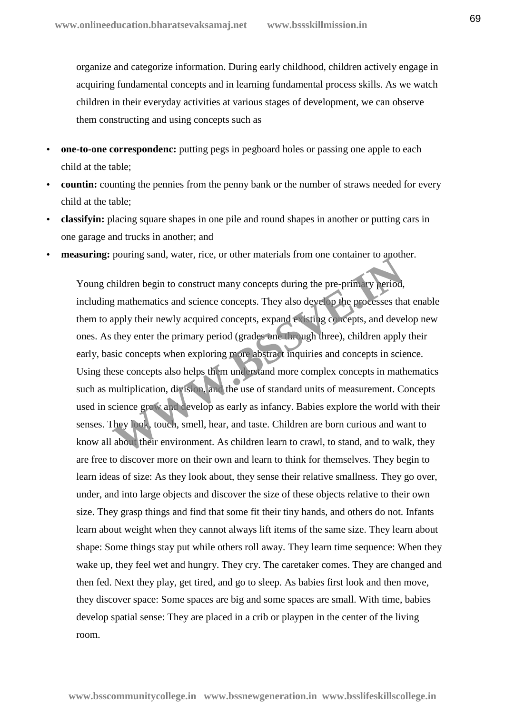organize and categorize information. During early childhood, children actively engage in acquiring fundamental concepts and in learning fundamental process skills. As we watch children in their everyday activities at various stages of development, we can observe them constructing and using concepts such as

- **one-to-one correspondenc:** putting pegs in pegboard holes or passing one apple to each child at the table;
- **countin:** counting the pennies from the penny bank or the number of straws needed for every child at the table;
- **classifyin:** placing square shapes in one pile and round shapes in another or putting cars in one garage and trucks in another; and
- **measuring:** pouring sand, water, rice, or other materials from one container to another.

Young children begin to construct many concepts during the pre-primary period, including mathematics and science concepts. They also develop the processes that enable them to apply their newly acquired concepts, expand existing concepts, and develop new ones. As they enter the primary period (grades one through three), children apply their early, basic concepts when exploring more abstract inquiries and concepts in science. Using these concepts also helps them understand more complex concepts in mathematics such as multiplication, division, and the use of standard units of measurement. Concepts used in science grow and develop as early as infancy. Babies explore the world with their senses. They look, touch, smell, hear, and taste. Children are born curious and want to know all about their environment. As children learn to crawl, to stand, and to walk, they are free to discover more on their own and learn to think for themselves. They begin to learn ideas of size: As they look about, they sense their relative smallness. They go over, under, and into large objects and discover the size of these objects relative to their own size. They grasp things and find that some fit their tiny hands, and others do not. Infants learn about weight when they cannot always lift items of the same size. They learn about shape: Some things stay put while others roll away. They learn time sequence: When they wake up, they feel wet and hungry. They cry. The caretaker comes. They are changed and then fed. Next they play, get tired, and go to sleep. As babies first look and then move, they discover space: Some spaces are big and some spaces are small. With time, babies develop spatial sense: They are placed in a crib or playpen in the center of the living room. pouring state, water, thee, or other materials non one container to also<br>hildren begin to construct many concepts during the pre-primary period,<br>g mathematics and science concepts. They also develop the processes thapply<br>t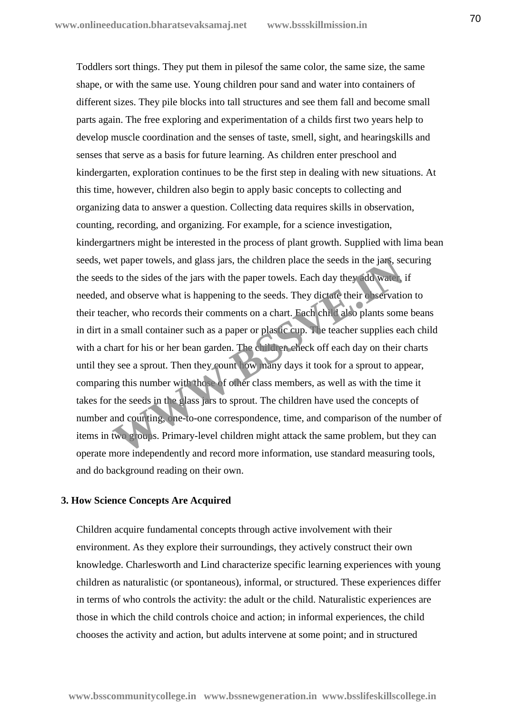Toddlers sort things. They put them in pilesof the same color, the same size, the same shape, or with the same use. Young children pour sand and water into containers of different sizes. They pile blocks into tall structures and see them fall and become small parts again. The free exploring and experimentation of a childs first two years help to develop muscle coordination and the senses of taste, smell, sight, and hearingskills and senses that serve as a basis for future learning. As children enter preschool and kindergarten, exploration continues to be the first step in dealing with new situations. At this time, however, children also begin to apply basic concepts to collecting and organizing data to answer a question. Collecting data requires skills in observation, counting, recording, and organizing. For example, for a science investigation, kindergartners might be interested in the process of plant growth. Supplied with lima bean seeds, wet paper towels, and glass jars, the children place the seeds in the jars, securing the seeds to the sides of the jars with the paper towels. Each day they add water, if needed, and observe what is happening to the seeds. They dictate their observation to their teacher, who records their comments on a chart. Each child also plants some beans in dirt in a small container such as a paper or plastic cup. The teacher supplies each child with a chart for his or her bean garden. The children check off each day on their charts until they see a sprout. Then they count how many days it took for a sprout to appear, comparing this number with those of other class members, as well as with the time it takes for the seeds in the glass jars to sprout. The children have used the concepts of number and counting, one-to-one correspondence, time, and comparison of the number of items in two groups. Primary-level children might attack the same problem, but they can operate more independently and record more information, use standard measuring tools, and do background reading on their own. et paper towels, and glass jars, the children place the seeds in the jars, se<br>sto the sides of the jars with the paper towels. Each day they did water<br>and observe what is happening to the seeds. They dictate their observat

### **3. How Science Concepts Are Acquired**

Children acquire fundamental concepts through active involvement with their environment. As they explore their surroundings, they actively construct their own knowledge. Charlesworth and Lind characterize specific learning experiences with young children as naturalistic (or spontaneous), informal, or structured. These experiences differ in terms of who controls the activity: the adult or the child. Naturalistic experiences are those in which the child controls choice and action; in informal experiences, the child chooses the activity and action, but adults intervene at some point; and in structured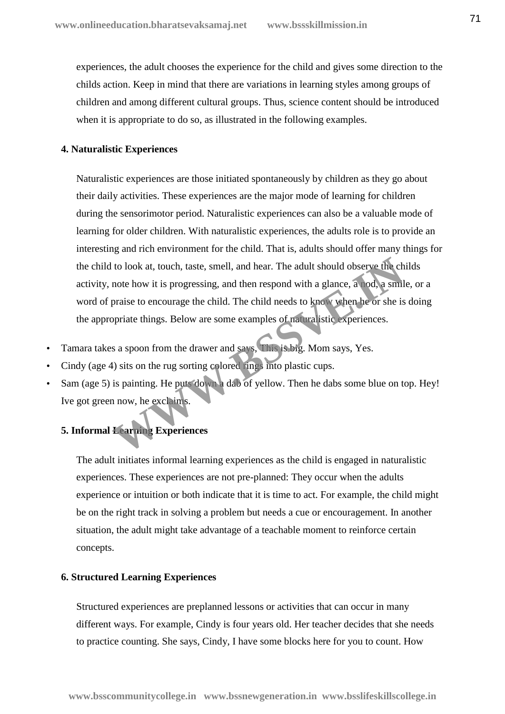experiences, the adult chooses the experience for the child and gives some direction to the childs action. Keep in mind that there are variations in learning styles among groups of children and among different cultural groups. Thus, science content should be introduced when it is appropriate to do so, as illustrated in the following examples.

## **4. Naturalistic Experiences**

Naturalistic experiences are those initiated spontaneously by children as they go about their daily activities. These experiences are the major mode of learning for children during the sensorimotor period. Naturalistic experiences can also be a valuable mode of learning for older children. With naturalistic experiences, the adults role is to provide an interesting and rich environment for the child. That is, adults should offer many things for the child to look at, touch, taste, smell, and hear. The adult should observe the childs activity, note how it is progressing, and then respond with a glance, a nod, a smile, or a word of praise to encourage the child. The child needs to know when he or she is doing the appropriate things. Below are some examples of naturalistic experiences. to look at, touch, taste, smell, and hear. The adult should observe the choot how it is progressing, and then respond with a glance, a nod, a smill praise to encourage the child. The child needs to know when he or she is o

- Tamara takes a spoon from the drawer and says, This is big. Mom says, Yes.
- Cindy (age 4) sits on the rug sorting colored rings into plastic cups.
- Sam (age 5) is painting. He puts down a dab of yellow. Then he dabs some blue on top. Hey! Ive got green now, he exclaims.

# **5. Informal Learning Experiences**

The adult initiates informal learning experiences as the child is engaged in naturalistic experiences. These experiences are not pre-planned: They occur when the adults experience or intuition or both indicate that it is time to act. For example, the child might be on the right track in solving a problem but needs a cue or encouragement. In another situation, the adult might take advantage of a teachable moment to reinforce certain concepts.

# **6. Structured Learning Experiences**

Structured experiences are preplanned lessons or activities that can occur in many different ways. For example, Cindy is four years old. Her teacher decides that she needs to practice counting. She says, Cindy, I have some blocks here for you to count. How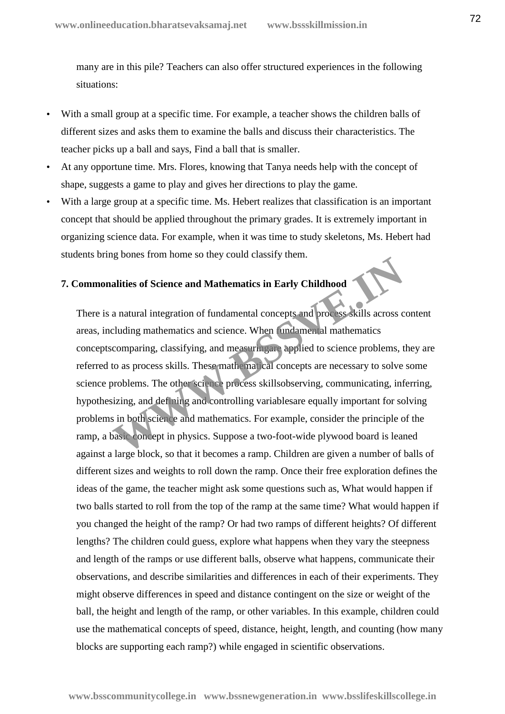many are in this pile? Teachers can also offer structured experiences in the following situations:

- With a small group at a specific time. For example, a teacher shows the children balls of different sizes and asks them to examine the balls and discuss their characteristics. The teacher picks up a ball and says, Find a ball that is smaller.
- At any opportune time. Mrs. Flores, knowing that Tanya needs help with the concept of shape, suggests a game to play and gives her directions to play the game.
- With a large group at a specific time. Ms. Hebert realizes that classification is an important concept that should be applied throughout the primary grades. It is extremely important in organizing science data. For example, when it was time to study skeletons, Ms. Hebert had students bring bones from home so they could classify them.

# **7. Commonalities of Science and Mathematics in Early Childhood**

There is a natural integration of fundamental concepts and process skills across content areas, including mathematics and science. When fundamental mathematics conceptscomparing, classifying, and measuringare applied to science problems, they are referred to as process skills. These mathematical concepts are necessary to solve some science problems. The other science process skillsobserving, communicating, inferring, hypothesizing, and defining and controlling variablesare equally important for solving problems in both science and mathematics. For example, consider the principle of the ramp, a basic concept in physics. Suppose a two-foot-wide plywood board is leaned against a large block, so that it becomes a ramp. Children are given a number of balls of different sizes and weights to roll down the ramp. Once their free exploration defines the ideas of the game, the teacher might ask some questions such as, What would happen if two balls started to roll from the top of the ramp at the same time? What would happen if you changed the height of the ramp? Or had two ramps of different heights? Of different lengths? The children could guess, explore what happens when they vary the steepness and length of the ramps or use different balls, observe what happens, communicate their observations, and describe similarities and differences in each of their experiments. They might observe differences in speed and distance contingent on the size or weight of the ball, the height and length of the ramp, or other variables. In this example, children could use the mathematical concepts of speed, distance, height, length, and counting (how many blocks are supporting each ramp?) while engaged in scientific observations. alities of Science and Mathematics in Early Childhood<br>a natural integration of fundamental concepts and process skills across c<br>cluding mathematics and science. When fundamental mathematics<br>comparing, classifying, and meas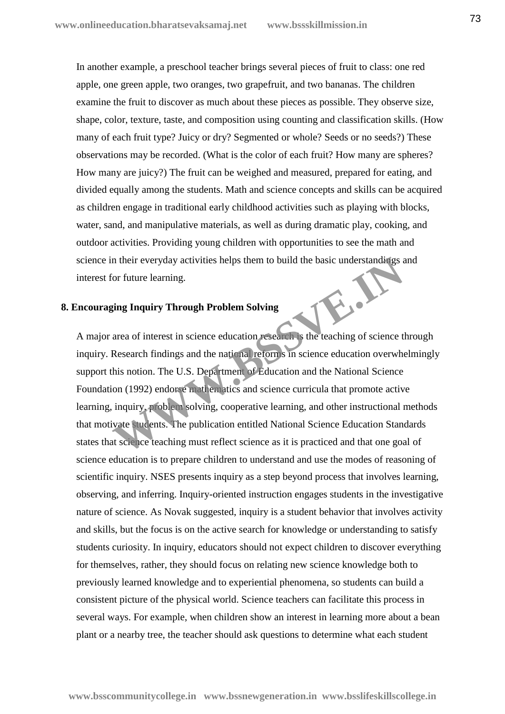In another example, a preschool teacher brings several pieces of fruit to class: one red apple, one green apple, two oranges, two grapefruit, and two bananas. The children examine the fruit to discover as much about these pieces as possible. They observe size, shape, color, texture, taste, and composition using counting and classification skills. (How many of each fruit type? Juicy or dry? Segmented or whole? Seeds or no seeds?) These observations may be recorded. (What is the color of each fruit? How many are spheres? How many are juicy?) The fruit can be weighed and measured, prepared for eating, and divided equally among the students. Math and science concepts and skills can be acquired as children engage in traditional early childhood activities such as playing with blocks, water, sand, and manipulative materials, as well as during dramatic play, cooking, and outdoor activities. Providing young children with opportunities to see the math and science in their everyday activities helps them to build the basic understandings and interest for future learning.

# **8. Encouraging Inquiry Through Problem Solving**

A major area of interest in science education research is the teaching of science through inquiry. Research findings and the national reform s in science education overwhelmingly support this notion. The U.S. Department of Education and the National Science Foundation (1992) endorse mathematics and science curricula that promote active learning, inquiry, problem solving, cooperative learning, and other instructional methods that motivate students. The publication entitled National Science Education Standards states that science teaching must reflect science as it is practiced and that one goal of science education is to prepare children to understand and use the modes of reasoning of scientific inquiry. NSES presents inquiry as a step beyond process that involves learning, observing, and inferring. Inquiry-oriented instruction engages students in the investigative nature of science. As Novak suggested, inquiry is a student behavior that involves activity and skills, but the focus is on the active search for knowledge or understanding to satisfy students curiosity. In inquiry, educators should not expect children to discover everything for themselves, rather, they should focus on relating new science knowledge both to previously learned knowledge and to experiential phenomena, so students can build a consistent picture of the physical world. Science teachers can facilitate this process in several ways. For example, when children show an interest in learning more about a bean plant or a nearby tree, the teacher should ask questions to determine what each student In their everyday activities helps them to build the basic understandings a<br>
ior future learning.<br>
Sing Inquiry Through Problem Solving<br>
area of interest in science education research<br>
Research findings and the national re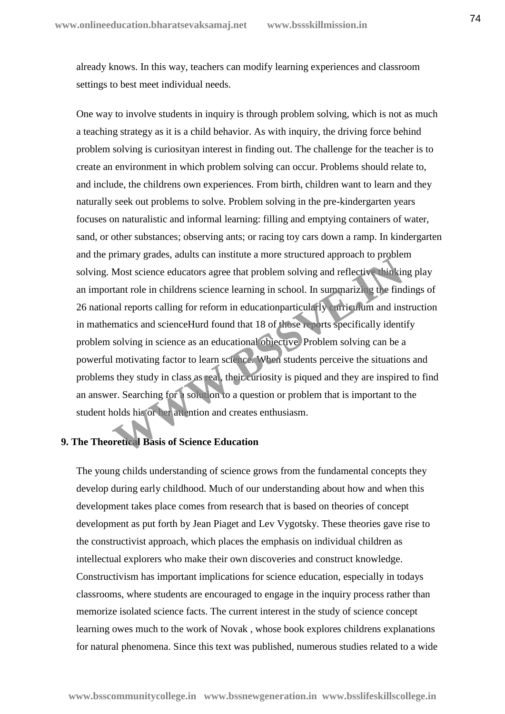already knows. In this way, teachers can modify learning experiences and classroom settings to best meet individual needs.

One way to involve students in inquiry is through problem solving, which is not as much a teaching strategy as it is a child behavior. As with inquiry, the driving force behind problem solving is curiosityan interest in finding out. The challenge for the teacher is to create an environment in which problem solving can occur. Problems should relate to, and include, the childrens own experiences. From birth, children want to learn and they naturally seek out problems to solve. Problem solving in the pre-kindergarten years focuses on naturalistic and informal learning: filling and emptying containers of water, sand, or other substances; observing ants; or racing toy cars down a ramp. In kindergarten and the primary grades, adults can institute a more structured approach to problem solving. Most science educators agree that problem solving and reflective thinking play an important role in childrens science learning in school. In summarizing the findings of 26 national reports calling for reform in educationparticularly curriculum and instruction in mathematics and scienceHurd found that 18 of those reports specifically identify problem solving in science as an educational objective. Problem solving can be a powerful motivating factor to learn science. When students perceive the situations and problems they study in class as real, their curiosity is piqued and they are inspired to find an answer. Searching for a solution to a question or problem that is important to the student holds his or her attention and creates enthusiasm. Most science educators agree that problem solving and reflective thinking<br>tant role in childrens science learning in school. In summarizing the find<br>tant role in childrens science learning in school. In summarizing the fin

# **9. The Theoretical Basis of Science Education**

The young childs understanding of science grows from the fundamental concepts they develop during early childhood. Much of our understanding about how and when this development takes place comes from research that is based on theories of concept development as put forth by Jean Piaget and Lev Vygotsky. These theories gave rise to the constructivist approach, which places the emphasis on individual children as intellectual explorers who make their own discoveries and construct knowledge. Constructivism has important implications for science education, especially in todays classrooms, where students are encouraged to engage in the inquiry process rather than memorize isolated science facts. The current interest in the study of science concept learning owes much to the work of Novak , whose book explores childrens explanations for natural phenomena. Since this text was published, numerous studies related to a wide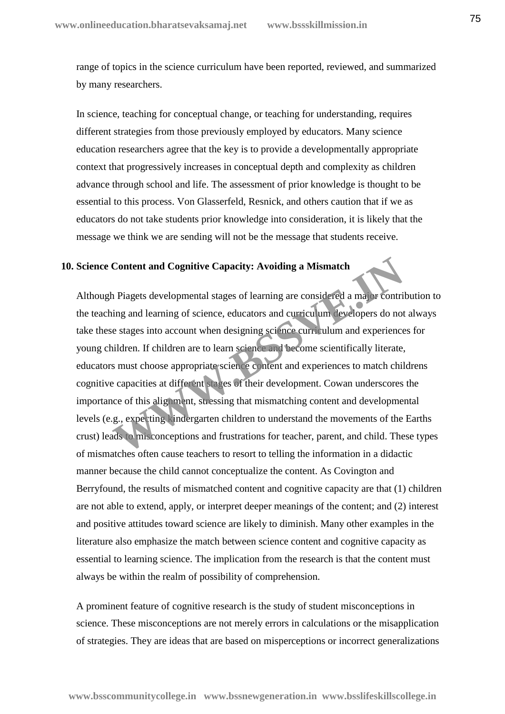range of topics in the science curriculum have been reported, reviewed, and summarized by many researchers.

In science, teaching for conceptual change, or teaching for understanding, requires different strategies from those previously employed by educators. Many science education researchers agree that the key is to provide a developmentally appropriate context that progressively increases in conceptual depth and complexity as children advance through school and life. The assessment of prior knowledge is thought to be essential to this process. Von Glasserfeld, Resnick, and others caution that if we as educators do not take students prior knowledge into consideration, it is likely that the message we think we are sending will not be the message that students receive.

# **10. Science Content and Cognitive Capacity: Avoiding a Mismatch**

Although Piagets developmental stages of learning are considered a major contribution to the teaching and learning of science, educators and curriculum developers do not always take these stages into account when designing science curriculum and experiences for young children. If children are to learn science and become scientifically literate, educators must choose appropriate science content and experiences to match childrens cognitive capacities at different stages of their development. Cowan underscores the importance of this alignment, stressing that mismatching content and developmental levels (e.g., expecting kindergarten children to understand the movements of the Earths crust) leads to misconceptions and frustrations for teacher, parent, and child. These types of mismatches often cause teachers to resort to telling the information in a didactic manner because the child cannot conceptualize the content. As Covington and Berryfound, the results of mismatched content and cognitive capacity are that (1) children are not able to extend, apply, or interpret deeper meanings of the content; and (2) interest and positive attitudes toward science are likely to diminish. Many other examples in the literature also emphasize the match between science content and cognitive capacity as essential to learning science. The implication from the research is that the content must always be within the realm of possibility of comprehension. **Content and Cognitive Capacity: Avoiding a Mismatch**<br>This Piagets developmental stages of learning are considered a major contri<br>ing and learning of science, educators and curriculum developers do not<br>e stages into accoun

A prominent feature of cognitive research is the study of student misconceptions in science. These misconceptions are not merely errors in calculations or the misapplication of strategies. They are ideas that are based on misperceptions or incorrect generalizations

**www.bsscommunitycollege.in www.bssnewgeneration.in www.bsslifeskillscollege.in**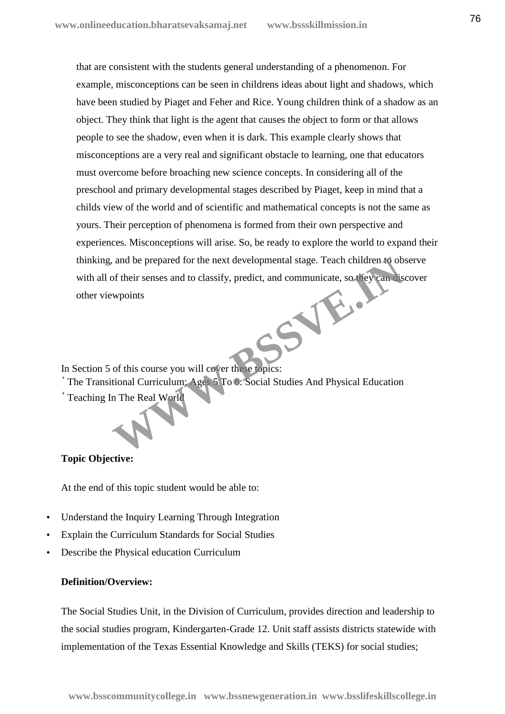that are consistent with the students general understanding of a phenomenon. For example, misconceptions can be seen in childrens ideas about light and shadows, which have been studied by Piaget and Feher and Rice. Young children think of a shadow as an object. They think that light is the agent that causes the object to form or that allows people to see the shadow, even when it is dark. This example clearly shows that misconceptions are a very real and significant obstacle to learning, one that educators must overcome before broaching new science concepts. In considering all of the preschool and primary developmental stages described by Piaget, keep in mind that a childs view of the world and of scientific and mathematical concepts is not the same as yours. Their perception of phenomena is formed from their own perspective and experiences. Misconceptions will arise. So, be ready to explore the world to expand their thinking, and be prepared for the next developmental stage. Teach children to observe with all of their senses and to classify, predict, and communicate, so they can discover other viewpoints WWW.BSSV

In Section 5 of this course you will cover these topics:

The Transitional Curriculum: Ages 5 To 8: Social Studies And Physical Education

Teaching In The Real World

# **Topic Objective:**

At the end of this topic student would be able to:

- Understand the Inquiry Learning Through Integration
- Explain the Curriculum Standards for Social Studies
- Describe the Physical education Curriculum

# **Definition/Overview:**

The Social Studies Unit, in the Division of Curriculum, provides direction and leadership to the social studies program, Kindergarten-Grade 12. Unit staff assists districts statewide with implementation of the Texas Essential Knowledge and Skills (TEKS) for social studies;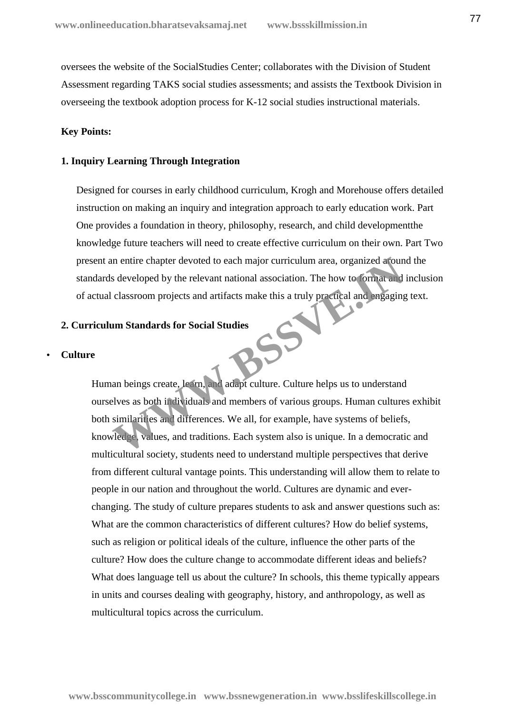oversees the website of the SocialStudies Center; collaborates with the Division of Student Assessment regarding TAKS social studies assessments; and assists the Textbook Division in overseeing the textbook adoption process for K-12 social studies instructional materials.

## **Key Points:**

#### **1. Inquiry Learning Through Integration**

Designed for courses in early childhood curriculum, Krogh and Morehouse offers detailed instruction on making an inquiry and integration approach to early education work. Part One provides a foundation in theory, philosophy, research, and child developmentthe knowledge future teachers will need to create effective curriculum on their own. Part Two present an entire chapter devoted to each major curriculum area, organized around the standards developed by the relevant national association. The how to format and inclusion of actual classroom projects and artifacts make this a truly practical and engaging text.

# **2. Curriculum Standards for Social Studies**

## **Culture**

Human beings create, learn, and adapt culture. Culture helps us to understand ourselves as both individuals and members of various groups. Human cultures exhibit both similarities and differences. We all, for example, have systems of beliefs, knowledge, values, and traditions. Each system also is unique. In a democratic and multicultural society, students need to understand multiple perspectives that derive from different cultural vantage points. This understanding will allow them to relate to people in our nation and throughout the world. Cultures are dynamic and ever changing. The study of culture prepares students to ask and answer questions such as: What are the common characteristics of different cultures? How do belief systems, such as religion or political ideals of the culture, influence the other parts of the culture? How does the culture change to accommodate different ideas and beliefs? What does language tell us about the culture? In schools, this theme typically appears in units and courses dealing with geography, history, and anthropology, as well as multicultural topics across the curriculum. In entire chapter devoted to each major curriculum area, organized around a seveloped by the relevant national association. The how to **ormar and** classroom projects and artifacts make this a truly practical and engaging a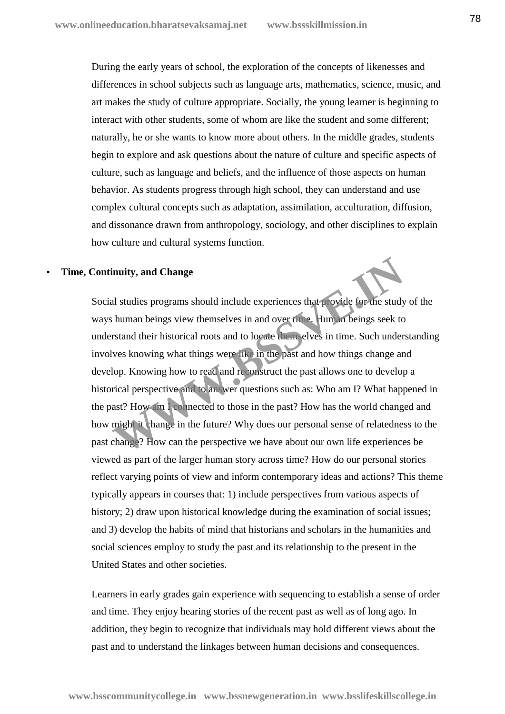During the early years of school, the exploration of the concepts of likenesses and differences in school subjects such as language arts, mathematics, science, music, and art makes the study of culture appropriate. Socially, the young learner is beginning to interact with other students, some of whom are like the student and some different; naturally, he or she wants to know more about others. In the middle grades, students begin to explore and ask questions about the nature of culture and specific aspects of culture, such as language and beliefs, and the influence of those aspects on human behavior. As students progress through high school, they can understand and use complex cultural concepts such as adaptation, assimilation, acculturation, diffusion, and dissonance drawn from anthropology, sociology, and other disciplines to explain how culture and cultural systems function.

#### **Time, Continuity, and Change**

Social studies programs should include experiences that provide for the study of the ways human beings view themselves in and over time. Human beings seek to understand their historical roots and to locate themselves in time. Such understanding involves knowing what things were like in the past and how things change and develop. Knowing how to read and reconstruct the past allows one to develop a historical perspective and to answer questions such as: Who am I? What happened in the past? How am I connected to those in the past? How has the world changed and how might it change in the future? Why does our personal sense of relatedness to the past change? How can the perspective we have about our own life experiences be viewed as part of the larger human story across time? How do our personal stories reflect varying points of view and inform contemporary ideas and actions? This theme typically appears in courses that: 1) include perspectives from various aspects of history; 2) draw upon historical knowledge during the examination of social issues; and 3) develop the habits of mind that historians and scholars in the humanities and social sciences employ to study the past and its relationship to the present in the United States and other societies. **Example 18 Solution** Should include experiences that provide for the study human beings view themselves in and over time. Hum in beings seek to rstand their historical roots and to locate themselves in time. Such under ly

Learners in early grades gain experience with sequencing to establish a sense of order and time. They enjoy hearing stories of the recent past as well as of long ago. In addition, they begin to recognize that individuals may hold different views about the past and to understand the linkages between human decisions and consequences.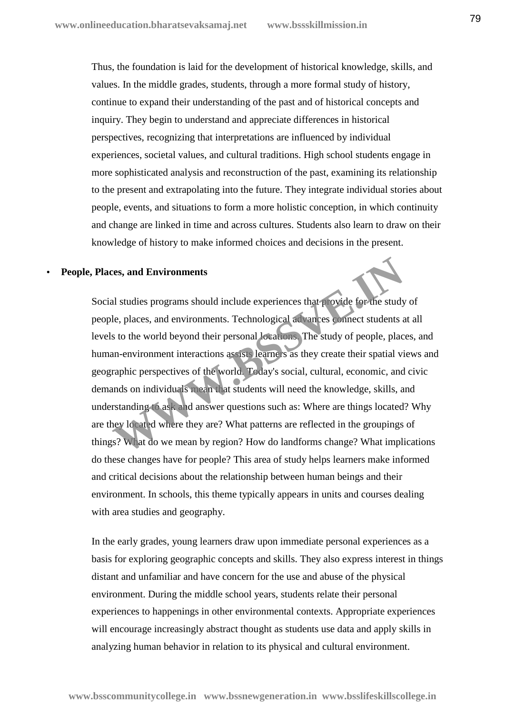Thus, the foundation is laid for the development of historical knowledge, skills, and values. In the middle grades, students, through a more formal study of history, continue to expand their understanding of the past and of historical concepts and inquiry. They begin to understand and appreciate differences in historical perspectives, recognizing that interpretations are influenced by individual experiences, societal values, and cultural traditions. High school students engage in more sophisticated analysis and reconstruction of the past, examining its relationship to the present and extrapolating into the future. They integrate individual stories about people, events, and situations to form a more holistic conception, in which continuity and change are linked in time and across cultures. Students also learn to draw on their knowledge of history to make informed choices and decisions in the present.

#### **People, Places, and Environments**

Social studies programs should include experiences that provide for the study of people, places, and environments. Technological advances connect students at all levels to the world beyond their personal locations. The study of people, places, and human-environment interactions assists learners as they create their spatial views and geographic perspectives of the world. Today's social, cultural, economic, and civic demands on individuals mean that students will need the knowledge, skills, and understanding to ask and answer questions such as: Where are things located? Why are they located where they are? What patterns are reflected in the groupings of things? What do we mean by region? How do landforms change? What implications do these changes have for people? This area of study helps learners make informed and critical decisions about the relationship between human beings and their environment. In schools, this theme typically appears in units and courses dealing with area studies and geography. **Example 18 and Environments**<br>al studies programs should include experiences that provide for the study<br>le, places, and environments. Technological advances connect students as<br>s to the world beyond their personal location

In the early grades, young learners draw upon immediate personal experiences as a basis for exploring geographic concepts and skills. They also express interest in things distant and unfamiliar and have concern for the use and abuse of the physical environment. During the middle school years, students relate their personal experiences to happenings in other environmental contexts. Appropriate experiences will encourage increasingly abstract thought as students use data and apply skills in analyzing human behavior in relation to its physical and cultural environment.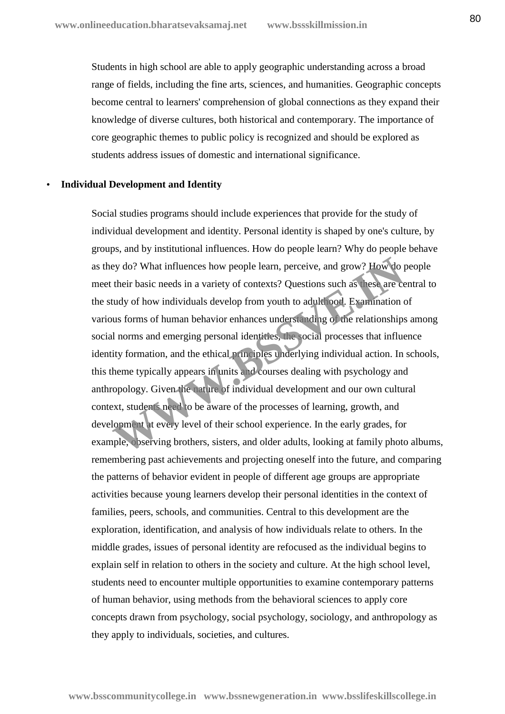Students in high school are able to apply geographic understanding across a broad range of fields, including the fine arts, sciences, and humanities. Geographic concepts become central to learners' comprehension of global connections as they expand their knowledge of diverse cultures, both historical and contemporary. The importance of core geographic themes to public policy is recognized and should be explored as students address issues of domestic and international significance.

#### **Individual Development and Identity**

Social studies programs should include experiences that provide for the study of individual development and identity. Personal identity is shaped by one's culture, by groups, and by institutional influences. How do people learn? Why do people behave as they do? What influences how people learn, perceive, and grow? How do people meet their basic needs in a variety of contexts? Questions such as these are central to the study of how individuals develop from youth to adulthood. Examination of various forms of human behavior enhances understanding of the relationships among social norms and emerging personal identities, the social processes that influence identity formation, and the ethical principles underlying individual action. In schools, this theme typically appears in units and courses dealing with psychology and anthropology. Given the nature of individual development and our own cultural context, students need to be aware of the processes of learning, growth, and development at every level of their school experience. In the early grades, for example, observing brothers, sisters, and older adults, looking at family photo albums, remembering past achievements and projecting oneself into the future, and comparing the patterns of behavior evident in people of different age groups are appropriate activities because young learners develop their personal identities in the context of families, peers, schools, and communities. Central to this development are the exploration, identification, and analysis of how individuals relate to others. In the middle grades, issues of personal identity are refocused as the individual begins to explain self in relation to others in the society and culture. At the high school level, students need to encounter multiple opportunities to examine contemporary patterns of human behavior, using methods from the behavioral sciences to apply core concepts drawn from psychology, social psychology, sociology, and anthropology as they apply to individuals, societies, and cultures. ey do? What influences how people learn, perceive, and grow? How do their basic needs in a variety of contexts? Questions such as these are cottaged of how individuals develop from youth to adult pool. Examination ous form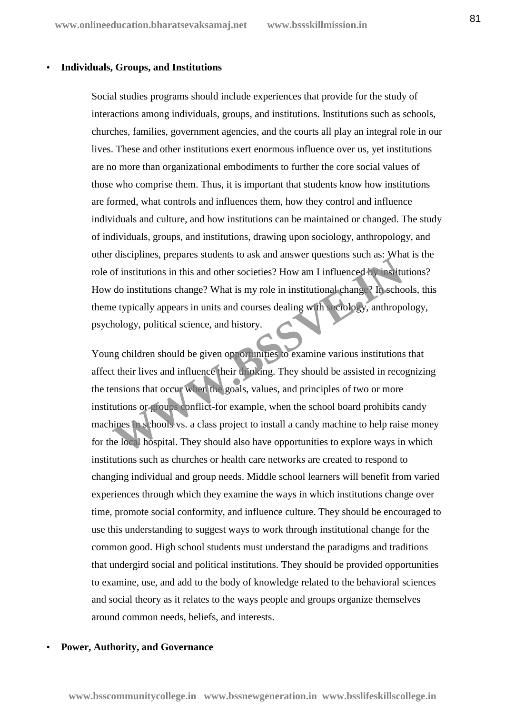#### **Individuals, Groups, and Institutions**

Social studies programs should include experiences that provide for the study of interactions among individuals, groups, and institutions. Institutions such as schools, churches, families, government agencies, and the courts all play an integral role in our lives. These and other institutions exert enormous influence over us, yet institutions are no more than organizational embodiments to further the core social values of those who comprise them. Thus, it is important that students know how institutions are formed, what controls and influences them, how they control and influence individuals and culture, and how institutions can be maintained or changed. The study of individuals, groups, and institutions, drawing upon sociology, anthropology, and other disciplines, prepares students to ask and answer questions such as: What is the role of institutions in this and other societies? How am I influenced by institutions? How do institutions change? What is my role in institutional change? In schools, this theme typically appears in units and courses dealing with sociology, anthropology, psychology, political science, and history.

Young children should be given opportunities to examine various institutions that affect their lives and influence their thinking. They should be assisted in recognizing the tensions that occur when the goals, values, and principles of two or more institutions or groups conflict-for example, when the school board prohibits candy machines in schools vs. a class project to install a candy machine to help raise money for the local hospital. They should also have opportunities to explore ways in which institutions such as churches or health care networks are created to respond to changing individual and group needs. Middle school learners will benefit from varied experiences through which they examine the ways in which institutions change over time, promote social conformity, and influence culture. They should be encouraged to use this understanding to suggest ways to work through institutional change for the common good. High school students must understand the paradigms and traditions that undergird social and political institutions. They should be provided opportunities to examine, use, and add to the body of knowledge related to the behavioral sciences and social theory as it relates to the ways people and groups organize themselves around common needs, beliefs, and interests. do institutions in this and other societies? How am I influenced by institutions change? What is my role in institutional change? In school is institutions change? What is my role in institutional change? In school e typic

#### **Power, Authority, and Governance**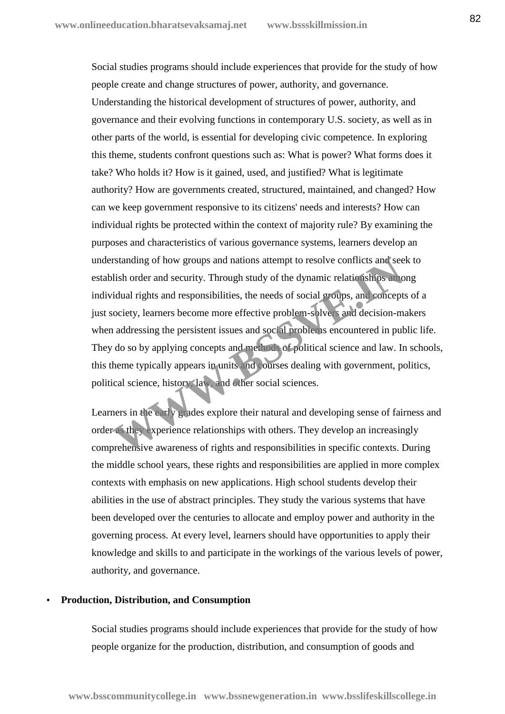Social studies programs should include experiences that provide for the study of how people create and change structures of power, authority, and governance. Understanding the historical development of structures of power, authority, and governance and their evolving functions in contemporary U.S. society, as well as in other parts of the world, is essential for developing civic competence. In exploring this theme, students confront questions such as: What is power? What forms does it take? Who holds it? How is it gained, used, and justified? What is legitimate authority? How are governments created, structured, maintained, and changed? How can we keep government responsive to its citizens' needs and interests? How can individual rights be protected within the context of majority rule? By examining the purposes and characteristics of various governance systems, learners develop an understanding of how groups and nations attempt to resolve conflicts and seek to establish order and security. Through study of the dynamic relationships among individual rights and responsibilities, the needs of social groups, and concepts of a just society, learners become more effective problem-solvers and decision-makers when addressing the persistent issues and social problems encountered in public life. They do so by applying concepts and methods of political science and law. In schools, this theme typically appears in units and courses dealing with government, politics, political science, history, law, and other social sciences. rstanding of how groups and nations attempt to resolve conflicts and see<br>ulish order and security. Through study of the dynamic relationships anto<br>idual rights and responsibilities, the needs of social groups, and concept<br>

Learners in the early grades explore their natural and developing sense of fairness and order as they experience relationships with others. They develop an increasingly comprehensive awareness of rights and responsibilities in specific contexts. During the middle school years, these rights and responsibilities are applied in more complex contexts with emphasis on new applications. High school students develop their abilities in the use of abstract principles. They study the various systems that have been developed over the centuries to allocate and employ power and authority in the governing process. At every level, learners should have opportunities to apply their knowledge and skills to and participate in the workings of the various levels of power, authority, and governance.

#### **Production, Distribution, and Consumption**

Social studies programs should include experiences that provide for the study of how people organize for the production, distribution, and consumption of goods and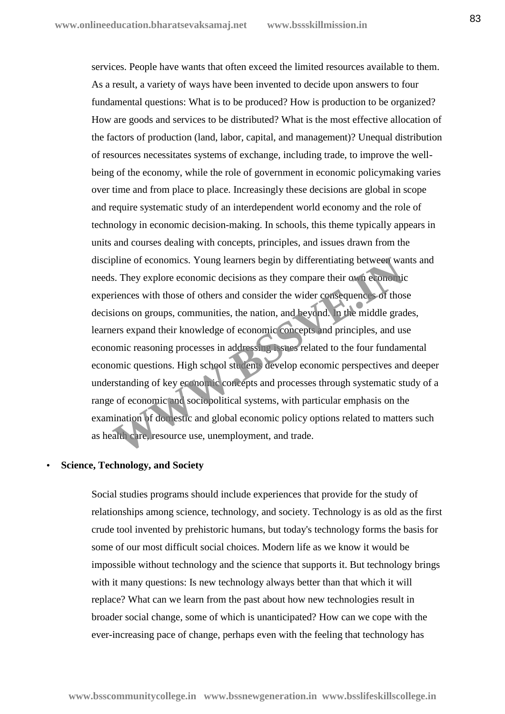services. People have wants that often exceed the limited resources available to them. As a result, a variety of ways have been invented to decide upon answers to four fundamental questions: What is to be produced? How is production to be organized? How are goods and services to be distributed? What is the most effective allocation of the factors of production (land, labor, capital, and management)? Unequal distribution of resources necessitates systems of exchange, including trade, to improve the well being of the economy, while the role of government in economic policymaking varies over time and from place to place. Increasingly these decisions are global in scope and require systematic study of an interdependent world economy and the role of technology in economic decision-making. In schools, this theme typically appears in units and courses dealing with concepts, principles, and issues drawn from the discipline of economics. Young learners begin by differentiating between wants and needs. They explore economic decisions as they compare their own economic experiences with those of others and consider the wider consequences of those decisions on groups, communities, the nation, and beyond. In the middle grades, learners expand their knowledge of economic concepts and principles, and use economic reasoning processes in addressing issues related to the four fundamental economic questions. High school students develop economic perspectives and deeper understanding of key economic concepts and processes through systematic study of a range of economic and sociopolitical systems, with particular emphasis on the examination of domestic and global economic policy options related to matters such as health care, resource use, unemployment, and trade. pline of economics. Young learners begin by differentiating between was. They explore economic decisions as they compare their own economic<br>riences with those of others and consider the wider consequences of those<br>ions on

## **Science, Technology, and Society**

Social studies programs should include experiences that provide for the study of relationships among science, technology, and society. Technology is as old as the first crude tool invented by prehistoric humans, but today's technology forms the basis for some of our most difficult social choices. Modern life as we know it would be impossible without technology and the science that supports it. But technology brings with it many questions: Is new technology always better than that which it will replace? What can we learn from the past about how new technologies result in broader social change, some of which is unanticipated? How can we cope with the ever-increasing pace of change, perhaps even with the feeling that technology has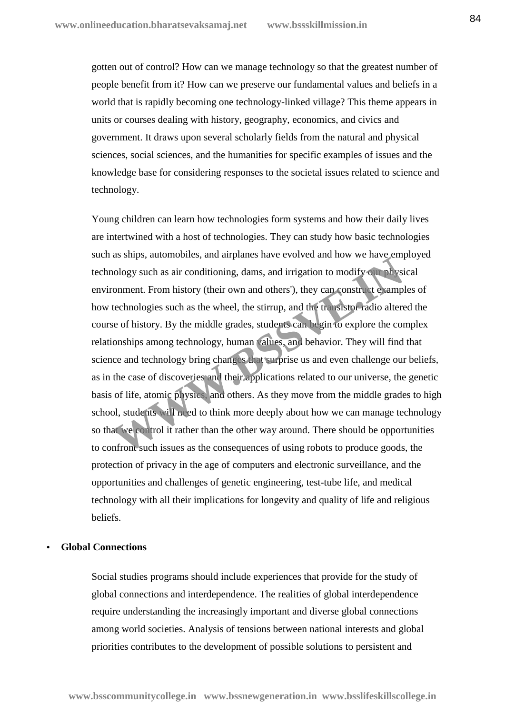gotten out of control? How can we manage technology so that the greatest number of people benefit from it? How can we preserve our fundamental values and beliefs in a world that is rapidly becoming one technology-linked village? This theme appears in units or courses dealing with history, geography, economics, and civics and government. It draws upon several scholarly fields from the natural and physical sciences, social sciences, and the humanities for specific examples of issues and the knowledge base for considering responses to the societal issues related to science and technology.

Young children can learn how technologies form systems and how their daily lives are intertwined with a host of technologies. They can study how basic technologies such as ships, automobiles, and airplanes have evolved and how we have employed technology such as air conditioning, dams, and irrigation to modify our physical environment. From history (their own and others'), they can construct examples of how technologies such as the wheel, the stirrup, and the transistor radio altered the course of history. By the middle grades, students can begin to explore the complex relationships among technology, human values, and behavior. They will find that science and technology bring changes that surprise us and even challenge our beliefs, as in the case of discoveries and their applications related to our universe, the genetic basis of life, atomic physics, and others. As they move from the middle grades to high school, students will need to think more deeply about how we can manage technology so that we control it rather than the other way around. There should be opportunities to confront such issues as the consequences of using robots to produce goods, the protection of privacy in the age of computers and electronic surveillance, and the opportunities and challenges of genetic engineering, test-tube life, and medical technology with all their implications for longevity and quality of life and religious beliefs. as singly, attornoones, and arphaes nave evolved and now we have enoploded and now the model of the single order and non-<br>the model of the model of the single physics onment. From history (their own and others'), they can

#### **Global Connections**

Social studies programs should include experiences that provide for the study of global connections and interdependence. The realities of global interdependence require understanding the increasingly important and diverse global connections among world societies. Analysis of tensions between national interests and global priorities contributes to the development of possible solutions to persistent and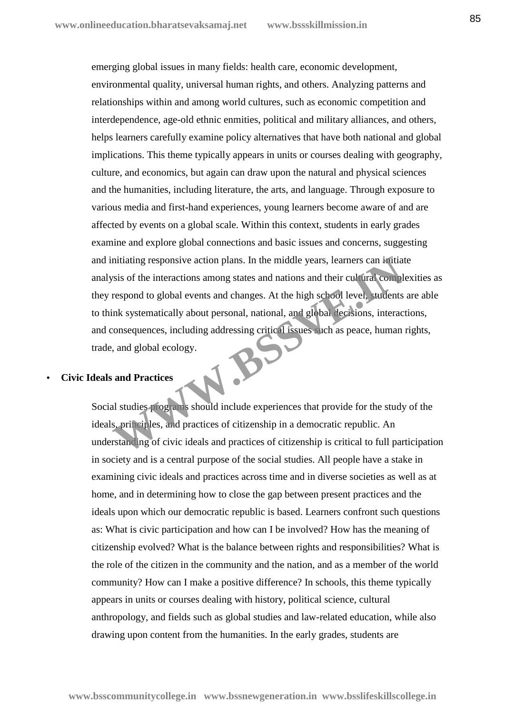emerging global issues in many fields: health care, economic development, environmental quality, universal human rights, and others. Analyzing patterns and relationships within and among world cultures, such as economic competition and interdependence, age-old ethnic enmities, political and military alliances, and others, helps learners carefully examine policy alternatives that have both national and global implications. This theme typically appears in units or courses dealing with geography, culture, and economics, but again can draw upon the natural and physical sciences and the humanities, including literature, the arts, and language. Through exposure to various media and first-hand experiences, young learners become aware of and are affected by events on a global scale. Within this context, students in early grades examine and explore global connections and basic issues and concerns, suggesting and initiating responsive action plans. In the middle years, learners can initiate analysis of the interactions among states and nations and their cultural complexities as they respond to global events and changes. At the high school level, students are able to think systematically about personal, national, and global decisions, interactions, and consequences, including addressing critical issues such as peace, human rights, trade, and global ecology. mitiating responsive action plans. In the middle years, learners can initiat<br>visis of the interactions among states and nations and their cultural compl<br>respond to global events and changes. At the high school level, stude

# **Civic Ideals and Practices**

Social studies programs should include experiences that provide for the study of the ideals, principles, and practices of citizenship in a democratic republic. An understanding of civic ideals and practices of citizenship is critical to full participation in society and is a central purpose of the social studies. All people have a stake in examining civic ideals and practices across time and in diverse societies as well as at home, and in determining how to close the gap between present practices and the ideals upon which our democratic republic is based. Learners confront such questions as: What is civic participation and how can I be involved? How has the meaning of citizenship evolved? What is the balance between rights and responsibilities? What is the role of the citizen in the community and the nation, and as a member of the world community? How can I make a positive difference? In schools, this theme typically appears in units or courses dealing with history, political science, cultural anthropology, and fields such as global studies and law-related education, while also drawing upon content from the humanities. In the early grades, students are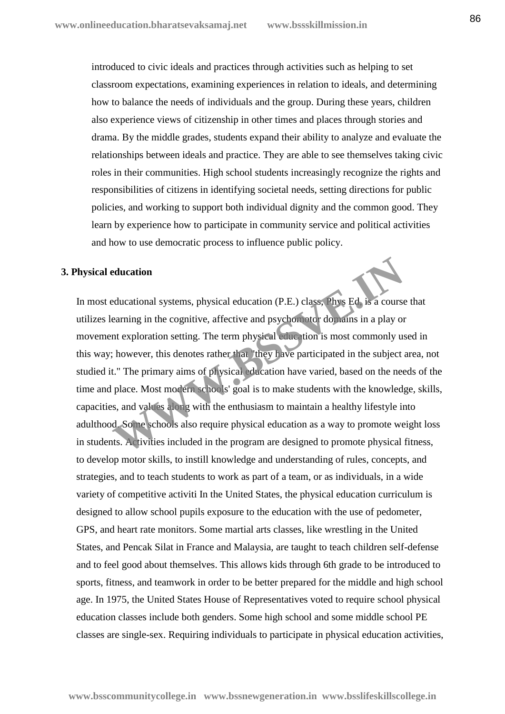introduced to civic ideals and practices through activities such as helping to set classroom expectations, examining experiences in relation to ideals, and determining how to balance the needs of individuals and the group. During these years, children also experience views of citizenship in other times and places through stories and drama. By the middle grades, students expand their ability to analyze and evaluate the relationships between ideals and practice. They are able to see themselves taking civic roles in their communities. High school students increasingly recognize the rights and responsibilities of citizens in identifying societal needs, setting directions for public policies, and working to support both individual dignity and the common good. They learn by experience how to participate in community service and political activities and how to use democratic process to influence public policy.

#### **3. Physical education**

In most educational systems, physical education (P.E.) class, Phys Ed, is a course that utilizes learning in the cognitive, affective and psychomotor domains in a play or movement exploration setting. The term physical education is most commonly used in this way; however, this denotes rather that "they have participated in the subject area, not studied it." The primary aims of physical education have varied, based on the needs of the time and place. Most modern schools' goal is to make students with the knowledge, skills, capacities, and values along with the enthusiasm to maintain a healthy lifestyle into adulthood. Some schools also require physical education as a way to promote weight loss in students. Activities included in the program are designed to promote physical fitness, to develop motor skills, to instill knowledge and understanding of rules, concepts, and strategies, and to teach students to work as part of a team, or as individuals, in a wide variety of competitive activiti In the United States, the physical education curriculum is designed to allow school pupils exposure to the education with the use of pedometer, GPS, and heart rate monitors. Some martial arts classes, like wrestling in the United States, and Pencak Silat in France and Malaysia, are taught to teach children self-defense and to feel good about themselves. This allows kids through 6th grade to be introduced to sports, fitness, and teamwork in order to be better prepared for the middle and high school age. In 1975, the United States House of Representatives voted to require school physical education classes include both genders. Some high school and some middle school PE classes are single-sex. Requiring individuals to participate in physical education activities, **Educational systems, physical education (P.E.) class, Ph's Ed is a course<br>earning in the cognitive, affective and psychomotor domains in a play on<br>the exploration setting. The term physical education is most commonly us<br>t** 

**www.bsscommunitycollege.in www.bssnewgeneration.in www.bsslifeskillscollege.in**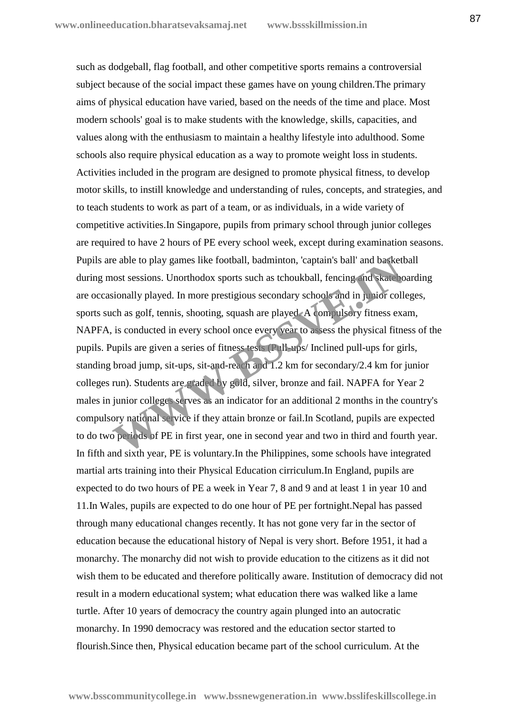such as dodgeball, flag football, and other competitive sports remains a controversial subject because of the social impact these games have on young children.The primary aims of physical education have varied, based on the needs of the time and place. Most modern schools' goal is to make students with the knowledge, skills, capacities, and values along with the enthusiasm to maintain a healthy lifestyle into adulthood. Some schools also require physical education as a way to promote weight loss in students. Activities included in the program are designed to promote physical fitness, to develop motor skills, to instill knowledge and understanding of rules, concepts, and strategies, and to teach students to work as part of a team, or as individuals, in a wide variety of competitive activities.In Singapore, pupils from primary school through junior colleges are required to have 2 hours of PE every school week, except during examination seasons. Pupils are able to play games like football, badminton, 'captain's ball' and basketball during most sessions. Unorthodox sports such as tchoukball, fencing and skateboarding are occasionally played. In more prestigious secondary schools and in junior colleges, sports such as golf, tennis, shooting, squash are played. A compulsory fitness exam, NAPFA, is conducted in every school once every year to assess the physical fitness of the pupils. Pupils are given a series of fitness tests (Pull-ups/ Inclined pull-ups for girls, standing broad jump, sit-ups, sit-and-reach and 1.2 km for secondary/2.4 km for junior colleges run). Students are graded by gold, silver, bronze and fail. NAPFA for Year 2 males in junior colleges serves as an indicator for an additional 2 months in the country's compulsory national service if they attain bronze or fail.In Scotland, pupils are expected to do two periods of PE in first year, one in second year and two in third and fourth year. In fifth and sixth year, PE is voluntary.In the Philippines, some schools have integrated martial arts training into their Physical Education cirriculum.In England, pupils are expected to do two hours of PE a week in Year 7, 8 and 9 and at least 1 in year 10 and 11.In Wales, pupils are expected to do one hour of PE per fortnight.Nepal has passed through many educational changes recently. It has not gone very far in the sector of education because the educational history of Nepal is very short. Before 1951, it had a monarchy. The monarchy did not wish to provide education to the citizens as it did not wish them to be educated and therefore politically aware. Institution of democracy did not result in a modern educational system; what education there was walked like a lame turtle. After 10 years of democracy the country again plunged into an autocratic monarchy. In 1990 democracy was restored and the education sector started to flourish.Since then, Physical education became part of the school curriculum. At the is the top play games like football, badminton, 'captain's ball' and baskett<br>nost sessions. Unorthodox sports such as tchoukball, fencing and skateho<br>sionally played. In more prestigious secondary schools and in junior col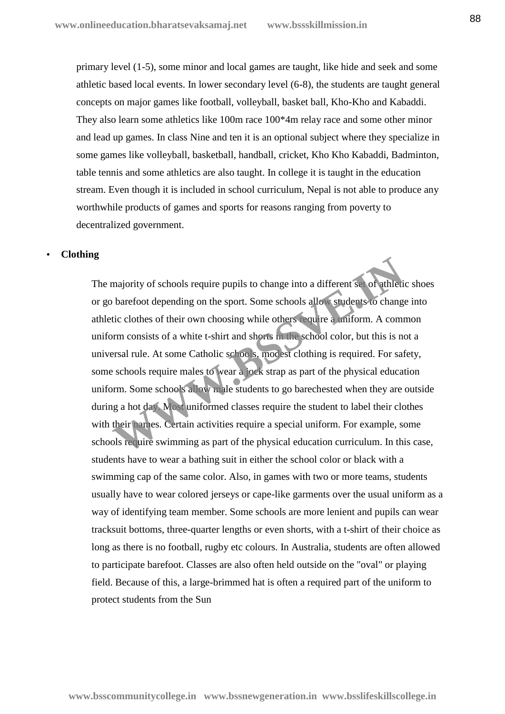primary level (1-5), some minor and local games are taught, like hide and seek and some athletic based local events. In lower secondary level (6-8), the students are taught general concepts on major games like football, volleyball, basket ball, Kho-Kho and Kabaddi. They also learn some athletics like 100m race 100\*4m relay race and some other minor and lead up games. In class Nine and ten it is an optional subject where they specialize in some games like volleyball, basketball, handball, cricket, Kho Kho Kabaddi, Badminton, table tennis and some athletics are also taught. In college it is taught in the education stream. Even though it is included in school curriculum, Nepal is not able to produce any worthwhile products of games and sports for reasons ranging from poverty to decentralized government.

## **Clothing**

The majority of schools require pupils to change into a different set of athletic shoes or go barefoot depending on the sport. Some schools allow students to change into athletic clothes of their own choosing while others require a uniform. A common uniform consists of a white t-shirt and shorts in the school color, but this is not a universal rule. At some Catholic schools, modest clothing is required. For safety, some schools require males to wear a jock strap as part of the physical education uniform. Some schools allow male students to go barechested when they are outside during a hot day. Most uniformed classes require the student to label their clothes with their names. Certain activities require a special uniform. For example, some schools require swimming as part of the physical education curriculum. In this case, students have to wear a bathing suit in either the school color or black with a swimming cap of the same color. Also, in games with two or more teams, students usually have to wear colored jerseys or cape-like garments over the usual uniform as a way of identifying team member. Some schools are more lenient and pupils can wear tracksuit bottoms, three-quarter lengths or even shorts, with a t-shirt of their choice as long as there is no football, rugby etc colours. In Australia, students are often allowed to participate barefoot. Classes are also often held outside on the "oval" or playing field. Because of this, a large-brimmed hat is often a required part of the uniform to protect students from the Sun majority of schools require pupils to change into a different set of athleti<br>barefoot depending on the sport. Some schools allow sudents to change<br>tic clothes of their own choosing while others require a uniform. A comm<br>or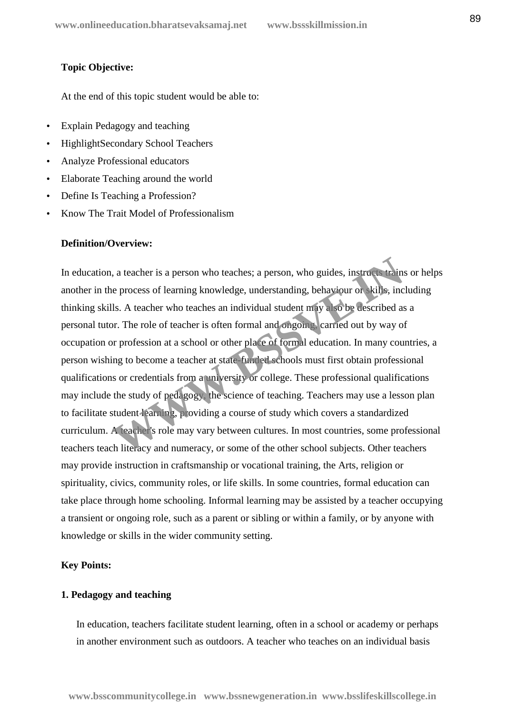# **Topic Objective:**

At the end of this topic student would be able to:

- Explain Pedagogy and teaching
- HighlightSecondary School Teachers
- Analyze Professional educators
- Elaborate Teaching around the world
- Define Is Teaching a Profession?
- Know The Trait Model of Professionalism

#### **Definition/Overview:**

In education, a teacher is a person who teaches; a person, who guides, instructs trains or helps another in the process of learning knowledge, understanding, behaviour or skills, including thinking skills. A teacher who teaches an individual student may also be described as a personal tutor. The role of teacher is often formal and ongoing, carried out by way of occupation or profession at a school or other place of formal education. In many countries, a person wishing to become a teacher at state-funded schools must first obtain professional qualifications or credentials from a university or college. These professional qualifications may include the study of pedagogy, the science of teaching. Teachers may use a lesson plan to facilitate student learning, providing a course of study which covers a standardized curriculum. A teacher's role may vary between cultures. In most countries, some professional teachers teach literacy and numeracy, or some of the other school subjects. Other teachers may provide instruction in craftsmanship or vocational training, the Arts, religion or spirituality, civics, community roles, or life skills. In some countries, formal education can take place through home schooling. Informal learning may be assisted by a teacher occupying a transient or ongoing role, such as a parent or sibling or within a family, or by anyone with knowledge or skills in the wider community setting. a teacher is a person who teaches; a person, who guides, instructs trains<br>e process of learning knowledge, understanding, behaviour or kills, inc<br>ls. A teacher who teaches an individual student may also be described as<br>or.

# **Key Points:**

#### **1. Pedagogy and teaching**

In education, teachers facilitate student learning, often in a school or academy or perhaps in another environment such as outdoors. A teacher who teaches on an individual basis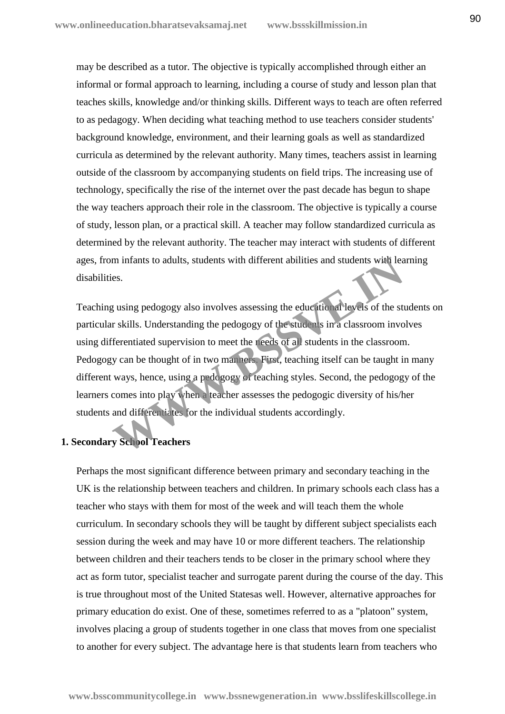may be described as a tutor. The objective is typically accomplished through either an informal or formal approach to learning, including a course of study and lesson plan that teaches skills, knowledge and/or thinking skills. Different ways to teach are often referred to as pedagogy. When deciding what teaching method to use teachers consider students' background knowledge, environment, and their learning goals as well as standardized curricula as determined by the relevant authority. Many times, teachers assist in learning outside of the classroom by accompanying students on field trips. The increasing use of technology, specifically the rise of the internet over the past decade has begun to shape the way teachers approach their role in the classroom. The objective is typically a course of study, lesson plan, or a practical skill. A teacher may follow standardized curricula as determined by the relevant authority. The teacher may interact with students of different ages, from infants to adults, students with different abilities and students with learning disabilities.

Teaching using pedogogy also involves assessing the educational levels of the students on particular skills. Understanding the pedogogy of the students in a classroom involves using differentiated supervision to meet the needs of all students in the classroom. Pedogogy can be thought of in two manners. First, teaching itself can be taught in many different ways, hence, using a pedogogy of teaching styles. Second, the pedogogy of the learners comes into play when a teacher assesses the pedogogic diversity of his/her students and differentiates for the individual students accordingly. m infants to adults, students with different abilities and students with leaves.<br>
Example 2013<br>
We assume pedogogy also involves assessing the educational levels of the straight<br>
Interstanding the pedogogy of the students

# **1. Secondary School Teachers**

Perhaps the most significant difference between primary and secondary teaching in the UK is the relationship between teachers and children. In primary schools each class has a teacher who stays with them for most of the week and will teach them the whole curriculum. In secondary schools they will be taught by different subject specialists each session during the week and may have 10 or more different teachers. The relationship between children and their teachers tends to be closer in the primary school where they act as form tutor, specialist teacher and surrogate parent during the course of the day. This is true throughout most of the United Statesas well. However, alternative approaches for primary education do exist. One of these, sometimes referred to as a "platoon" system, involves placing a group of students together in one class that moves from one specialist to another for every subject. The advantage here is that students learn from teachers who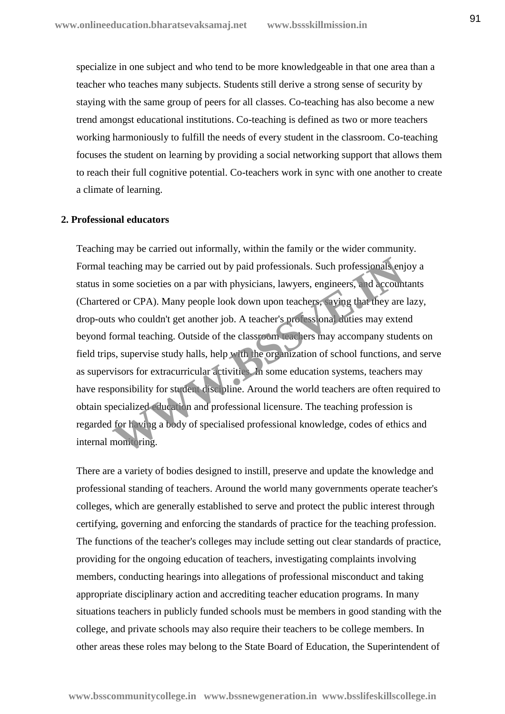specialize in one subject and who tend to be more knowledgeable in that one area than a teacher who teaches many subjects. Students still derive a strong sense of security by staying with the same group of peers for all classes. Co-teaching has also become a new trend amongst educational institutions. Co-teaching is defined as two or more teachers working harmoniously to fulfill the needs of every student in the classroom. Co-teaching focuses the student on learning by providing a social networking support that allows them to reach their full cognitive potential. Co-teachers work in sync with one another to create a climate of learning.

## **2. Professional educators**

Teaching may be carried out informally, within the family or the wider community. Formal teaching may be carried out by paid professionals. Such professionals enjoy a status in some societies on a par with physicians, lawyers, engineers, and accountants (Chartered or CPA). Many people look down upon teachers, saying that they are lazy, drop-outs who couldn't get another job. A teacher's professional duties may extend beyond formal teaching. Outside of the classroom teachers may accompany students on field trips, supervise study halls, help with the organization of school functions, and serve as supervisors for extracurricular activities. In some education systems, teachers may have responsibility for student discipline. Around the world teachers are often required to obtain specialized education and professional licensure. The teaching profession is regarded for having a body of specialised professional knowledge, codes of ethics and internal monitoring. eaching may be carried out by paid professionals. Such professionals enjone societies on a par with physicians, lawyers, engineers, and accounted or CPA). Many people look down upon teachers, and accounted or CPA). Many pe

There are a variety of bodies designed to instill, preserve and update the knowledge and professional standing of teachers. Around the world many governments operate teacher's colleges, which are generally established to serve and protect the public interest through certifying, governing and enforcing the standards of practice for the teaching profession. The functions of the teacher's colleges may include setting out clear standards of practice, providing for the ongoing education of teachers, investigating complaints involving members, conducting hearings into allegations of professional misconduct and taking appropriate disciplinary action and accrediting teacher education programs. In many situations teachers in publicly funded schools must be members in good standing with the college, and private schools may also require their teachers to be college members. In other areas these roles may belong to the State Board of Education, the Superintendent of

**www.bsscommunitycollege.in www.bssnewgeneration.in www.bsslifeskillscollege.in**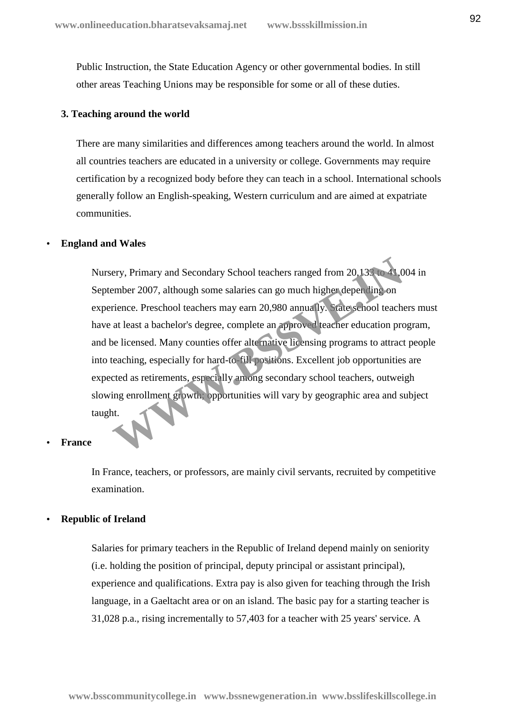Public Instruction, the State Education Agency or other governmental bodies. In still other areas Teaching Unions may be responsible for some or all of these duties.

#### **3. Teaching around the world**

There are many similarities and differences among teachers around the world. In almost all countries teachers are educated in a university or college. Governments may require certification by a recognized body before they can teach in a school. International schools generally follow an English-speaking, Western curriculum and are aimed at expatriate communities.

#### **England and Wales**

Nursery, Primary and Secondary School teachers ranged from 20,133 to 41,004 in September 2007, although some salaries can go much higher depending on experience. Preschool teachers may earn 20,980 annually. State school teachers must have at least a bachelor's degree, complete an approved teacher education program, and be licensed. Many counties offer alternative licensing programs to attract people into teaching, especially for hard-to-fill positions. Excellent job opportunities are expected as retirements, especially among secondary school teachers, outweigh slowing enrollment growth; opportunities will vary by geographic area and subject taught. ery, Primary and Secondary School teachers ranged from 20.13.<br>
ember 2007, although some salaries can go much higher depending on<br>
rience. Preschool teachers may earn 20,980 annually. State senool teacher<br>
at least a bache

**France**

In France, teachers, or professors, are mainly civil servants, recruited by competitive examination.

#### **Republic of Ireland**

Salaries for primary teachers in the Republic of Ireland depend mainly on seniority (i.e. holding the position of principal, deputy principal or assistant principal), experience and qualifications. Extra pay is also given for teaching through the Irish language, in a Gaeltacht area or on an island. The basic pay for a starting teacher is 31,028 p.a., rising incrementally to 57,403 for a teacher with 25 years' service. A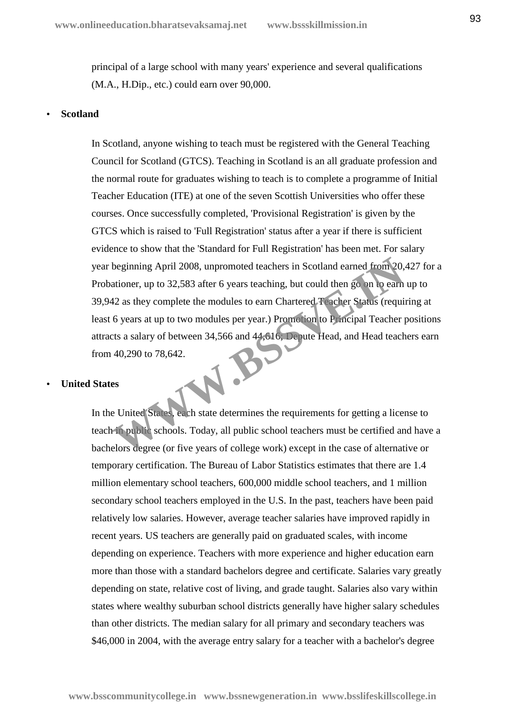principal of a large school with many years' experience and several qualifications (M.A., H.Dip., etc.) could earn over 90,000.

#### **Scotland**

In Scotland, anyone wishing to teach must be registered with the General Teaching Council for Scotland (GTCS). Teaching in Scotland is an all graduate profession and the normal route for graduates wishing to teach is to complete a programme of Initial Teacher Education (ITE) at one of the seven Scottish Universities who offer these courses. Once successfully completed, 'Provisional Registration' is given by the GTCS which is raised to 'Full Registration' status after a year if there is sufficient evidence to show that the 'Standard for Full Registration' has been met. For salary year beginning April 2008, unpromoted teachers in Scotland earned from 20,427 for a Probationer, up to 32,583 after 6 years teaching, but could then go on to earn up to 39,942 as they complete the modules to earn Chartered Teacher Status (requiring at least 6 years at up to two modules per year.) Promotion to Principal Teacher positions attracts a salary of between 34,566 and 44,616; Depute Head, and Head teachers earn from 40,290 to 78,642. beginning April 2008, unpromoted teachers in Scotland earned from 20,<br>ationer, up to 32,583 after 6 years teaching, but could then go on to earn<br>42 as they complete the modules to earn Chartered Tender Status (required<br>6 y

#### **United States**

In the United States, each state determines the requirements for getting a license to teach in public schools. Today, all public school teachers must be certified and have a bachelors degree (or five years of college work) except in the case of alternative or temporary certification. The Bureau of Labor Statistics estimates that there are 1.4 million elementary school teachers, 600,000 middle school teachers, and 1 million secondary school teachers employed in the U.S. In the past, teachers have been paid relatively low salaries. However, average teacher salaries have improved rapidly in recent years. US teachers are generally paid on graduated scales, with income depending on experience. Teachers with more experience and higher education earn more than those with a standard bachelors degree and certificate. Salaries vary greatly depending on state, relative cost of living, and grade taught. Salaries also vary within states where wealthy suburban school districts generally have higher salary schedules than other districts. The median salary for all primary and secondary teachers was \$46,000 in 2004, with the average entry salary for a teacher with a bachelor's degree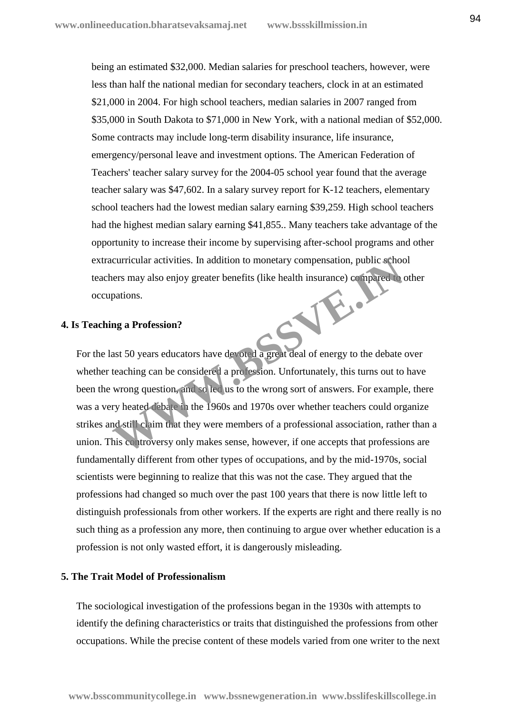being an estimated \$32,000. Median salaries for preschool teachers, however, were less than half the national median for secondary teachers, clock in at an estimated \$21,000 in 2004. For high school teachers, median salaries in 2007 ranged from \$35,000 in South Dakota to \$71,000 in New York, with a national median of \$52,000. Some contracts may include long-term disability insurance, life insurance, emergency/personal leave and investment options. The American Federation of Teachers' teacher salary survey for the 2004-05 school year found that the average teacher salary was \$47,602. In a salary survey report for K-12 teachers, elementary school teachers had the lowest median salary earning \$39,259. High school teachers had the highest median salary earning \$41,855.. Many teachers take advantage of the opportunity to increase their income by supervising after-school programs and other extracurricular activities. In addition to monetary compensation, public school teachers may also enjoy greater benefits (like health insurance) compared to other occupations. **WESTERN POINT** 

## **4. Is Teaching a Profession?**

For the last 50 years educators have devoted a great deal of energy to the debate over whether teaching can be considered a profession. Unfortunately, this turns out to have been the wrong question, and so led us to the wrong sort of answers. For example, there was a very heated debate in the 1960s and 1970s over whether teachers could organize strikes and still claim that they were members of a professional association, rather than a union. This controversy only makes sense, however, if one accepts that professions are fundamentally different from other types of occupations, and by the mid-1970s, social scientists were beginning to realize that this was not the case. They argued that the professions had changed so much over the past 100 years that there is now little left to distinguish professionals from other workers. If the experts are right and there really is no such thing as a profession any more, then continuing to argue over whether education is a profession is not only wasted effort, it is dangerously misleading.

#### **5. The Trait Model of Professionalism**

The sociological investigation of the professions began in the 1930s with attempts to identify the defining characteristics or traits that distinguished the professions from other occupations. While the precise content of these models varied from one writer to the next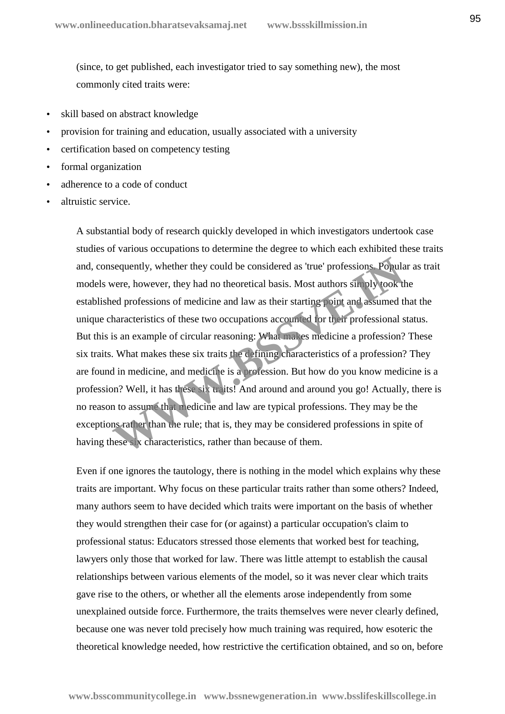(since, to get published, each investigator tried to say something new), the most commonly cited traits were:

- skill based on abstract knowledge
- provision for training and education, usually associated with a university
- certification based on competency testing
- formal organization
- adherence to a code of conduct
- altruistic service.

A substantial body of research quickly developed in which investigators undertook case studies of various occupations to determine the degree to which each exhibited these traits and, consequently, whether they could be considered as 'true' professions. Popular as trait models were, however, they had no theoretical basis. Most authors simply took the established professions of medicine and law as their starting point and assumed that the unique characteristics of these two occupations accounted for their professional status. But this is an example of circular reasoning: What makes medicine a profession? These six traits. What makes these six traits the defining characteristics of a profession? They are found in medicine, and medicine is a profession. But how do you know medicine is a profession? Well, it has these six traits! And around and around you go! Actually, there is no reason to assume that medicine and law are typical professions. They may be the exceptions rather than the rule; that is, they may be considered professions in spite of having these six characteristics, rather than because of them. sequently, whether they could be considered as 'true' professions. Populative evere, however, they had no theoretical basis. Most authors simply took in ed professions of medicine and law as their starting point and assume

Even if one ignores the tautology, there is nothing in the model which explains why these traits are important. Why focus on these particular traits rather than some others? Indeed, many authors seem to have decided which traits were important on the basis of whether they would strengthen their case for (or against) a particular occupation's claim to professional status: Educators stressed those elements that worked best for teaching, lawyers only those that worked for law. There was little attempt to establish the causal relationships between various elements of the model, so it was never clear which traits gave rise to the others, or whether all the elements arose independently from some unexplained outside force. Furthermore, the traits themselves were never clearly defined, because one was never told precisely how much training was required, how esoteric the theoretical knowledge needed, how restrictive the certification obtained, and so on, before